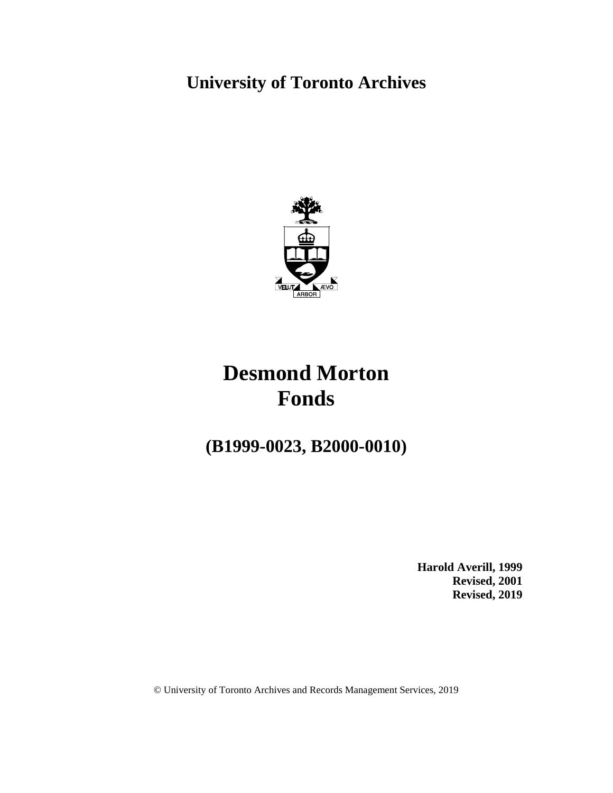# **University of Toronto Archives**



# **Desmond Morton Fonds**

# **(B1999-0023, B2000-0010)**

**Harold Averill, 1999 Revised, 2001 Revised, 2019**

© University of Toronto Archives and Records Management Services, 2019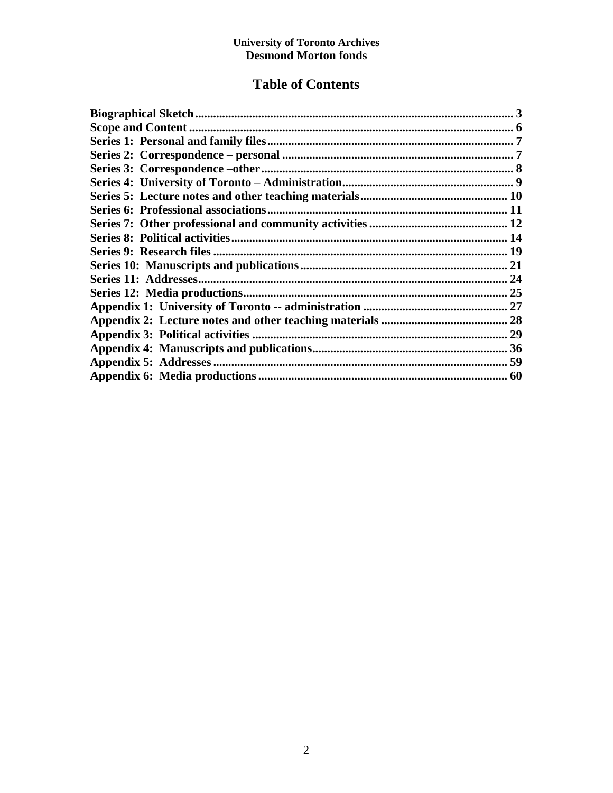# **Table of Contents**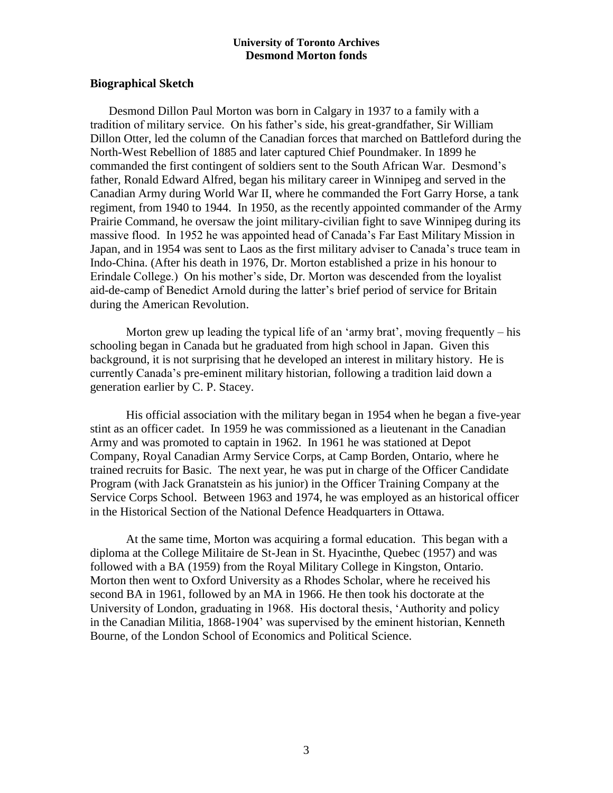## **Biographical Sketch**

Desmond Dillon Paul Morton was born in Calgary in 1937 to a family with a tradition of military service. On his father's side, his great-grandfather, Sir William Dillon Otter, led the column of the Canadian forces that marched on Battleford during the North-West Rebellion of 1885 and later captured Chief Poundmaker. In 1899 he commanded the first contingent of soldiers sent to the South African War. Desmond's father, Ronald Edward Alfred, began his military career in Winnipeg and served in the Canadian Army during World War II, where he commanded the Fort Garry Horse, a tank regiment, from 1940 to 1944. In 1950, as the recently appointed commander of the Army Prairie Command, he oversaw the joint military-civilian fight to save Winnipeg during its massive flood. In 1952 he was appointed head of Canada's Far East Military Mission in Japan, and in 1954 was sent to Laos as the first military adviser to Canada's truce team in Indo-China. (After his death in 1976, Dr. Morton established a prize in his honour to Erindale College.) On his mother's side, Dr. Morton was descended from the loyalist aid-de-camp of Benedict Arnold during the latter's brief period of service for Britain during the American Revolution.

Morton grew up leading the typical life of an 'army brat', moving frequently – his schooling began in Canada but he graduated from high school in Japan. Given this background, it is not surprising that he developed an interest in military history. He is currently Canada's pre-eminent military historian, following a tradition laid down a generation earlier by C. P. Stacey.

His official association with the military began in 1954 when he began a five-year stint as an officer cadet. In 1959 he was commissioned as a lieutenant in the Canadian Army and was promoted to captain in 1962. In 1961 he was stationed at Depot Company, Royal Canadian Army Service Corps, at Camp Borden, Ontario, where he trained recruits for Basic. The next year, he was put in charge of the Officer Candidate Program (with Jack Granatstein as his junior) in the Officer Training Company at the Service Corps School. Between 1963 and 1974, he was employed as an historical officer in the Historical Section of the National Defence Headquarters in Ottawa.

At the same time, Morton was acquiring a formal education. This began with a diploma at the College Militaire de St-Jean in St. Hyacinthe, Quebec (1957) and was followed with a BA (1959) from the Royal Military College in Kingston, Ontario. Morton then went to Oxford University as a Rhodes Scholar, where he received his second BA in 1961, followed by an MA in 1966. He then took his doctorate at the University of London, graduating in 1968. His doctoral thesis, 'Authority and policy in the Canadian Militia, 1868-1904' was supervised by the eminent historian, Kenneth Bourne, of the London School of Economics and Political Science.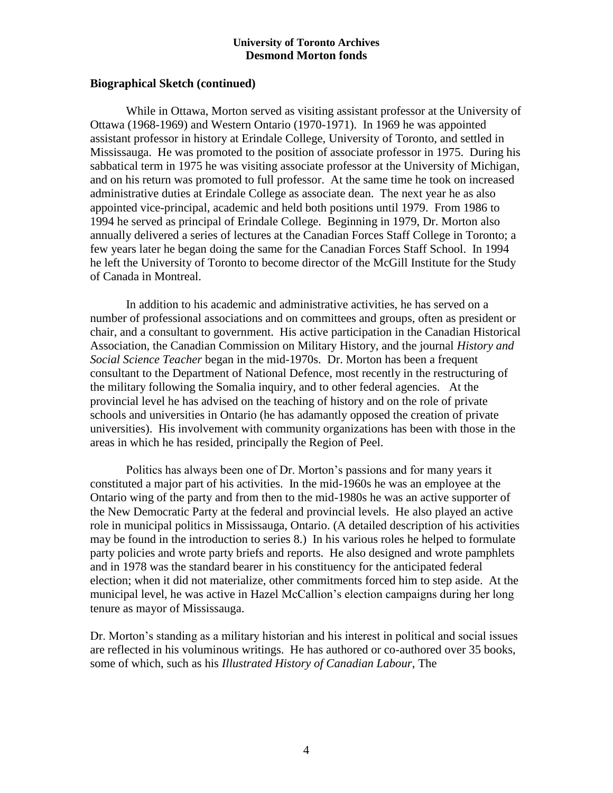## **Biographical Sketch (continued)**

While in Ottawa, Morton served as visiting assistant professor at the University of Ottawa (1968-1969) and Western Ontario (1970-1971). In 1969 he was appointed assistant professor in history at Erindale College, University of Toronto, and settled in Mississauga. He was promoted to the position of associate professor in 1975. During his sabbatical term in 1975 he was visiting associate professor at the University of Michigan, and on his return was promoted to full professor. At the same time he took on increased administrative duties at Erindale College as associate dean. The next year he as also appointed vice-principal, academic and held both positions until 1979. From 1986 to 1994 he served as principal of Erindale College. Beginning in 1979, Dr. Morton also annually delivered a series of lectures at the Canadian Forces Staff College in Toronto; a few years later he began doing the same for the Canadian Forces Staff School. In 1994 he left the University of Toronto to become director of the McGill Institute for the Study of Canada in Montreal.

In addition to his academic and administrative activities, he has served on a number of professional associations and on committees and groups, often as president or chair, and a consultant to government. His active participation in the Canadian Historical Association, the Canadian Commission on Military History, and the journal *History and Social Science Teacher* began in the mid-1970s. Dr. Morton has been a frequent consultant to the Department of National Defence, most recently in the restructuring of the military following the Somalia inquiry, and to other federal agencies. At the provincial level he has advised on the teaching of history and on the role of private schools and universities in Ontario (he has adamantly opposed the creation of private universities). His involvement with community organizations has been with those in the areas in which he has resided, principally the Region of Peel.

Politics has always been one of Dr. Morton's passions and for many years it constituted a major part of his activities. In the mid-1960s he was an employee at the Ontario wing of the party and from then to the mid-1980s he was an active supporter of the New Democratic Party at the federal and provincial levels. He also played an active role in municipal politics in Mississauga, Ontario. (A detailed description of his activities may be found in the introduction to series 8.) In his various roles he helped to formulate party policies and wrote party briefs and reports. He also designed and wrote pamphlets and in 1978 was the standard bearer in his constituency for the anticipated federal election; when it did not materialize, other commitments forced him to step aside. At the municipal level, he was active in Hazel McCallion's election campaigns during her long tenure as mayor of Mississauga.

Dr. Morton's standing as a military historian and his interest in political and social issues are reflected in his voluminous writings. He has authored or co-authored over 35 books, some of which, such as his *Illustrated History of Canadian Labour*, The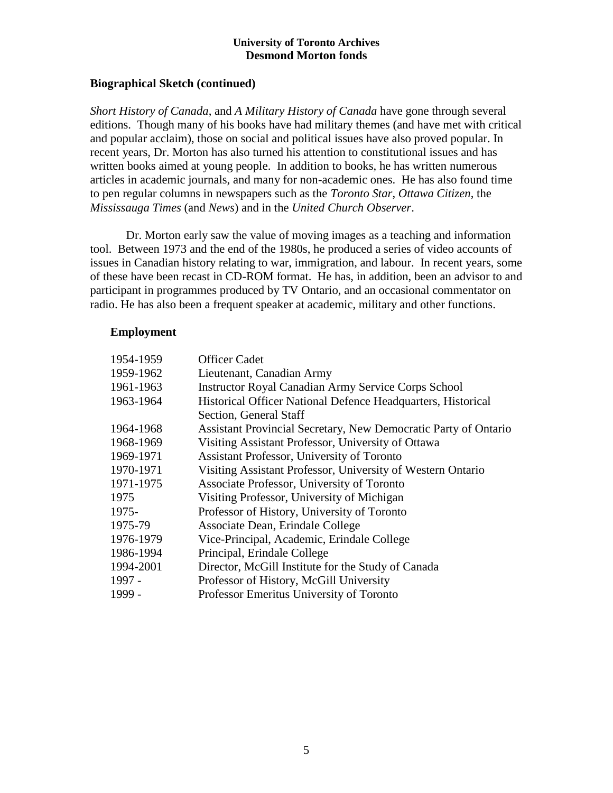## **Biographical Sketch (continued)**

*Short History of Canada*, and *A Military History of Canada* have gone through several editions. Though many of his books have had military themes (and have met with critical and popular acclaim), those on social and political issues have also proved popular. In recent years, Dr. Morton has also turned his attention to constitutional issues and has written books aimed at young people. In addition to books, he has written numerous articles in academic journals, and many for non-academic ones. He has also found time to pen regular columns in newspapers such as the *Toronto Star*, *Ottawa Citizen*, the *Mississauga Times* (and *News*) and in the *United Church Observer*.

Dr. Morton early saw the value of moving images as a teaching and information tool. Between 1973 and the end of the 1980s, he produced a series of video accounts of issues in Canadian history relating to war, immigration, and labour. In recent years, some of these have been recast in CD-ROM format. He has, in addition, been an advisor to and participant in programmes produced by TV Ontario, and an occasional commentator on radio. He has also been a frequent speaker at academic, military and other functions.

## **Employment**

| 1954-1959 | <b>Officer Cadet</b>                                            |
|-----------|-----------------------------------------------------------------|
| 1959-1962 | Lieutenant, Canadian Army                                       |
| 1961-1963 | <b>Instructor Royal Canadian Army Service Corps School</b>      |
| 1963-1964 | Historical Officer National Defence Headquarters, Historical    |
|           | Section, General Staff                                          |
| 1964-1968 | Assistant Provincial Secretary, New Democratic Party of Ontario |
| 1968-1969 | Visiting Assistant Professor, University of Ottawa              |
| 1969-1971 | Assistant Professor, University of Toronto                      |
| 1970-1971 | Visiting Assistant Professor, University of Western Ontario     |
| 1971-1975 | Associate Professor, University of Toronto                      |
| 1975      | Visiting Professor, University of Michigan                      |
| 1975-     | Professor of History, University of Toronto                     |
| 1975-79   | Associate Dean, Erindale College                                |
| 1976-1979 | Vice-Principal, Academic, Erindale College                      |
| 1986-1994 | Principal, Erindale College                                     |
| 1994-2001 | Director, McGill Institute for the Study of Canada              |
| 1997 -    | Professor of History, McGill University                         |
| 1999 -    | Professor Emeritus University of Toronto                        |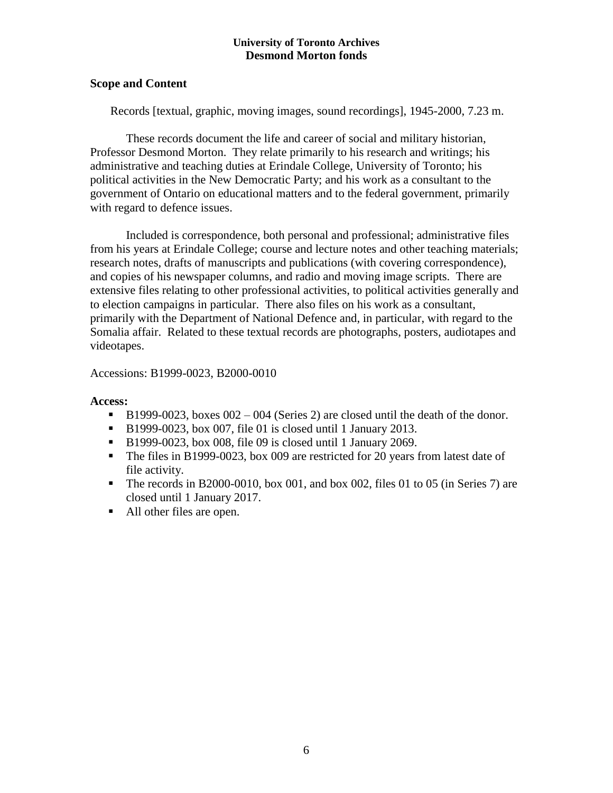## **Scope and Content**

Records [textual, graphic, moving images, sound recordings], 1945-2000, 7.23 m.

These records document the life and career of social and military historian, Professor Desmond Morton. They relate primarily to his research and writings; his administrative and teaching duties at Erindale College, University of Toronto; his political activities in the New Democratic Party; and his work as a consultant to the government of Ontario on educational matters and to the federal government, primarily with regard to defence issues.

Included is correspondence, both personal and professional; administrative files from his years at Erindale College; course and lecture notes and other teaching materials; research notes, drafts of manuscripts and publications (with covering correspondence), and copies of his newspaper columns, and radio and moving image scripts. There are extensive files relating to other professional activities, to political activities generally and to election campaigns in particular. There also files on his work as a consultant, primarily with the Department of National Defence and, in particular, with regard to the Somalia affair. Related to these textual records are photographs, posters, audiotapes and videotapes.

## Accessions: B1999-0023, B2000-0010

## **Access:**

- B1999-0023, boxes  $002 004$  (Series 2) are closed until the death of the donor.
- B1999-0023, box 007, file 01 is closed until 1 January 2013.
- B1999-0023, box 008, file 09 is closed until 1 January 2069.
- The files in B1999-0023, box 009 are restricted for 20 years from latest date of file activity.
- The records in B2000-0010, box 001, and box 002, files 01 to 05 (in Series 7) are closed until 1 January 2017.
- All other files are open.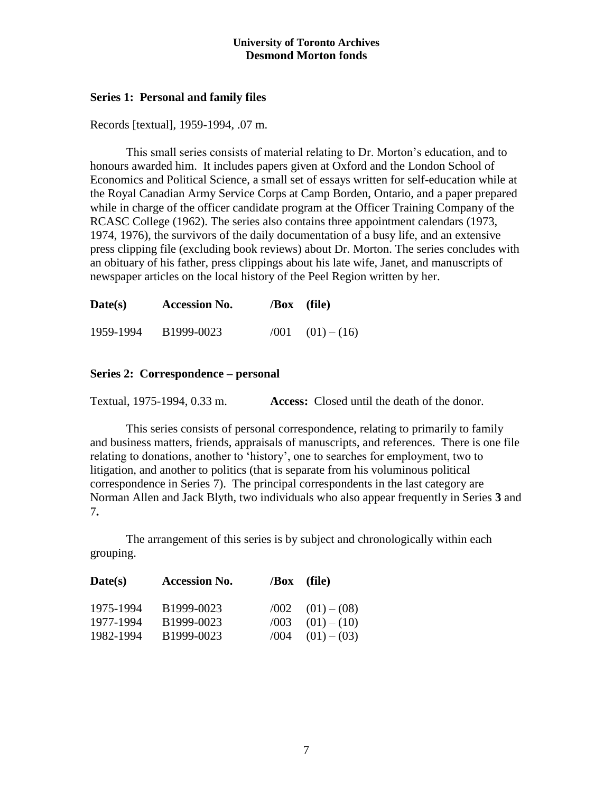## **Series 1: Personal and family files**

Records [textual], 1959-1994, .07 m.

This small series consists of material relating to Dr. Morton's education, and to honours awarded him. It includes papers given at Oxford and the London School of Economics and Political Science, a small set of essays written for self-education while at the Royal Canadian Army Service Corps at Camp Borden, Ontario, and a paper prepared while in charge of the officer candidate program at the Officer Training Company of the RCASC College (1962). The series also contains three appointment calendars (1973, 1974, 1976), the survivors of the daily documentation of a busy life, and an extensive press clipping file (excluding book reviews) about Dr. Morton. The series concludes with an obituary of his father, press clippings about his late wife, Janet, and manuscripts of newspaper articles on the local history of the Peel Region written by her.

| Date(s)   | <b>Accession No.</b> | $\sqrt{Box}$ (file) |                            |
|-----------|----------------------|---------------------|----------------------------|
| 1959-1994 | B1999-0023           |                     | $\sqrt{001}$ $(01) - (16)$ |

## **Series 2: Correspondence – personal**

Textual, 1975-1994, 0.33 m. **Access:** Closed until the death of the donor.

This series consists of personal correspondence, relating to primarily to family and business matters, friends, appraisals of manuscripts, and references. There is one file relating to donations, another to 'history', one to searches for employment, two to litigation, and another to politics (that is separate from his voluminous political correspondence in Series 7). The principal correspondents in the last category are Norman Allen and Jack Blyth, two individuals who also appear frequently in Series **3** and 7**.**

The arrangement of this series is by subject and chronologically within each grouping.

| $\mathbf{Date}(\mathbf{s})$ | <b>Accession No.</b>     |              | $\sqrt{Box}$ (file)            |
|-----------------------------|--------------------------|--------------|--------------------------------|
| 1975-1994                   | B1999-0023               |              | $(002 \t(01)-(08))$            |
| 1977-1994<br>1982-1994      | B1999-0023<br>B1999-0023 | /003<br>/004 | $(01) - (10)$<br>$(01) - (03)$ |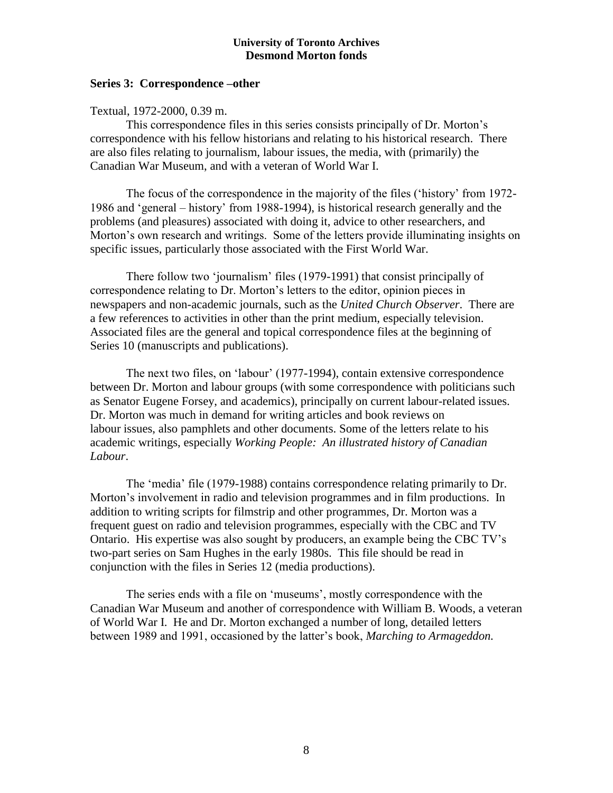## **Series 3: Correspondence –other**

## Textual, 1972-2000, 0.39 m.

This correspondence files in this series consists principally of Dr. Morton's correspondence with his fellow historians and relating to his historical research. There are also files relating to journalism, labour issues, the media, with (primarily) the Canadian War Museum, and with a veteran of World War I.

The focus of the correspondence in the majority of the files ('history' from 1972- 1986 and 'general – history' from 1988-1994), is historical research generally and the problems (and pleasures) associated with doing it, advice to other researchers, and Morton's own research and writings. Some of the letters provide illuminating insights on specific issues, particularly those associated with the First World War.

There follow two 'journalism' files (1979-1991) that consist principally of correspondence relating to Dr. Morton's letters to the editor, opinion pieces in newspapers and non-academic journals, such as the *United Church Observer*. There are a few references to activities in other than the print medium, especially television. Associated files are the general and topical correspondence files at the beginning of Series 10 (manuscripts and publications).

The next two files, on 'labour' (1977-1994), contain extensive correspondence between Dr. Morton and labour groups (with some correspondence with politicians such as Senator Eugene Forsey, and academics), principally on current labour-related issues. Dr. Morton was much in demand for writing articles and book reviews on labour issues, also pamphlets and other documents. Some of the letters relate to his academic writings, especially *Working People: An illustrated history of Canadian Labour*.

The 'media' file (1979-1988) contains correspondence relating primarily to Dr. Morton's involvement in radio and television programmes and in film productions. In addition to writing scripts for filmstrip and other programmes, Dr. Morton was a frequent guest on radio and television programmes, especially with the CBC and TV Ontario. His expertise was also sought by producers, an example being the CBC TV's two-part series on Sam Hughes in the early 1980s. This file should be read in conjunction with the files in Series 12 (media productions).

The series ends with a file on 'museums', mostly correspondence with the Canadian War Museum and another of correspondence with William B. Woods, a veteran of World War I. He and Dr. Morton exchanged a number of long, detailed letters between 1989 and 1991, occasioned by the latter's book, *Marching to Armageddon.*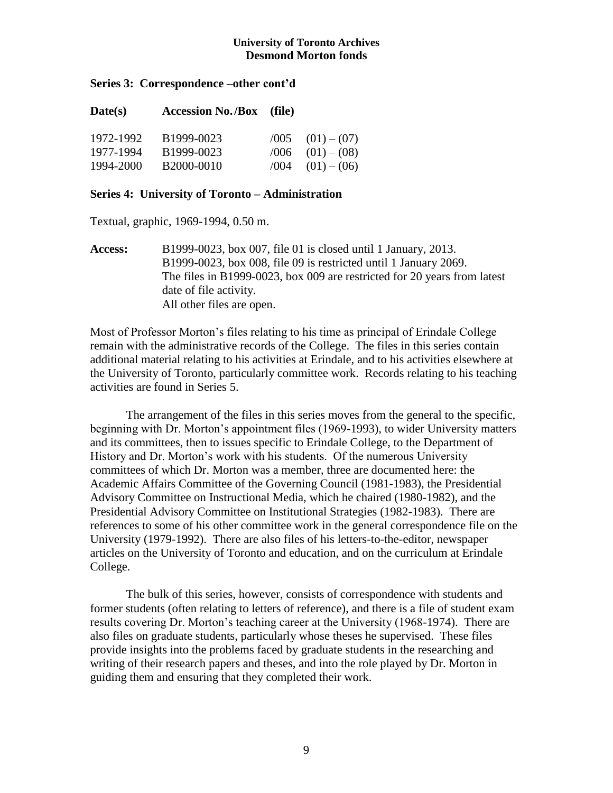## **Series 3: Correspondence –other cont'd**

| $\textbf{Date}(s)$ | <b>Accession No./Box</b> (file) |      |                             |
|--------------------|---------------------------------|------|-----------------------------|
| 1972-1992          | B1999-0023                      |      | $(0.005 \t(0.01) - (0.07))$ |
| 1977-1994          | B1999-0023                      | /006 | $(01) - (08)$               |
| 1994-2000          | B2000-0010                      |      | $(004 \t(01)-(06))$         |

#### **Series 4: University of Toronto – Administration**

Textual, graphic, 1969-1994, 0.50 m.

**Access:** B1999-0023, box 007, file 01 is closed until 1 January, 2013. B1999-0023, box 008, file 09 is restricted until 1 January 2069. The files in B1999-0023, box 009 are restricted for 20 years from latest date of file activity. All other files are open.

Most of Professor Morton's files relating to his time as principal of Erindale College remain with the administrative records of the College. The files in this series contain additional material relating to his activities at Erindale, and to his activities elsewhere at the University of Toronto, particularly committee work. Records relating to his teaching activities are found in Series 5.

The arrangement of the files in this series moves from the general to the specific, beginning with Dr. Morton's appointment files (1969-1993), to wider University matters and its committees, then to issues specific to Erindale College, to the Department of History and Dr. Morton's work with his students. Of the numerous University committees of which Dr. Morton was a member, three are documented here: the Academic Affairs Committee of the Governing Council (1981-1983), the Presidential Advisory Committee on Instructional Media, which he chaired (1980-1982), and the Presidential Advisory Committee on Institutional Strategies (1982-1983). There are references to some of his other committee work in the general correspondence file on the University (1979-1992). There are also files of his letters-to-the-editor, newspaper articles on the University of Toronto and education, and on the curriculum at Erindale College.

The bulk of this series, however, consists of correspondence with students and former students (often relating to letters of reference), and there is a file of student exam results covering Dr. Morton's teaching career at the University (1968-1974). There are also files on graduate students, particularly whose theses he supervised. These files provide insights into the problems faced by graduate students in the researching and writing of their research papers and theses, and into the role played by Dr. Morton in guiding them and ensuring that they completed their work.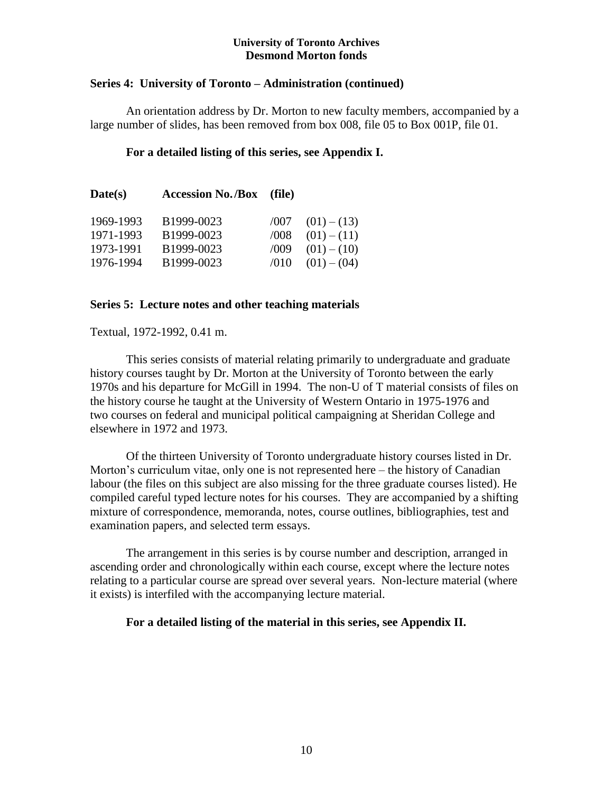## **Series 4: University of Toronto – Administration (continued)**

An orientation address by Dr. Morton to new faculty members, accompanied by a large number of slides, has been removed from box 008, file 05 to Box 001P, file 01.

## **For a detailed listing of this series, see Appendix I.**

| Date(s)   | <b>Accession No./Box</b> (file) |      |               |
|-----------|---------------------------------|------|---------------|
| 1969-1993 | B1999-0023                      | /007 | $(01) - (13)$ |
| 1971-1993 | B1999-0023                      | /008 | $(01) - (11)$ |
| 1973-1991 | B1999-0023                      | /009 | $(01) - (10)$ |
| 1976-1994 | B1999-0023                      | /010 | $(01) - (04)$ |

## **Series 5: Lecture notes and other teaching materials**

Textual, 1972-1992, 0.41 m.

This series consists of material relating primarily to undergraduate and graduate history courses taught by Dr. Morton at the University of Toronto between the early 1970s and his departure for McGill in 1994. The non-U of T material consists of files on the history course he taught at the University of Western Ontario in 1975-1976 and two courses on federal and municipal political campaigning at Sheridan College and elsewhere in 1972 and 1973.

Of the thirteen University of Toronto undergraduate history courses listed in Dr. Morton's curriculum vitae, only one is not represented here – the history of Canadian labour (the files on this subject are also missing for the three graduate courses listed). He compiled careful typed lecture notes for his courses. They are accompanied by a shifting mixture of correspondence, memoranda, notes, course outlines, bibliographies, test and examination papers, and selected term essays.

The arrangement in this series is by course number and description, arranged in ascending order and chronologically within each course, except where the lecture notes relating to a particular course are spread over several years. Non-lecture material (where it exists) is interfiled with the accompanying lecture material.

## **For a detailed listing of the material in this series, see Appendix II.**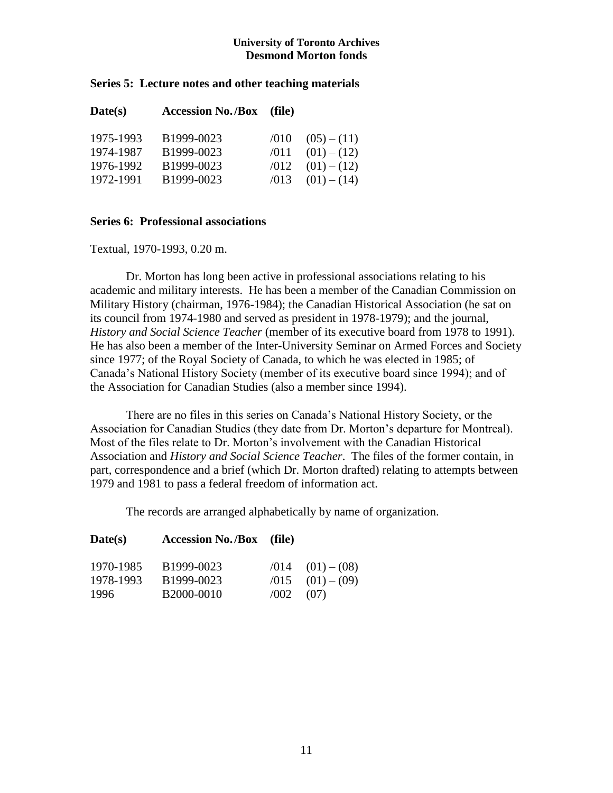## **Series 5: Lecture notes and other teaching materials**

| Date(s)   | <b>Accession No./Box</b> (file) |      |               |
|-----------|---------------------------------|------|---------------|
| 1975-1993 | B1999-0023                      | /010 | $(05)-(11)$   |
| 1974-1987 | B1999-0023                      | /011 | $(01) - (12)$ |
| 1976-1992 | B1999-0023                      | /012 | $(01) - (12)$ |
| 1972-1991 | B1999-0023                      | /013 | $(01) - (14)$ |

## **Series 6: Professional associations**

Textual, 1970-1993, 0.20 m.

Dr. Morton has long been active in professional associations relating to his academic and military interests. He has been a member of the Canadian Commission on Military History (chairman, 1976-1984); the Canadian Historical Association (he sat on its council from 1974-1980 and served as president in 1978-1979); and the journal, *History and Social Science Teacher* (member of its executive board from 1978 to 1991). He has also been a member of the Inter-University Seminar on Armed Forces and Society since 1977; of the Royal Society of Canada, to which he was elected in 1985; of Canada's National History Society (member of its executive board since 1994); and of the Association for Canadian Studies (also a member since 1994).

There are no files in this series on Canada's National History Society, or the Association for Canadian Studies (they date from Dr. Morton's departure for Montreal). Most of the files relate to Dr. Morton's involvement with the Canadian Historical Association and *History and Social Science Teacher*. The files of the former contain, in part, correspondence and a brief (which Dr. Morton drafted) relating to attempts between 1979 and 1981 to pass a federal freedom of information act.

The records are arranged alphabetically by name of organization.

| Date(s)   | <b>Accession No./Box</b> (file) |      |                            |
|-----------|---------------------------------|------|----------------------------|
| 1970-1985 | B1999-0023                      |      | $\sqrt{014}$ $(01) - (08)$ |
| 1978-1993 | B1999-0023                      | /015 | $(01) - (09)$              |
| 1996      | B2000-0010                      | /002 | (07)                       |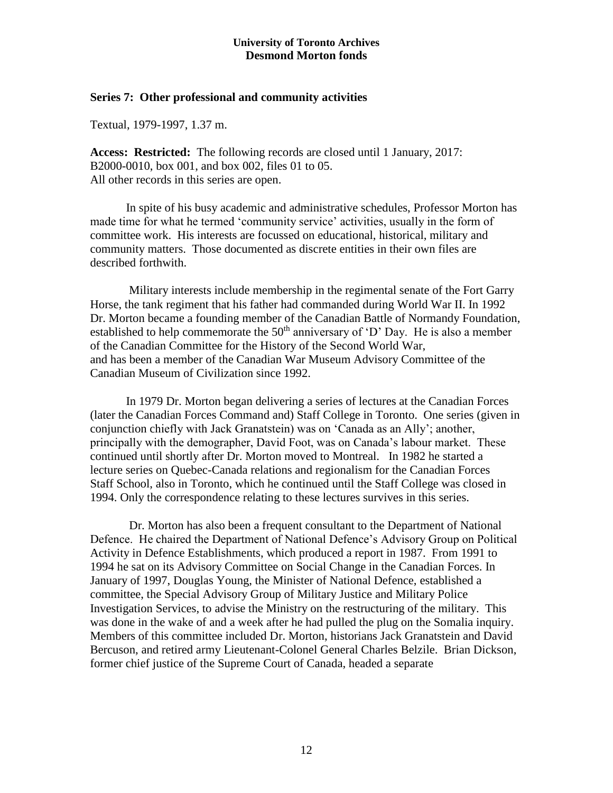#### **Series 7: Other professional and community activities**

Textual, 1979-1997, 1.37 m.

**Access: Restricted:** The following records are closed until 1 January, 2017: B2000-0010, box 001, and box 002, files 01 to 05. All other records in this series are open.

In spite of his busy academic and administrative schedules, Professor Morton has made time for what he termed 'community service' activities, usually in the form of committee work. His interests are focussed on educational, historical, military and community matters. Those documented as discrete entities in their own files are described forthwith.

Military interests include membership in the regimental senate of the Fort Garry Horse, the tank regiment that his father had commanded during World War II. In 1992 Dr. Morton became a founding member of the Canadian Battle of Normandy Foundation, established to help commemorate the  $50<sup>th</sup>$  anniversary of 'D' Day. He is also a member of the Canadian Committee for the History of the Second World War, and has been a member of the Canadian War Museum Advisory Committee of the Canadian Museum of Civilization since 1992.

In 1979 Dr. Morton began delivering a series of lectures at the Canadian Forces (later the Canadian Forces Command and) Staff College in Toronto. One series (given in conjunction chiefly with Jack Granatstein) was on 'Canada as an Ally'; another, principally with the demographer, David Foot, was on Canada's labour market. These continued until shortly after Dr. Morton moved to Montreal. In 1982 he started a lecture series on Quebec-Canada relations and regionalism for the Canadian Forces Staff School, also in Toronto, which he continued until the Staff College was closed in 1994. Only the correspondence relating to these lectures survives in this series.

Dr. Morton has also been a frequent consultant to the Department of National Defence. He chaired the Department of National Defence's Advisory Group on Political Activity in Defence Establishments, which produced a report in 1987. From 1991 to 1994 he sat on its Advisory Committee on Social Change in the Canadian Forces. In January of 1997, Douglas Young, the Minister of National Defence, established a committee, the Special Advisory Group of Military Justice and Military Police Investigation Services, to advise the Ministry on the restructuring of the military. This was done in the wake of and a week after he had pulled the plug on the Somalia inquiry. Members of this committee included Dr. Morton, historians Jack Granatstein and David Bercuson, and retired army Lieutenant-Colonel General Charles Belzile. Brian Dickson, former chief justice of the Supreme Court of Canada, headed a separate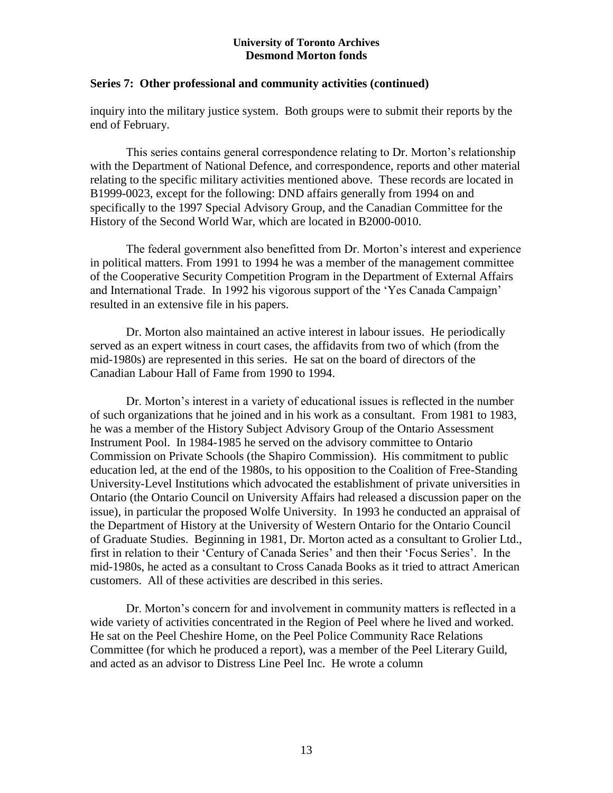## **Series 7: Other professional and community activities (continued)**

inquiry into the military justice system. Both groups were to submit their reports by the end of February.

This series contains general correspondence relating to Dr. Morton's relationship with the Department of National Defence, and correspondence, reports and other material relating to the specific military activities mentioned above. These records are located in B1999-0023, except for the following: DND affairs generally from 1994 on and specifically to the 1997 Special Advisory Group, and the Canadian Committee for the History of the Second World War, which are located in B2000-0010.

The federal government also benefitted from Dr. Morton's interest and experience in political matters. From 1991 to 1994 he was a member of the management committee of the Cooperative Security Competition Program in the Department of External Affairs and International Trade. In 1992 his vigorous support of the 'Yes Canada Campaign' resulted in an extensive file in his papers.

Dr. Morton also maintained an active interest in labour issues. He periodically served as an expert witness in court cases, the affidavits from two of which (from the mid-1980s) are represented in this series. He sat on the board of directors of the Canadian Labour Hall of Fame from 1990 to 1994.

Dr. Morton's interest in a variety of educational issues is reflected in the number of such organizations that he joined and in his work as a consultant. From 1981 to 1983, he was a member of the History Subject Advisory Group of the Ontario Assessment Instrument Pool. In 1984-1985 he served on the advisory committee to Ontario Commission on Private Schools (the Shapiro Commission). His commitment to public education led, at the end of the 1980s, to his opposition to the Coalition of Free-Standing University-Level Institutions which advocated the establishment of private universities in Ontario (the Ontario Council on University Affairs had released a discussion paper on the issue), in particular the proposed Wolfe University. In 1993 he conducted an appraisal of the Department of History at the University of Western Ontario for the Ontario Council of Graduate Studies. Beginning in 1981, Dr. Morton acted as a consultant to Grolier Ltd., first in relation to their 'Century of Canada Series' and then their 'Focus Series'. In the mid-1980s, he acted as a consultant to Cross Canada Books as it tried to attract American customers. All of these activities are described in this series.

Dr. Morton's concern for and involvement in community matters is reflected in a wide variety of activities concentrated in the Region of Peel where he lived and worked. He sat on the Peel Cheshire Home, on the Peel Police Community Race Relations Committee (for which he produced a report), was a member of the Peel Literary Guild, and acted as an advisor to Distress Line Peel Inc. He wrote a column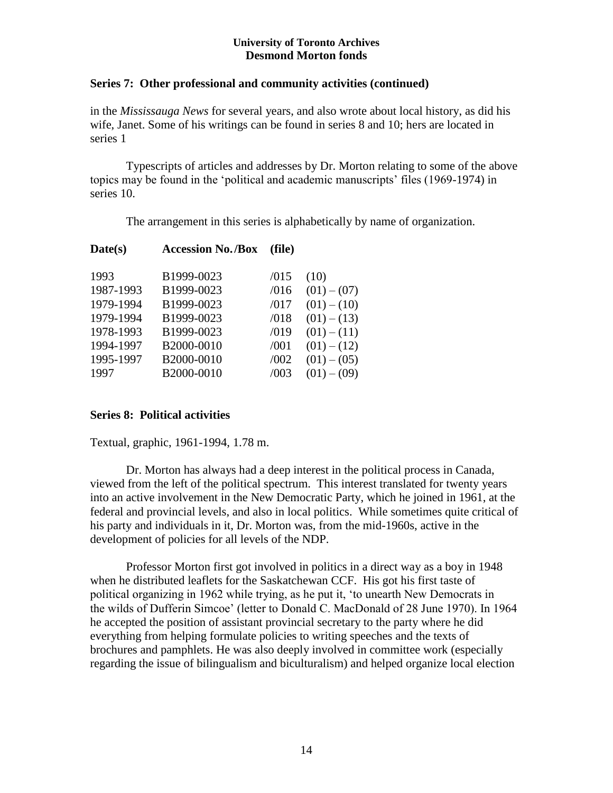## **Series 7: Other professional and community activities (continued)**

in the *Mississauga News* for several years, and also wrote about local history, as did his wife, Janet. Some of his writings can be found in series 8 and 10; hers are located in series 1

Typescripts of articles and addresses by Dr. Morton relating to some of the above topics may be found in the 'political and academic manuscripts' files (1969-1974) in series 10.

The arrangement in this series is alphabetically by name of organization.

| Date(s)   | <b>Accession No./Box</b> | (file) |               |
|-----------|--------------------------|--------|---------------|
| 1993      | B1999-0023               | /015   | (10)          |
| 1987-1993 | B1999-0023               | /016   | $(01) - (07)$ |
| 1979-1994 | B1999-0023               | /017   | $(01) - (10)$ |
| 1979-1994 | B1999-0023               | /018   | $(01) - (13)$ |
| 1978-1993 | B1999-0023               | /019   | $(01) - (11)$ |
| 1994-1997 | B2000-0010               | /001   | $(01) - (12)$ |
| 1995-1997 | B2000-0010               | /002   | $(01) - (05)$ |
| 1997      | B2000-0010               | /003   | $(01) - (09)$ |
|           |                          |        |               |

## **Series 8: Political activities**

Textual, graphic, 1961-1994, 1.78 m.

Dr. Morton has always had a deep interest in the political process in Canada, viewed from the left of the political spectrum. This interest translated for twenty years into an active involvement in the New Democratic Party, which he joined in 1961, at the federal and provincial levels, and also in local politics. While sometimes quite critical of his party and individuals in it, Dr. Morton was, from the mid-1960s, active in the development of policies for all levels of the NDP.

Professor Morton first got involved in politics in a direct way as a boy in 1948 when he distributed leaflets for the Saskatchewan CCF. His got his first taste of political organizing in 1962 while trying, as he put it, 'to unearth New Democrats in the wilds of Dufferin Simcoe' (letter to Donald C. MacDonald of 28 June 1970). In 1964 he accepted the position of assistant provincial secretary to the party where he did everything from helping formulate policies to writing speeches and the texts of brochures and pamphlets. He was also deeply involved in committee work (especially regarding the issue of bilingualism and biculturalism) and helped organize local election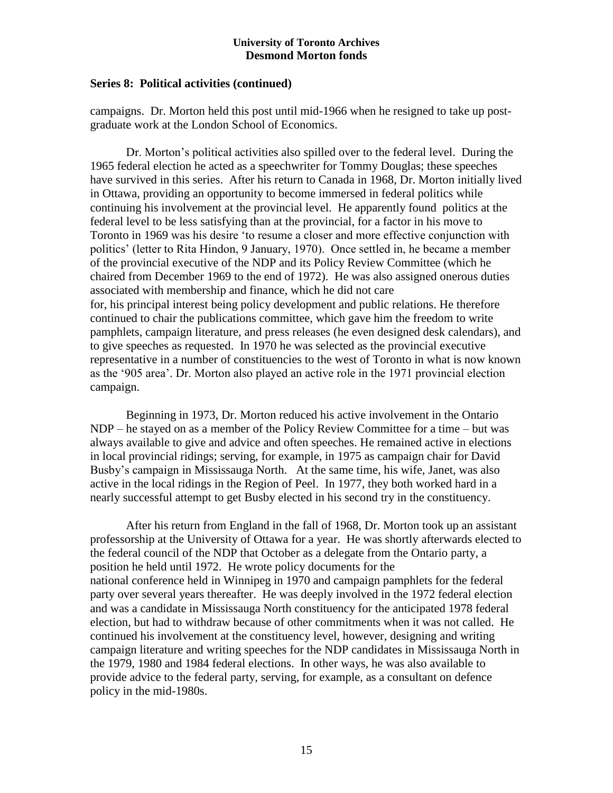## **Series 8: Political activities (continued)**

campaigns. Dr. Morton held this post until mid-1966 when he resigned to take up postgraduate work at the London School of Economics.

Dr. Morton's political activities also spilled over to the federal level. During the 1965 federal election he acted as a speechwriter for Tommy Douglas; these speeches have survived in this series. After his return to Canada in 1968, Dr. Morton initially lived in Ottawa, providing an opportunity to become immersed in federal politics while continuing his involvement at the provincial level. He apparently found politics at the federal level to be less satisfying than at the provincial, for a factor in his move to Toronto in 1969 was his desire 'to resume a closer and more effective conjunction with politics' (letter to Rita Hindon, 9 January, 1970). Once settled in, he became a member of the provincial executive of the NDP and its Policy Review Committee (which he chaired from December 1969 to the end of 1972). He was also assigned onerous duties associated with membership and finance, which he did not care for, his principal interest being policy development and public relations. He therefore continued to chair the publications committee, which gave him the freedom to write pamphlets, campaign literature, and press releases (he even designed desk calendars), and to give speeches as requested. In 1970 he was selected as the provincial executive representative in a number of constituencies to the west of Toronto in what is now known as the '905 area'. Dr. Morton also played an active role in the 1971 provincial election campaign.

Beginning in 1973, Dr. Morton reduced his active involvement in the Ontario NDP – he stayed on as a member of the Policy Review Committee for a time – but was always available to give and advice and often speeches. He remained active in elections in local provincial ridings; serving, for example, in 1975 as campaign chair for David Busby's campaign in Mississauga North. At the same time, his wife, Janet, was also active in the local ridings in the Region of Peel. In 1977, they both worked hard in a nearly successful attempt to get Busby elected in his second try in the constituency.

After his return from England in the fall of 1968, Dr. Morton took up an assistant professorship at the University of Ottawa for a year. He was shortly afterwards elected to the federal council of the NDP that October as a delegate from the Ontario party, a position he held until 1972. He wrote policy documents for the national conference held in Winnipeg in 1970 and campaign pamphlets for the federal party over several years thereafter. He was deeply involved in the 1972 federal election and was a candidate in Mississauga North constituency for the anticipated 1978 federal election, but had to withdraw because of other commitments when it was not called. He continued his involvement at the constituency level, however, designing and writing campaign literature and writing speeches for the NDP candidates in Mississauga North in the 1979, 1980 and 1984 federal elections. In other ways, he was also available to provide advice to the federal party, serving, for example, as a consultant on defence policy in the mid-1980s.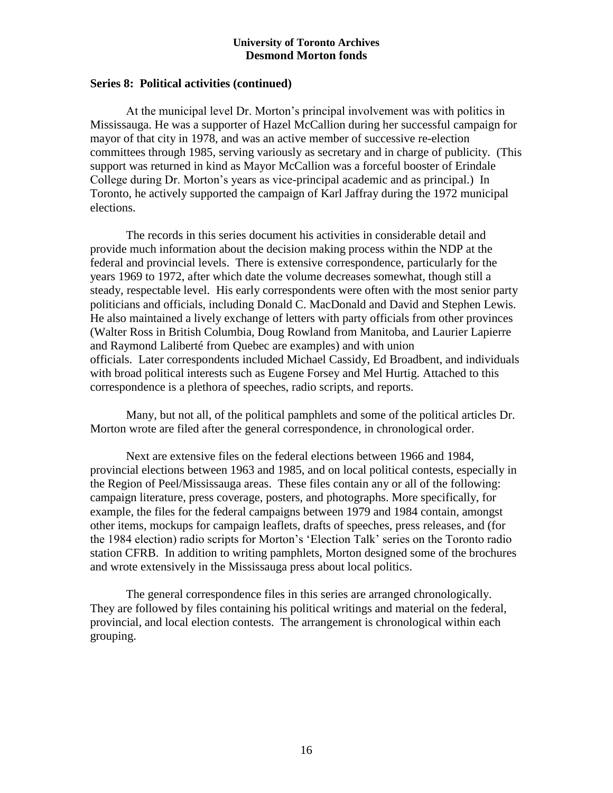## **Series 8: Political activities (continued)**

At the municipal level Dr. Morton's principal involvement was with politics in Mississauga. He was a supporter of Hazel McCallion during her successful campaign for mayor of that city in 1978, and was an active member of successive re-election committees through 1985, serving variously as secretary and in charge of publicity. (This support was returned in kind as Mayor McCallion was a forceful booster of Erindale College during Dr. Morton's years as vice-principal academic and as principal.) In Toronto, he actively supported the campaign of Karl Jaffray during the 1972 municipal elections.

The records in this series document his activities in considerable detail and provide much information about the decision making process within the NDP at the federal and provincial levels. There is extensive correspondence, particularly for the years 1969 to 1972, after which date the volume decreases somewhat, though still a steady, respectable level. His early correspondents were often with the most senior party politicians and officials, including Donald C. MacDonald and David and Stephen Lewis. He also maintained a lively exchange of letters with party officials from other provinces (Walter Ross in British Columbia, Doug Rowland from Manitoba, and Laurier Lapierre and Raymond Laliberté from Quebec are examples) and with union officials. Later correspondents included Michael Cassidy, Ed Broadbent, and individuals with broad political interests such as Eugene Forsey and Mel Hurtig. Attached to this correspondence is a plethora of speeches, radio scripts, and reports.

Many, but not all, of the political pamphlets and some of the political articles Dr. Morton wrote are filed after the general correspondence, in chronological order.

Next are extensive files on the federal elections between 1966 and 1984, provincial elections between 1963 and 1985, and on local political contests, especially in the Region of Peel/Mississauga areas. These files contain any or all of the following: campaign literature, press coverage, posters, and photographs. More specifically, for example, the files for the federal campaigns between 1979 and 1984 contain, amongst other items, mockups for campaign leaflets, drafts of speeches, press releases, and (for the 1984 election) radio scripts for Morton's 'Election Talk' series on the Toronto radio station CFRB. In addition to writing pamphlets, Morton designed some of the brochures and wrote extensively in the Mississauga press about local politics.

The general correspondence files in this series are arranged chronologically. They are followed by files containing his political writings and material on the federal, provincial, and local election contests. The arrangement is chronological within each grouping.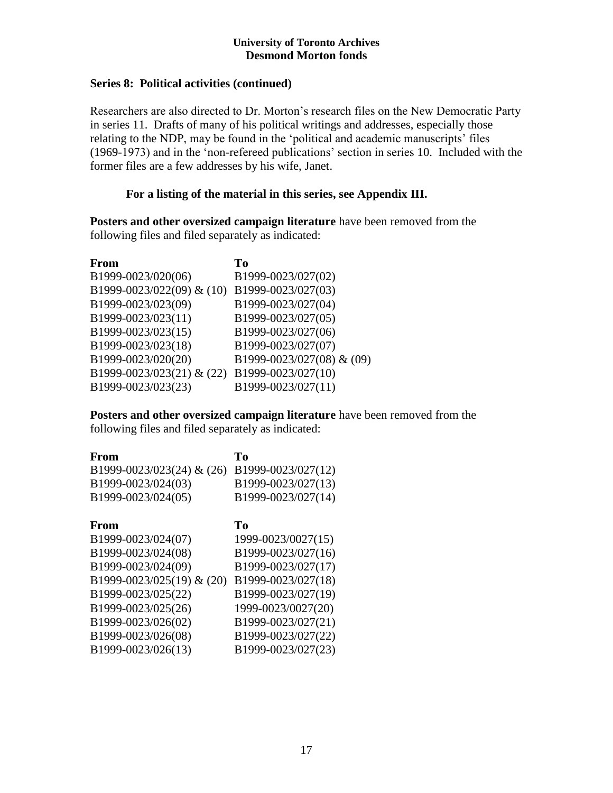## **Series 8: Political activities (continued)**

Researchers are also directed to Dr. Morton's research files on the New Democratic Party in series 11. Drafts of many of his political writings and addresses, especially those relating to the NDP, may be found in the 'political and academic manuscripts' files (1969-1973) and in the 'non-refereed publications' section in series 10. Included with the former files are a few addresses by his wife, Janet.

## **For a listing of the material in this series, see Appendix III.**

**Posters and other oversized campaign literature** have been removed from the following files and filed separately as indicated:

| Tо                        |
|---------------------------|
| B1999-0023/027(02)        |
| B1999-0023/027(03)        |
| B1999-0023/027(04)        |
| B1999-0023/027(05)        |
| B1999-0023/027(06)        |
| B1999-0023/027(07)        |
| B1999-0023/027(08) & (09) |
| B1999-0023/027(10)        |
| B1999-0023/027(11)        |
|                           |

**Posters and other oversized campaign literature** have been removed from the following files and filed separately as indicated:

| <b>From</b>               | To                 |
|---------------------------|--------------------|
| B1999-0023/023(24) & (26) | B1999-0023/027(12) |
| B1999-0023/024(03)        | B1999-0023/027(13) |
| B1999-0023/024(05)        | B1999-0023/027(14) |
| From                      | Tо                 |
| B1999-0023/024(07)        | 1999-0023/0027(15) |
| B1999-0023/024(08)        | B1999-0023/027(16) |
| B1999-0023/024(09)        | B1999-0023/027(17) |
| B1999-0023/025(19) & (20) | B1999-0023/027(18) |
| B1999-0023/025(22)        | B1999-0023/027(19) |
| B1999-0023/025(26)        | 1999-0023/0027(20) |
| B1999-0023/026(02)        | B1999-0023/027(21) |
| B1999-0023/026(08)        | B1999-0023/027(22) |
| B1999-0023/026(13)        | B1999-0023/027(23) |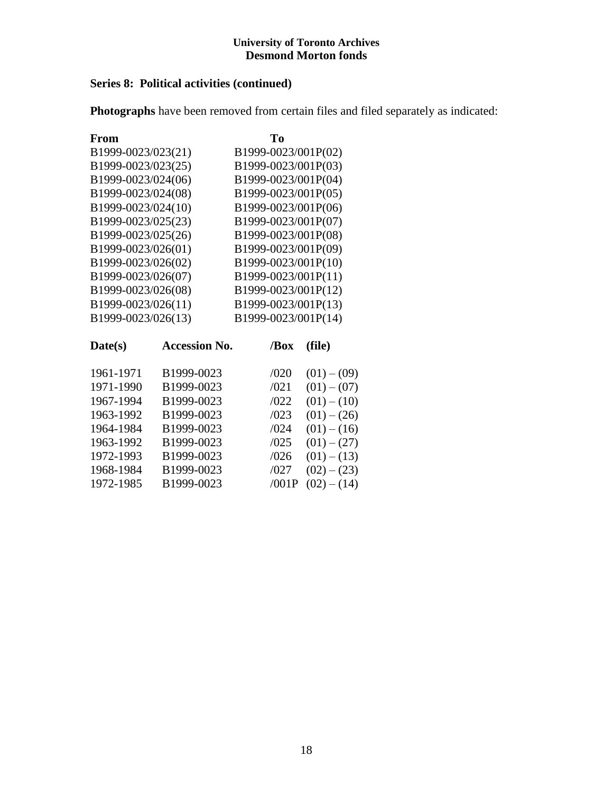## **Series 8: Political activities (continued)**

**Photographs** have been removed from certain files and filed separately as indicated:

| From               |                      | Tо   |                     |
|--------------------|----------------------|------|---------------------|
| B1999-0023/023(21) |                      |      | B1999-0023/001P(02) |
| B1999-0023/023(25) |                      |      | B1999-0023/001P(03) |
| B1999-0023/024(06) |                      |      | B1999-0023/001P(04) |
| B1999-0023/024(08) |                      |      | B1999-0023/001P(05) |
| B1999-0023/024(10) |                      |      | B1999-0023/001P(06) |
| B1999-0023/025(23) |                      |      | B1999-0023/001P(07) |
| B1999-0023/025(26) |                      |      | B1999-0023/001P(08) |
| B1999-0023/026(01) |                      |      | B1999-0023/001P(09) |
| B1999-0023/026(02) |                      |      | B1999-0023/001P(10) |
| B1999-0023/026(07) |                      |      | B1999-0023/001P(11) |
| B1999-0023/026(08) |                      |      | B1999-0023/001P(12) |
| B1999-0023/026(11) |                      |      | B1999-0023/001P(13) |
| B1999-0023/026(13) |                      |      | B1999-0023/001P(14) |
| Date(s)            | <b>Accession No.</b> | /Box | (file)              |

| 1961-1971 | B1999-0023 | /020  | $(01) - (09)$ |
|-----------|------------|-------|---------------|
| 1971-1990 | B1999-0023 | /021  | $(01) - (07)$ |
| 1967-1994 | B1999-0023 | /022  | $(01) - (10)$ |
| 1963-1992 | B1999-0023 | /023  | $(01) - (26)$ |
| 1964-1984 | B1999-0023 | /024  | $(01) - (16)$ |
| 1963-1992 | B1999-0023 | /025  | $(01) - (27)$ |
| 1972-1993 | B1999-0023 | /026  | $(01) - (13)$ |
| 1968-1984 | B1999-0023 | /027  | $(02) - (23)$ |
| 1972-1985 | B1999-0023 | /001P | $(02) - (14)$ |
|           |            |       |               |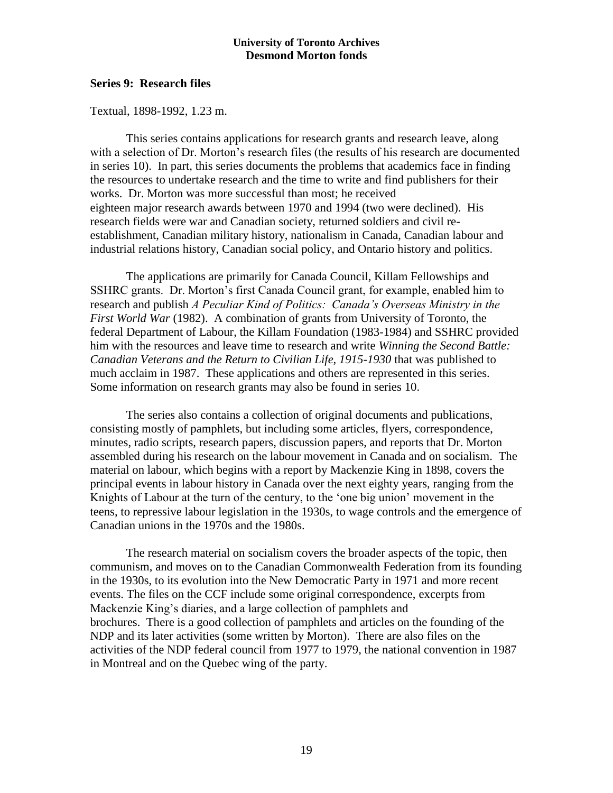## **Series 9: Research files**

Textual, 1898-1992, 1.23 m.

This series contains applications for research grants and research leave, along with a selection of Dr. Morton's research files (the results of his research are documented in series 10). In part, this series documents the problems that academics face in finding the resources to undertake research and the time to write and find publishers for their works. Dr. Morton was more successful than most; he received eighteen major research awards between 1970 and 1994 (two were declined). His research fields were war and Canadian society, returned soldiers and civil reestablishment, Canadian military history, nationalism in Canada, Canadian labour and industrial relations history, Canadian social policy, and Ontario history and politics.

The applications are primarily for Canada Council, Killam Fellowships and SSHRC grants. Dr. Morton's first Canada Council grant, for example, enabled him to research and publish *A Peculiar Kind of Politics: Canada's Overseas Ministry in the First World War* (1982). A combination of grants from University of Toronto, the federal Department of Labour, the Killam Foundation (1983-1984) and SSHRC provided him with the resources and leave time to research and write *Winning the Second Battle: Canadian Veterans and the Return to Civilian Life, 1915-1930* that was published to much acclaim in 1987. These applications and others are represented in this series. Some information on research grants may also be found in series 10.

The series also contains a collection of original documents and publications, consisting mostly of pamphlets, but including some articles, flyers, correspondence, minutes, radio scripts, research papers, discussion papers, and reports that Dr. Morton assembled during his research on the labour movement in Canada and on socialism. The material on labour, which begins with a report by Mackenzie King in 1898, covers the principal events in labour history in Canada over the next eighty years, ranging from the Knights of Labour at the turn of the century, to the 'one big union' movement in the teens, to repressive labour legislation in the 1930s, to wage controls and the emergence of Canadian unions in the 1970s and the 1980s.

The research material on socialism covers the broader aspects of the topic, then communism, and moves on to the Canadian Commonwealth Federation from its founding in the 1930s, to its evolution into the New Democratic Party in 1971 and more recent events. The files on the CCF include some original correspondence, excerpts from Mackenzie King's diaries, and a large collection of pamphlets and brochures. There is a good collection of pamphlets and articles on the founding of the NDP and its later activities (some written by Morton). There are also files on the activities of the NDP federal council from 1977 to 1979, the national convention in 1987 in Montreal and on the Quebec wing of the party.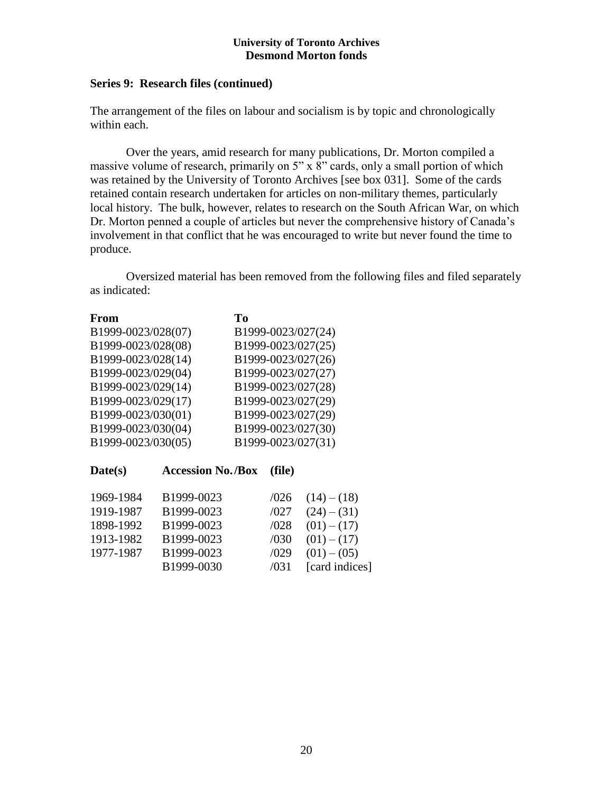## **Series 9: Research files (continued)**

The arrangement of the files on labour and socialism is by topic and chronologically within each.

Over the years, amid research for many publications, Dr. Morton compiled a massive volume of research, primarily on 5" x 8" cards, only a small portion of which was retained by the University of Toronto Archives [see box 031]. Some of the cards retained contain research undertaken for articles on non-military themes, particularly local history. The bulk, however, relates to research on the South African War, on which Dr. Morton penned a couple of articles but never the comprehensive history of Canada's involvement in that conflict that he was encouraged to write but never found the time to produce.

Oversized material has been removed from the following files and filed separately as indicated:

| <b>From</b>        |                          | T <sub>0</sub> |        |                    |
|--------------------|--------------------------|----------------|--------|--------------------|
| B1999-0023/028(07) |                          |                |        | B1999-0023/027(24) |
| B1999-0023/028(08) |                          |                |        | B1999-0023/027(25) |
| B1999-0023/028(14) |                          |                |        | B1999-0023/027(26) |
| B1999-0023/029(04) |                          |                |        | B1999-0023/027(27) |
| B1999-0023/029(14) |                          |                |        | B1999-0023/027(28) |
| B1999-0023/029(17) |                          |                |        | B1999-0023/027(29) |
| B1999-0023/030(01) |                          |                |        | B1999-0023/027(29) |
| B1999-0023/030(04) |                          |                |        | B1999-0023/027(30) |
| B1999-0023/030(05) |                          |                |        | B1999-0023/027(31) |
| Date(s)            | <b>Accession No./Box</b> |                | (file) |                    |
| 1969-1984          | B1999-0023               |                | /026   | $(14) - (18)$      |
| 1919-1987          | B1999-0023               |                | /027   | $(24) - (31)$      |
| 1898-1992          | B1999-0023               |                | /028   | $(01) - (17)$      |
| 1913-1982          | B1999-0023               |                | /030   | $(01) - (17)$      |
| 1977-1987          | B1999-0023               |                | /029   | $(01) - (05)$      |

B1999-0030 /031 [card indices]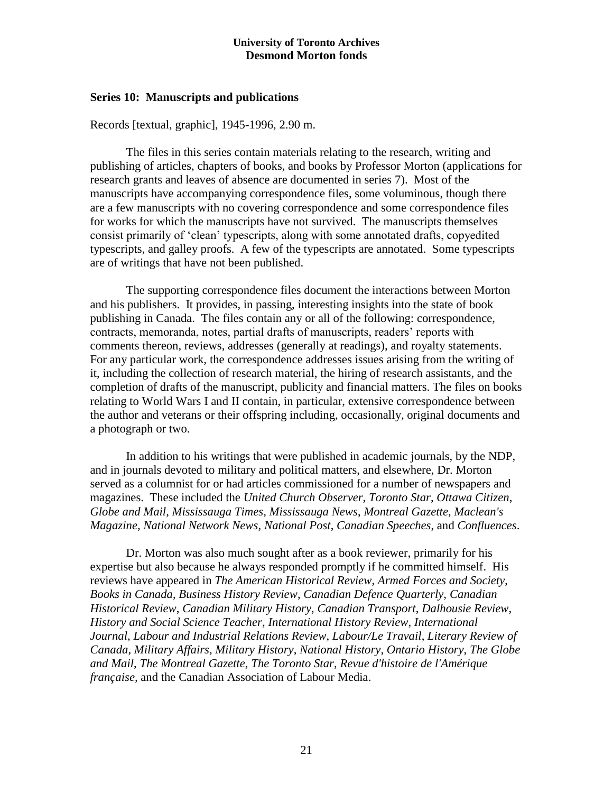#### **Series 10: Manuscripts and publications**

Records [textual, graphic], 1945-1996, 2.90 m.

The files in this series contain materials relating to the research, writing and publishing of articles, chapters of books, and books by Professor Morton (applications for research grants and leaves of absence are documented in series 7). Most of the manuscripts have accompanying correspondence files, some voluminous, though there are a few manuscripts with no covering correspondence and some correspondence files for works for which the manuscripts have not survived. The manuscripts themselves consist primarily of 'clean' typescripts, along with some annotated drafts, copyedited typescripts, and galley proofs. A few of the typescripts are annotated. Some typescripts are of writings that have not been published.

The supporting correspondence files document the interactions between Morton and his publishers. It provides, in passing, interesting insights into the state of book publishing in Canada. The files contain any or all of the following: correspondence, contracts, memoranda, notes, partial drafts of manuscripts, readers' reports with comments thereon, reviews, addresses (generally at readings), and royalty statements. For any particular work, the correspondence addresses issues arising from the writing of it, including the collection of research material, the hiring of research assistants, and the completion of drafts of the manuscript, publicity and financial matters. The files on books relating to World Wars I and II contain, in particular, extensive correspondence between the author and veterans or their offspring including, occasionally, original documents and a photograph or two.

In addition to his writings that were published in academic journals, by the NDP, and in journals devoted to military and political matters, and elsewhere, Dr. Morton served as a columnist for or had articles commissioned for a number of newspapers and magazines. These included the *United Church Observer*, *Toronto Star*, *Ottawa Citizen*, *Globe and Mail*, *Mississauga Times*, *Mississauga News*, *Montreal Gazette*, *Maclean's Magazine*, *National Network News*, *National Post*, *Canadian Speeches*, and *Confluences*.

Dr. Morton was also much sought after as a book reviewer, primarily for his expertise but also because he always responded promptly if he committed himself. His reviews have appeared in *The American Historical Review*, *Armed Forces and Society*, *Books in Canada*, *Business History Review*, *Canadian Defence Quarterly*, *Canadian Historical Review*, *Canadian Military History*, *Canadian Transport*, *Dalhousie Review*, *History and Social Science Teacher*, *International History Review*, *International Journal*, *Labour and Industrial Relations Review*, *Labour/Le Travail*, *Literary Review of Canada*, *Military Affairs*, *Military History*, *National History*, *Ontario History*, *The Globe and Mail*, *The Montreal Gazette*, *The Toronto Star*, *Revue d'histoire de l'Amérique française,* and the Canadian Association of Labour Media.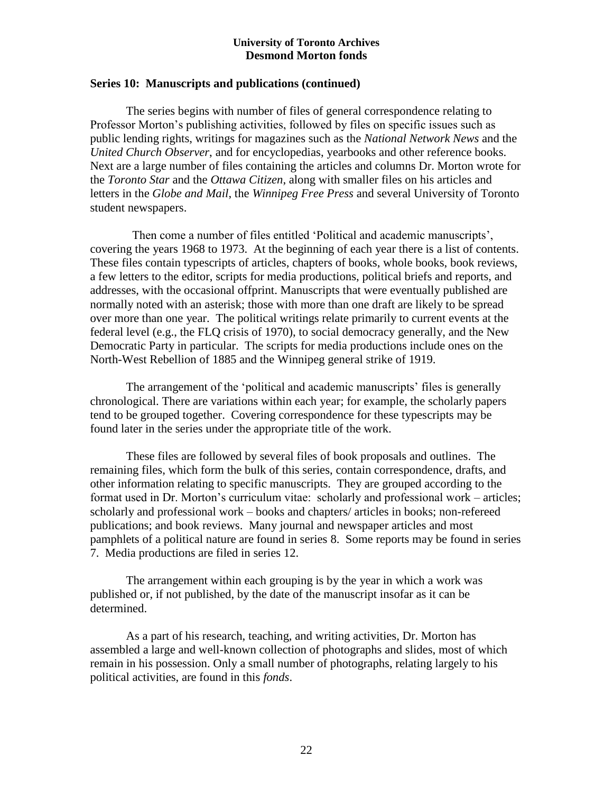## **Series 10: Manuscripts and publications (continued)**

The series begins with number of files of general correspondence relating to Professor Morton's publishing activities, followed by files on specific issues such as public lending rights, writings for magazines such as the *National Network News* and the *United Church Observer*, and for encyclopedias, yearbooks and other reference books. Next are a large number of files containing the articles and columns Dr. Morton wrote for the *Toronto Star* and the *Ottawa Citizen*, along with smaller files on his articles and letters in the *Globe and Mail*, the *Winnipeg Free Press* and several University of Toronto student newspapers.

 Then come a number of files entitled 'Political and academic manuscripts', covering the years 1968 to 1973. At the beginning of each year there is a list of contents. These files contain typescripts of articles, chapters of books, whole books, book reviews, a few letters to the editor, scripts for media productions, political briefs and reports, and addresses, with the occasional offprint. Manuscripts that were eventually published are normally noted with an asterisk; those with more than one draft are likely to be spread over more than one year. The political writings relate primarily to current events at the federal level (e.g., the FLQ crisis of 1970), to social democracy generally, and the New Democratic Party in particular. The scripts for media productions include ones on the North-West Rebellion of 1885 and the Winnipeg general strike of 1919.

The arrangement of the 'political and academic manuscripts' files is generally chronological. There are variations within each year; for example, the scholarly papers tend to be grouped together. Covering correspondence for these typescripts may be found later in the series under the appropriate title of the work.

These files are followed by several files of book proposals and outlines. The remaining files, which form the bulk of this series, contain correspondence, drafts, and other information relating to specific manuscripts. They are grouped according to the format used in Dr. Morton's curriculum vitae: scholarly and professional work – articles; scholarly and professional work – books and chapters/ articles in books; non-refereed publications; and book reviews. Many journal and newspaper articles and most pamphlets of a political nature are found in series 8. Some reports may be found in series 7. Media productions are filed in series 12.

The arrangement within each grouping is by the year in which a work was published or, if not published, by the date of the manuscript insofar as it can be determined.

As a part of his research, teaching, and writing activities, Dr. Morton has assembled a large and well-known collection of photographs and slides, most of which remain in his possession. Only a small number of photographs, relating largely to his political activities, are found in this *fonds*.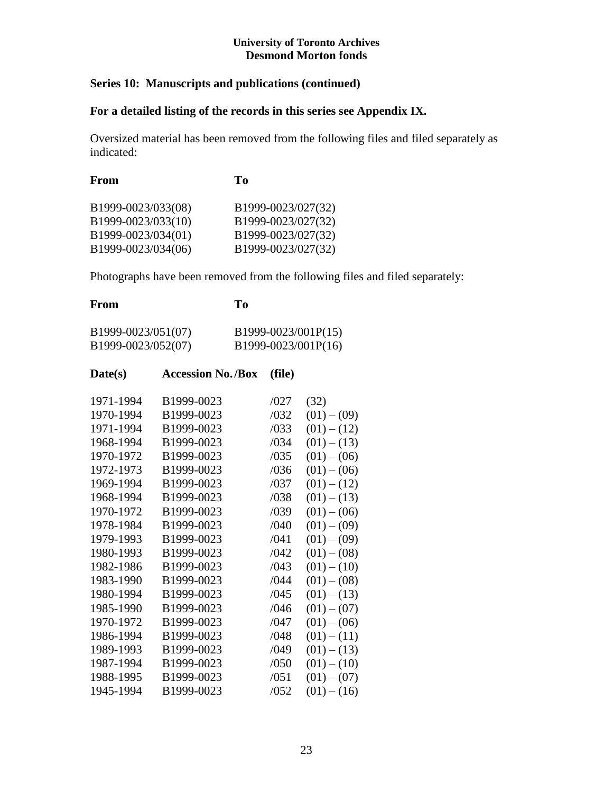## **Series 10: Manuscripts and publications (continued)**

## **For a detailed listing of the records in this series see Appendix IX.**

Oversized material has been removed from the following files and filed separately as indicated:

| From               | To                 |
|--------------------|--------------------|
| B1999-0023/033(08) | B1999-0023/027(32) |
| B1999-0023/033(10) | B1999-0023/027(32) |
| B1999-0023/034(01) | B1999-0023/027(32) |
| B1999-0023/034(06) | B1999-0023/027(32) |
|                    |                    |

Photographs have been removed from the following files and filed separately:

| From                                                                                                                                                                                                                                                |                                                                                                                                                                                                                                                                        | To |                                                                                                                                                      |                                                                                                                                                                                                                                                                                                                        |
|-----------------------------------------------------------------------------------------------------------------------------------------------------------------------------------------------------------------------------------------------------|------------------------------------------------------------------------------------------------------------------------------------------------------------------------------------------------------------------------------------------------------------------------|----|------------------------------------------------------------------------------------------------------------------------------------------------------|------------------------------------------------------------------------------------------------------------------------------------------------------------------------------------------------------------------------------------------------------------------------------------------------------------------------|
| B1999-0023/051(07)<br>B1999-0023/052(07)                                                                                                                                                                                                            |                                                                                                                                                                                                                                                                        |    |                                                                                                                                                      | B1999-0023/001P(15)<br>B1999-0023/001P(16)                                                                                                                                                                                                                                                                             |
| Date(s)                                                                                                                                                                                                                                             | <b>Accession No./Box</b>                                                                                                                                                                                                                                               |    | (file)                                                                                                                                               |                                                                                                                                                                                                                                                                                                                        |
| 1971-1994<br>1970-1994<br>1971-1994<br>1968-1994<br>1970-1972<br>1972-1973<br>1969-1994<br>1968-1994<br>1970-1972<br>1978-1984<br>1979-1993<br>1980-1993<br>1982-1986<br>1983-1990<br>1980-1994<br>1985-1990<br>1970-1972<br>1986-1994<br>1989-1993 | B1999-0023<br>B1999-0023<br>B1999-0023<br>B1999-0023<br>B1999-0023<br>B1999-0023<br>B1999-0023<br>B1999-0023<br>B1999-0023<br>B1999-0023<br>B1999-0023<br>B1999-0023<br>B1999-0023<br>B1999-0023<br>B1999-0023<br>B1999-0023<br>B1999-0023<br>B1999-0023<br>B1999-0023 |    | /027<br>/032<br>/033<br>/034<br>/035<br>/036<br>/037<br>/038<br>/039<br>/040<br>/041<br>/042<br>/043<br>/044<br>/045<br>/046<br>/047<br>/048<br>/049 | (32)<br>$(01) - (09)$<br>$(01) - (12)$<br>$(01) - (13)$<br>$(01) - (06)$<br>$(01) - (06)$<br>$(01) - (12)$<br>$(01) - (13)$<br>$(01) - (06)$<br>$(01) - (09)$<br>$(01) - (09)$<br>$(01) - (08)$<br>$(01) - (10)$<br>$(01) - (08)$<br>$(01) - (13)$<br>$(01) - (07)$<br>$(01) - (06)$<br>$(01) - (11)$<br>$(01) - (13)$ |
| 1987-1994<br>1988-1995<br>1945-1994                                                                                                                                                                                                                 | B1999-0023<br>B1999-0023<br>B1999-0023                                                                                                                                                                                                                                 |    | /050<br>/051<br>/052                                                                                                                                 | $(01) - (10)$<br>$(01) - (07)$<br>$(01) - (16)$                                                                                                                                                                                                                                                                        |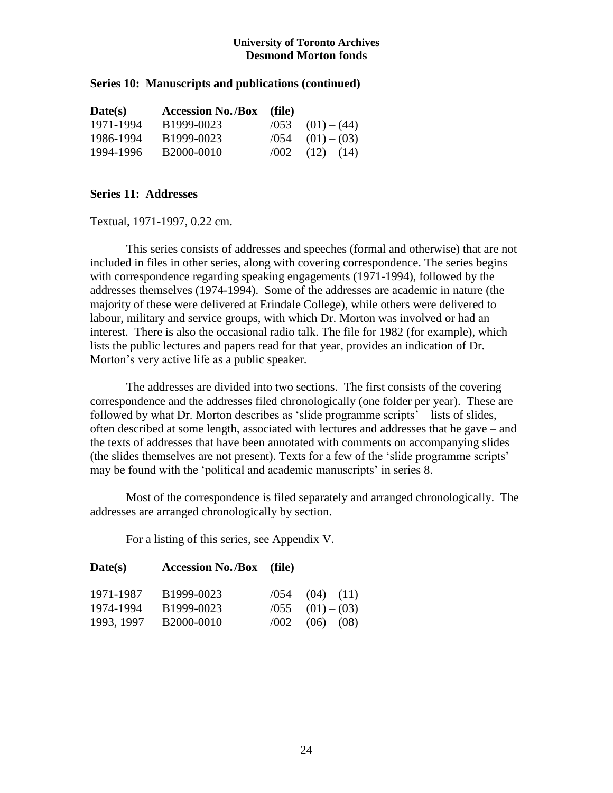## **Series 10: Manuscripts and publications (continued)**

| Date(s)   | <b>Accession No./Box</b> (file) |      |                            |
|-----------|---------------------------------|------|----------------------------|
| 1971-1994 | B1999-0023                      | /053 | $(01) - (44)$              |
| 1986-1994 | B1999-0023                      |      | $\sqrt{054}$ $(01) - (03)$ |
| 1994-1996 | B2000-0010                      |      | $(12) - (14)$              |

## **Series 11: Addresses**

Textual, 1971-1997, 0.22 cm.

This series consists of addresses and speeches (formal and otherwise) that are not included in files in other series, along with covering correspondence. The series begins with correspondence regarding speaking engagements (1971-1994), followed by the addresses themselves (1974-1994). Some of the addresses are academic in nature (the majority of these were delivered at Erindale College), while others were delivered to labour, military and service groups, with which Dr. Morton was involved or had an interest. There is also the occasional radio talk. The file for 1982 (for example), which lists the public lectures and papers read for that year, provides an indication of Dr. Morton's very active life as a public speaker.

The addresses are divided into two sections. The first consists of the covering correspondence and the addresses filed chronologically (one folder per year). These are followed by what Dr. Morton describes as 'slide programme scripts' – lists of slides, often described at some length, associated with lectures and addresses that he gave – and the texts of addresses that have been annotated with comments on accompanying slides (the slides themselves are not present). Texts for a few of the 'slide programme scripts' may be found with the 'political and academic manuscripts' in series 8.

Most of the correspondence is filed separately and arranged chronologically. The addresses are arranged chronologically by section.

For a listing of this series, see Appendix V.

| Date(s)    | <b>Accession No./Box</b> (file) |      |                            |
|------------|---------------------------------|------|----------------------------|
| 1971-1987  | B1999-0023                      |      | $\sqrt{054}$ $(04) - (11)$ |
| 1974-1994  | B1999-0023                      |      | $\sqrt{055}$ $(01) - (03)$ |
| 1993, 1997 | B2000-0010                      | /002 | $(06) - (08)$              |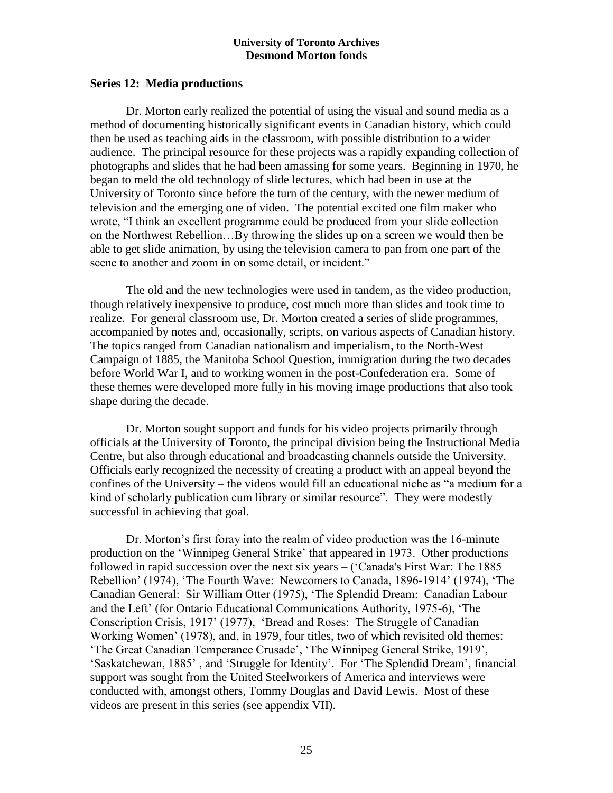#### **Series 12: Media productions**

Dr. Morton early realized the potential of using the visual and sound media as a method of documenting historically significant events in Canadian history, which could then be used as teaching aids in the classroom, with possible distribution to a wider audience. The principal resource for these projects was a rapidly expanding collection of photographs and slides that he had been amassing for some years. Beginning in 1970, he began to meld the old technology of slide lectures, which had been in use at the University of Toronto since before the turn of the century, with the newer medium of television and the emerging one of video. The potential excited one film maker who wrote, "I think an excellent programme could be produced from your slide collection on the Northwest Rebellion…By throwing the slides up on a screen we would then be able to get slide animation, by using the television camera to pan from one part of the scene to another and zoom in on some detail, or incident."

The old and the new technologies were used in tandem, as the video production, though relatively inexpensive to produce, cost much more than slides and took time to realize. For general classroom use, Dr. Morton created a series of slide programmes, accompanied by notes and, occasionally, scripts, on various aspects of Canadian history. The topics ranged from Canadian nationalism and imperialism, to the North-West Campaign of 1885, the Manitoba School Question, immigration during the two decades before World War I, and to working women in the post-Confederation era. Some of these themes were developed more fully in his moving image productions that also took shape during the decade.

Dr. Morton sought support and funds for his video projects primarily through officials at the University of Toronto, the principal division being the Instructional Media Centre, but also through educational and broadcasting channels outside the University. Officials early recognized the necessity of creating a product with an appeal beyond the confines of the University – the videos would fill an educational niche as "a medium for a kind of scholarly publication cum library or similar resource". They were modestly successful in achieving that goal.

Dr. Morton's first foray into the realm of video production was the 16-minute production on the 'Winnipeg General Strike' that appeared in 1973. Other productions followed in rapid succession over the next six years – ('Canada's First War: The 1885 Rebellion' (1974), 'The Fourth Wave: Newcomers to Canada, 1896-1914' (1974), 'The Canadian General: Sir William Otter (1975), 'The Splendid Dream: Canadian Labour and the Left' (for Ontario Educational Communications Authority, 1975-6), 'The Conscription Crisis, 1917' (1977), 'Bread and Roses: The Struggle of Canadian Working Women' (1978), and, in 1979, four titles, two of which revisited old themes: 'The Great Canadian Temperance Crusade', 'The Winnipeg General Strike, 1919', 'Saskatchewan, 1885' , and 'Struggle for Identity'. For 'The Splendid Dream', financial support was sought from the United Steelworkers of America and interviews were conducted with, amongst others, Tommy Douglas and David Lewis. Most of these videos are present in this series (see appendix VII).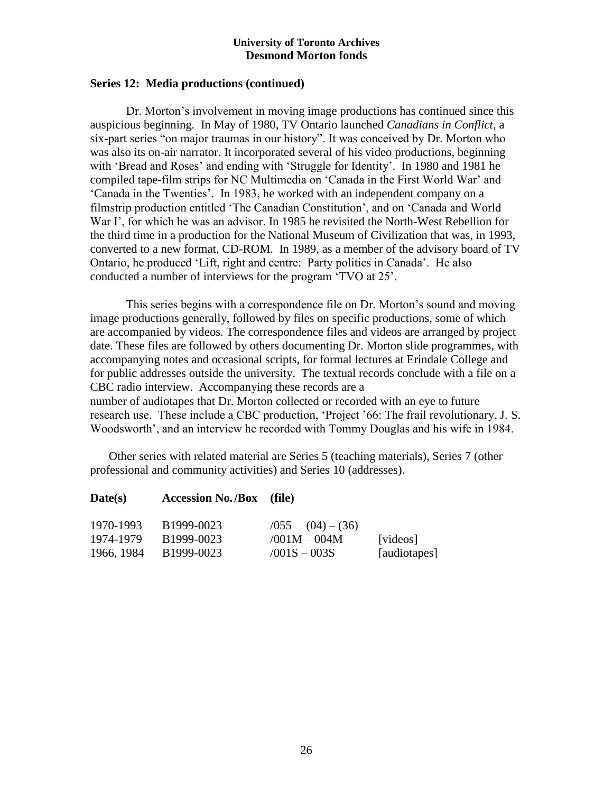## **Series 12: Media productions (continued)**

Dr. Morton's involvement in moving image productions has continued since this auspicious beginning. In May of 1980, TV Ontario launched *Canadians in Conflict*, a six-part series "on major traumas in our history". It was conceived by Dr. Morton who was also its on-air narrator. It incorporated several of his video productions, beginning with 'Bread and Roses' and ending with 'Struggle for Identity'. In 1980 and 1981 he compiled tape-film strips for NC Multimedia on 'Canada in the First World War' and 'Canada in the Twenties'. In 1983, he worked with an independent company on a filmstrip production entitled 'The Canadian Constitution', and on 'Canada and World War I', for which he was an advisor. In 1985 he revisited the North-West Rebellion for the third time in a production for the National Museum of Civilization that was, in 1993, converted to a new format, CD-ROM. In 1989, as a member of the advisory board of TV Ontario, he produced 'Lift, right and centre: Party politics in Canada'. He also conducted a number of interviews for the program 'TVO at 25'.

This series begins with a correspondence file on Dr. Morton's sound and moving image productions generally, followed by files on specific productions, some of which are accompanied by videos. The correspondence files and videos are arranged by project date. These files are followed by others documenting Dr. Morton slide programmes, with accompanying notes and occasional scripts, for formal lectures at Erindale College and for public addresses outside the university. The textual records conclude with a file on a CBC radio interview. Accompanying these records are a number of audiotapes that Dr. Morton collected or recorded with an eye to future research use. These include a CBC production, 'Project '66: The frail revolutionary, J. S. Woodsworth', and an interview he recorded with Tommy Douglas and his wife in 1984.

Other series with related material are Series 5 (teaching materials), Series 7 (other professional and community activities) and Series 10 (addresses).

| Date(s) | <b>Accession No./Box</b> (file) |  |
|---------|---------------------------------|--|
|---------|---------------------------------|--|

| 1970-1993  | B1999-0023 | $\sqrt{055}$ $(04) - (36)$ |              |
|------------|------------|----------------------------|--------------|
| 1974-1979  | B1999-0023 | $/001M - 004M$             | [videos]     |
| 1966, 1984 | B1999-0023 | $/001S - 003S$             | [audiotapes] |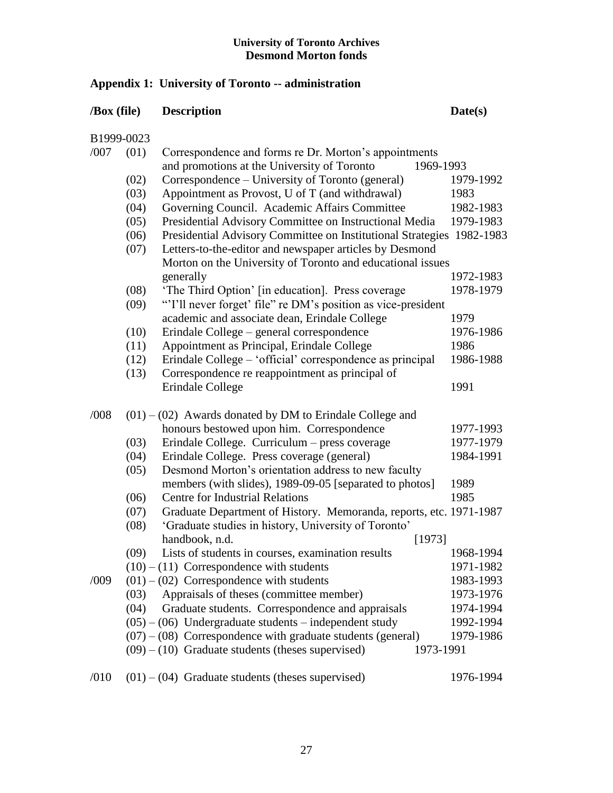## **Appendix 1: University of Toronto -- administration**

## **/Box (file) Description Date(s)**

B1999-0023

| /007 | (01) | Correspondence and forms re Dr. Morton's appointments                 |           |
|------|------|-----------------------------------------------------------------------|-----------|
|      |      | and promotions at the University of Toronto<br>1969-1993              |           |
|      | (02) | Correspondence – University of Toronto (general)                      | 1979-1992 |
|      | (03) | Appointment as Provost, U of T (and withdrawal)                       | 1983      |
|      | (04) | Governing Council. Academic Affairs Committee                         | 1982-1983 |
|      | (05) | Presidential Advisory Committee on Instructional Media                | 1979-1983 |
|      | (06) | Presidential Advisory Committee on Institutional Strategies 1982-1983 |           |
|      | (07) | Letters-to-the-editor and newspaper articles by Desmond               |           |
|      |      | Morton on the University of Toronto and educational issues            |           |
|      |      | generally                                                             | 1972-1983 |
|      | (08) | 'The Third Option' [in education]. Press coverage                     | 1978-1979 |
|      | (09) | "I'll never forget' file" re DM's position as vice-president          |           |
|      |      | academic and associate dean, Erindale College                         | 1979      |
|      | (10) | Erindale College - general correspondence                             | 1976-1986 |
|      | (11) | Appointment as Principal, Erindale College                            | 1986      |
|      | (12) | Erindale College – 'official' correspondence as principal             | 1986-1988 |
|      | (13) | Correspondence re reappointment as principal of                       |           |
|      |      | Erindale College                                                      | 1991      |
| /008 |      | $(01) - (02)$ Awards donated by DM to Erindale College and            |           |
|      |      | honours bestowed upon him. Correspondence                             | 1977-1993 |
|      | (03) | Erindale College. Curriculum – press coverage                         | 1977-1979 |
|      | (04) | Erindale College. Press coverage (general)                            | 1984-1991 |
|      | (05) | Desmond Morton's orientation address to new faculty                   |           |
|      |      | members (with slides), 1989-09-05 [separated to photos]               | 1989      |
|      | (06) | <b>Centre for Industrial Relations</b>                                | 1985      |
|      | (07) | Graduate Department of History. Memoranda, reports, etc. 1971-1987    |           |
|      | (08) | 'Graduate studies in history, University of Toronto'                  |           |
|      |      | handbook, n.d.<br>[1973]                                              |           |
|      | (09) | Lists of students in courses, examination results                     | 1968-1994 |
|      |      | $(10) - (11)$ Correspondence with students                            | 1971-1982 |
| /009 |      | $(01) - (02)$ Correspondence with students                            | 1983-1993 |
|      | (03) | Appraisals of theses (committee member)                               | 1973-1976 |
|      | (04) | Graduate students. Correspondence and appraisals                      | 1974-1994 |
|      |      | $(05) - (06)$ Undergraduate students – independent study              | 1992-1994 |
|      |      | $(07) - (08)$ Correspondence with graduate students (general)         | 1979-1986 |
|      |      | $(09) - (10)$ Graduate students (theses supervised)<br>1973-1991      |           |
| /010 |      | $(01) - (04)$ Graduate students (theses supervised)                   | 1976-1994 |
|      |      |                                                                       |           |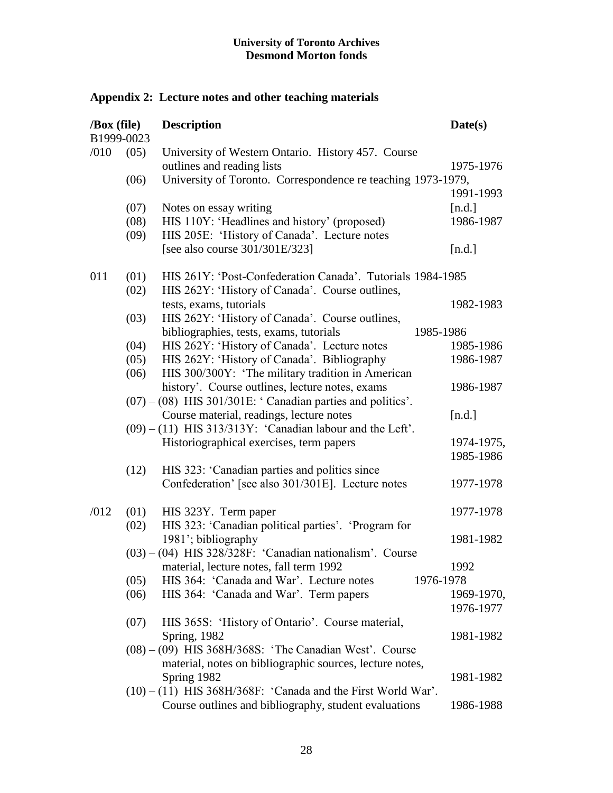# **Appendix 2: Lecture notes and other teaching materials**

| /Box (file)<br>B1999-0023 |      | <b>Description</b><br>Date(s)                                  |            |
|---------------------------|------|----------------------------------------------------------------|------------|
|                           |      |                                                                |            |
| /010                      | (05) | University of Western Ontario. History 457. Course             |            |
|                           |      | outlines and reading lists                                     | 1975-1976  |
|                           | (06) | University of Toronto. Correspondence re teaching 1973-1979,   |            |
|                           |      |                                                                | 1991-1993  |
|                           | (07) | Notes on essay writing                                         | [n.d.]     |
|                           | (08) | HIS 110Y: 'Headlines and history' (proposed)                   | 1986-1987  |
|                           | (09) | HIS 205E: 'History of Canada'. Lecture notes                   |            |
|                           |      | [see also course 301/301E/323]                                 | [n.d.]     |
| 011                       | (01) | HIS 261Y: 'Post-Confederation Canada'. Tutorials 1984-1985     |            |
|                           | (02) | HIS 262Y: 'History of Canada'. Course outlines,                |            |
|                           |      | tests, exams, tutorials                                        | 1982-1983  |
|                           | (03) | HIS 262Y: 'History of Canada'. Course outlines,                |            |
|                           |      | bibliographies, tests, exams, tutorials<br>1985-1986           |            |
|                           | (04) | HIS 262Y: 'History of Canada'. Lecture notes                   | 1985-1986  |
|                           | (05) | HIS 262Y: 'History of Canada'. Bibliography                    | 1986-1987  |
|                           | (06) | HIS 300/300Y: 'The military tradition in American              |            |
|                           |      | history'. Course outlines, lecture notes, exams                | 1986-1987  |
|                           |      | $(07) - (08)$ HIS 301/301E: 'Canadian parties and politics'.   |            |
|                           |      | Course material, readings, lecture notes                       | [n.d.]     |
|                           |      | $(09) - (11)$ HIS 313/313Y: 'Canadian labour and the Left'.    |            |
|                           |      | Historiographical exercises, term papers                       | 1974-1975, |
|                           |      |                                                                | 1985-1986  |
|                           | (12) | HIS 323: 'Canadian parties and politics since                  |            |
|                           |      | Confederation' [see also 301/301E]. Lecture notes              | 1977-1978  |
|                           |      |                                                                |            |
| /012                      | (01) | HIS 323Y. Term paper                                           | 1977-1978  |
|                           | (02) | HIS 323: 'Canadian political parties'. 'Program for            |            |
|                           |      | 1981'; bibliography                                            | 1981-1982  |
|                           |      | $(03) - (04)$ HIS 328/328F: 'Canadian nationalism'. Course     |            |
|                           |      | material, lecture notes, fall term 1992                        | 1992       |
|                           | (05) | HIS 364: 'Canada and War'. Lecture notes<br>1976-1978          |            |
|                           | (06) | HIS 364: 'Canada and War'. Term papers                         | 1969-1970, |
|                           |      |                                                                | 1976-1977  |
|                           | (07) | HIS 365S: 'History of Ontario'. Course material,               |            |
|                           |      | <b>Spring</b> , 1982                                           | 1981-1982  |
|                           |      | $(08) - (09)$ HIS 368H/368S: 'The Canadian West'. Course       |            |
|                           |      | material, notes on bibliographic sources, lecture notes,       |            |
|                           |      | Spring 1982                                                    | 1981-1982  |
|                           |      | $(10) - (11)$ HIS 368H/368F: 'Canada and the First World War'. |            |
|                           |      | Course outlines and bibliography, student evaluations          | 1986-1988  |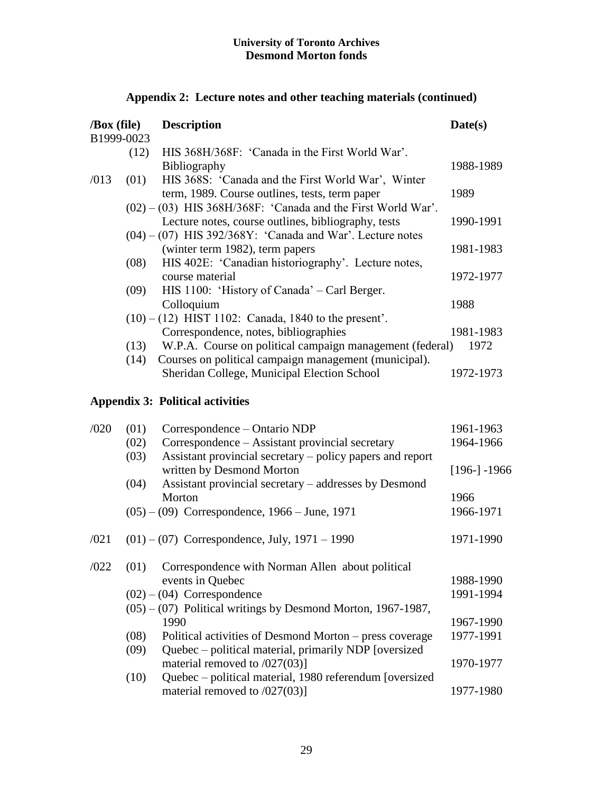| /Box (file) | B1999-0023 | <b>Description</b>                                                                                                 | Date(s)         |
|-------------|------------|--------------------------------------------------------------------------------------------------------------------|-----------------|
|             | (12)       | HIS 368H/368F: 'Canada in the First World War'.                                                                    |                 |
|             |            | Bibliography                                                                                                       | 1988-1989       |
| /013        | (01)       | HIS 368S: 'Canada and the First World War', Winter<br>term, 1989. Course outlines, tests, term paper               | 1989            |
|             |            | $(02) - (03)$ HIS 368H/368F: 'Canada and the First World War'.                                                     |                 |
|             |            | Lecture notes, course outlines, bibliography, tests<br>$(04) - (07)$ HIS 392/368Y: 'Canada and War'. Lecture notes | 1990-1991       |
|             |            | (winter term 1982), term papers                                                                                    | 1981-1983       |
|             | (08)       | HIS 402E: 'Canadian historiography'. Lecture notes,                                                                |                 |
|             |            | course material                                                                                                    | 1972-1977       |
|             | (09)       | HIS 1100: 'History of Canada' – Carl Berger.                                                                       |                 |
|             |            | Colloquium                                                                                                         | 1988            |
|             |            | $(10) - (12)$ HIST 1102: Canada, 1840 to the present'.                                                             |                 |
|             |            | Correspondence, notes, bibliographies                                                                              | 1981-1983       |
|             | (13)       | W.P.A. Course on political campaign management (federal)                                                           | 1972            |
|             | (14)       | Courses on political campaign management (municipal).                                                              |                 |
|             |            | Sheridan College, Municipal Election School                                                                        | 1972-1973       |
|             |            | <b>Appendix 3: Political activities</b>                                                                            |                 |
| /020        | (01)       | Correspondence – Ontario NDP                                                                                       | 1961-1963       |
|             | (02)       | Correspondence – Assistant provincial secretary                                                                    | 1964-1966       |
|             | (03)       | Assistant provincial secretary – policy papers and report<br>written by Desmond Morton                             | $[196-] - 1966$ |
|             | (04)       | Assistant provincial secretary – addresses by Desmond                                                              |                 |
|             |            |                                                                                                                    |                 |

## **Appendix 2: Lecture notes and other teaching materials (continued)**

|      | Morton<br>$(05) - (09)$ Correspondence, 1966 – June, 1971       | 1966<br>1966-1971 |
|------|-----------------------------------------------------------------|-------------------|
| /021 | $(01) - (07)$ Correspondence, July, 1971 – 1990                 | 1971-1990         |
| /022 | Correspondence with Norman Allen about political<br>(01)        |                   |
|      | events in Quebec                                                | 1988-1990         |
|      | $(02) - (04)$ Correspondence                                    | 1991-1994         |
|      | $(05) - (07)$ Political writings by Desmond Morton, 1967-1987,  |                   |
|      | 1990                                                            | 1967-1990         |
|      | (08)<br>Political activities of Desmond Morton – press coverage | 1977-1991         |
|      | Quebec – political material, primarily NDP [oversized]<br>(09)  |                   |
|      | material removed to $/027(03)$ ]                                | 1970-1977         |
|      | Quebec - political material, 1980 referendum [oversized<br>(10) |                   |
|      | material removed to $/027(03)$ ]                                | 1977-1980         |
|      |                                                                 |                   |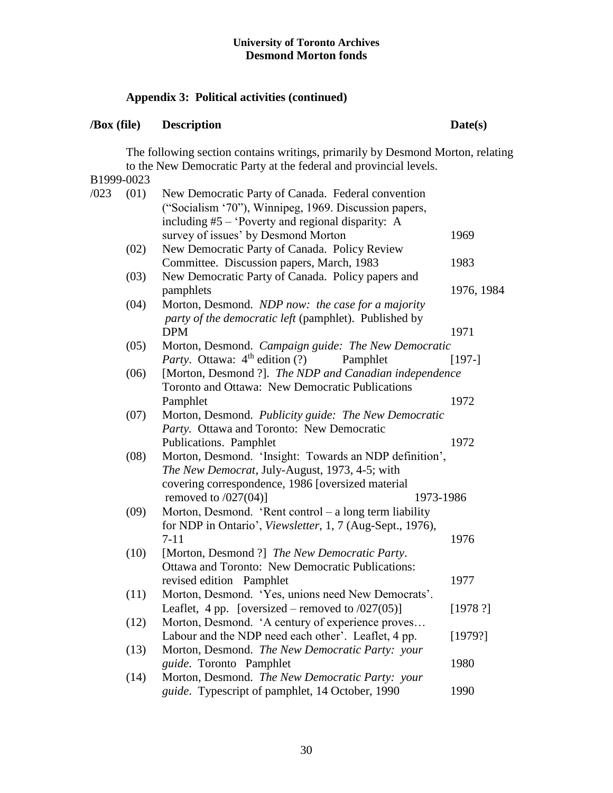## **Appendix 3: Political activities (continued)**

## **/Box (file) Description Date(s)**

The following section contains writings, primarily by Desmond Morton, relating to the New Democratic Party at the federal and provincial levels.

B1999-0023 /023 (01) New Democratic Party of Canada. Federal convention ("Socialism '70"), Winnipeg, 1969. Discussion papers, including #5 – 'Poverty and regional disparity: A survey of issues' by Desmond Morton 1969 (02) New Democratic Party of Canada. Policy Review Committee. Discussion papers, March, 1983 1983 (03) New Democratic Party of Canada. Policy papers and pamphlets 1976, 1984 (04) Morton, Desmond. *NDP now: the case for a majority party of the democratic left* (pamphlet). Published by DPM 1971 (05) Morton, Desmond. *Campaign guide: The New Democratic Party*. Ottawa: 4<sup>th</sup> edition (?) Pamphlet [197-] (06) [Morton, Desmond ?]. *The NDP and Canadian independence* Toronto and Ottawa: New Democratic Publications Pamphlet 1972 (07) Morton, Desmond. *Publicity guide: The New Democratic Party.* Ottawa and Toronto: New Democratic Publications. Pamphlet 1972 (08) Morton, Desmond. 'Insight: Towards an NDP definition', *The New Democrat*, July-August, 1973, 4-5; with covering correspondence, 1986 [oversized material removed to  $(027(04))$  1973-1986 (09) Morton, Desmond. 'Rent control – a long term liability for NDP in Ontario', *Viewsletter*, 1, 7 (Aug-Sept., 1976), 7-11 1976 (10) [Morton, Desmond ?] *The New Democratic Party*. Ottawa and Toronto: New Democratic Publications: revised edition Pamphlet 1977 (11) Morton, Desmond. 'Yes, unions need New Democrats'. Leaflet, 4 pp. [oversized – removed to  $(0.27(0.6))$  [1978 ?] (12) Morton, Desmond. 'A century of experience proves… Labour and the NDP need each other'. Leaflet, 4 pp. [1979?] (13) Morton, Desmond. *The New Democratic Party: your guide*. Toronto Pamphlet 1980 (14) Morton, Desmond. *The New Democratic Party: your guide*. Typescript of pamphlet, 14 October, 1990 1990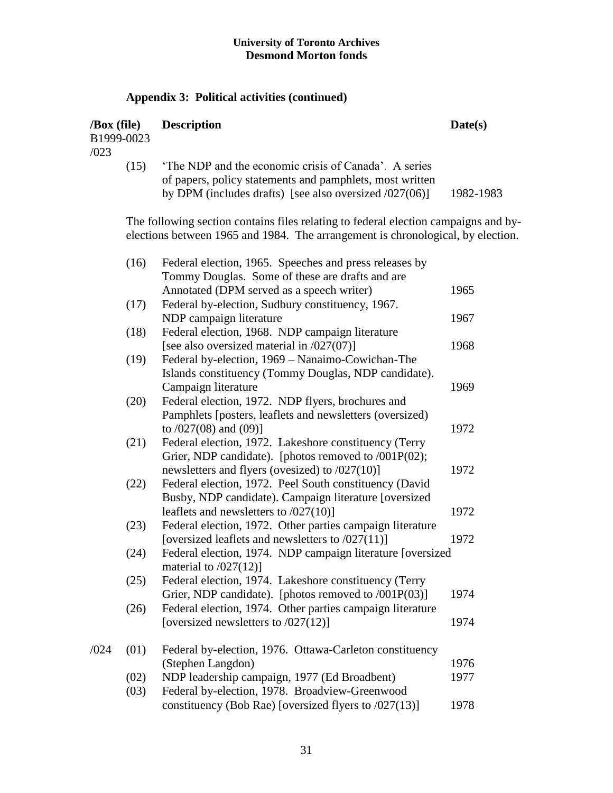## **Appendix 3: Political activities (continued)**

| $\sqrt{Box}$ (file)<br>B1999-0023<br>/023 | <b>Description</b>                                                                                                                                                             | Date(s)   |
|-------------------------------------------|--------------------------------------------------------------------------------------------------------------------------------------------------------------------------------|-----------|
| (15)                                      | 'The NDP and the economic crisis of Canada'. A series<br>of papers, policy statements and pamphlets, most written<br>by DPM (includes drafts) [see also oversized $/027(06)$ ] | 1982-1983 |

The following section contains files relating to federal election campaigns and byelections between 1965 and 1984. The arrangement is chronological, by election.

|      | (16) | Federal election, 1965. Speeches and press releases by     |      |
|------|------|------------------------------------------------------------|------|
|      |      | Tommy Douglas. Some of these are drafts and are            |      |
|      |      | Annotated (DPM served as a speech writer)                  | 1965 |
|      | (17) | Federal by-election, Sudbury constituency, 1967.           |      |
|      |      | NDP campaign literature                                    | 1967 |
|      | (18) | Federal election, 1968. NDP campaign literature            |      |
|      |      | [see also oversized material in $/027(07)$ ]               | 1968 |
|      | (19) | Federal by-election, 1969 - Nanaimo-Cowichan-The           |      |
|      |      | Islands constituency (Tommy Douglas, NDP candidate).       |      |
|      |      | Campaign literature                                        | 1969 |
|      | (20) | Federal election, 1972. NDP flyers, brochures and          |      |
|      |      | Pamphlets [posters, leaflets and newsletters (oversized)   |      |
|      |      | to $/027(08)$ and $(09)$ ]                                 | 1972 |
|      | (21) | Federal election, 1972. Lakeshore constituency (Terry      |      |
|      |      | Grier, NDP candidate). [photos removed to /001P(02);       |      |
|      |      | newsletters and flyers (ovesized) to /027(10)]             | 1972 |
|      | (22) | Federal election, 1972. Peel South constituency (David     |      |
|      |      | Busby, NDP candidate). Campaign literature [oversized      |      |
|      |      | leaflets and newsletters to $/027(10)$ ]                   | 1972 |
|      | (23) | Federal election, 1972. Other parties campaign literature  |      |
|      |      | [oversized leaflets and newsletters to $/027(11)$ ]        | 1972 |
|      | (24) | Federal election, 1974. NDP campaign literature [oversized |      |
|      |      | material to $/027(12)$ ]                                   |      |
|      | (25) | Federal election, 1974. Lakeshore constituency (Terry      |      |
|      |      | Grier, NDP candidate). [photos removed to $/001P(03)$ ]    | 1974 |
|      | (26) | Federal election, 1974. Other parties campaign literature  |      |
|      |      | [oversized newsletters to $/027(12)$ ]                     | 1974 |
|      |      |                                                            |      |
| /024 | (01) | Federal by-election, 1976. Ottawa-Carleton constituency    |      |
|      |      | (Stephen Langdon)                                          | 1976 |
|      | (02) | NDP leadership campaign, 1977 (Ed Broadbent)               | 1977 |
|      | (03) | Federal by-election, 1978. Broadview-Greenwood             |      |
|      |      | constituency (Bob Rae) [oversized flyers to $/027(13)$ ]   | 1978 |
|      |      |                                                            |      |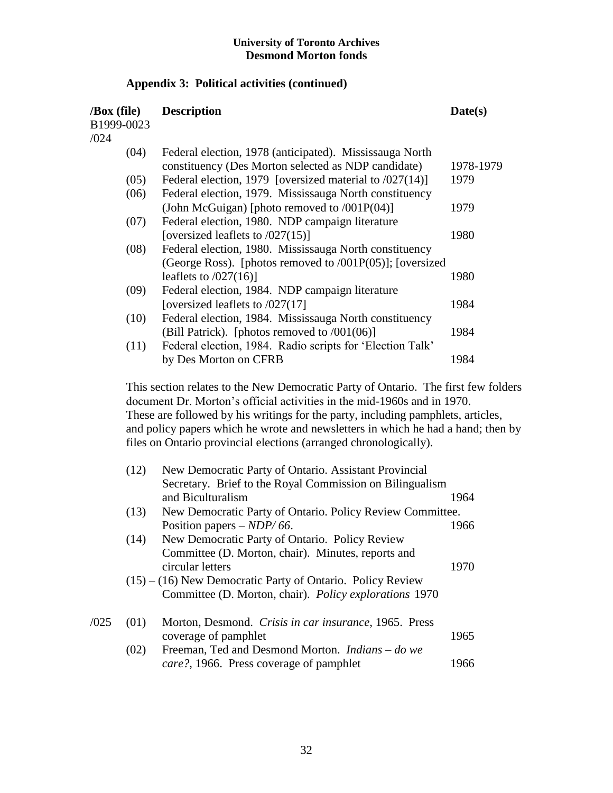## **Appendix 3: Political activities (continued)**

| $\sqrt{Box}$ (file)<br>B1999-0023<br>/024 | <b>Description</b>                                           | Date(s)   |
|-------------------------------------------|--------------------------------------------------------------|-----------|
| (04)                                      | Federal election, 1978 (anticipated). Mississauga North      |           |
|                                           | constituency (Des Morton selected as NDP candidate)          | 1978-1979 |
| (05)                                      | Federal election, 1979 [oversized material to $/027(14)$ ]   | 1979      |
| (06)                                      | Federal election, 1979. Mississauga North constituency       |           |
|                                           | (John McGuigan) [photo removed to $/001P(04)$ ]              | 1979      |
| (07)                                      | Federal election, 1980. NDP campaign literature              |           |
|                                           | [oversized leaflets to $/027(15)$ ]                          | 1980      |
| (08)                                      | Federal election, 1980. Mississauga North constituency       |           |
|                                           | (George Ross). [photos removed to $/001P(05)$ ]; [oversized] |           |
|                                           | leaflets to $/027(16)$ ]                                     | 1980      |
| (09)                                      | Federal election, 1984. NDP campaign literature              |           |
|                                           | [oversized leaflets to $/027(17)$ ]                          | 1984      |
| (10)                                      | Federal election, 1984. Mississauga North constituency       |           |
|                                           | (Bill Patrick). [photos removed to /001(06)]                 | 1984      |
| (11)                                      | Federal election, 1984. Radio scripts for 'Election Talk'    |           |
|                                           | by Des Morton on CFRB                                        | 1984      |

This section relates to the New Democratic Party of Ontario. The first few folders document Dr. Morton's official activities in the mid-1960s and in 1970. These are followed by his writings for the party, including pamphlets, articles, and policy papers which he wrote and newsletters in which he had a hand; then by files on Ontario provincial elections (arranged chronologically).

|      | (12) | New Democratic Party of Ontario. Assistant Provincial        |      |
|------|------|--------------------------------------------------------------|------|
|      |      | Secretary. Brief to the Royal Commission on Bilingualism     |      |
|      |      | and Biculturalism                                            | 1964 |
|      | (13) | New Democratic Party of Ontario. Policy Review Committee.    |      |
|      |      | Position papers $-NDP/66$ .                                  | 1966 |
|      | (14) | New Democratic Party of Ontario. Policy Review               |      |
|      |      | Committee (D. Morton, chair). Minutes, reports and           |      |
|      |      | circular letters                                             | 1970 |
|      |      | $(15) - (16)$ New Democratic Party of Ontario. Policy Review |      |
|      |      | Committee (D. Morton, chair). Policy explorations 1970       |      |
| /025 | (01) | Morton, Desmond. Crisis in car insurance, 1965. Press        |      |
|      |      | coverage of pamphlet                                         | 1965 |
|      | (02) | Freeman, Ted and Desmond Morton. <i>Indians – do we</i>      |      |
|      |      | <i>care?</i> , 1966. Press coverage of pamphlet              | 1966 |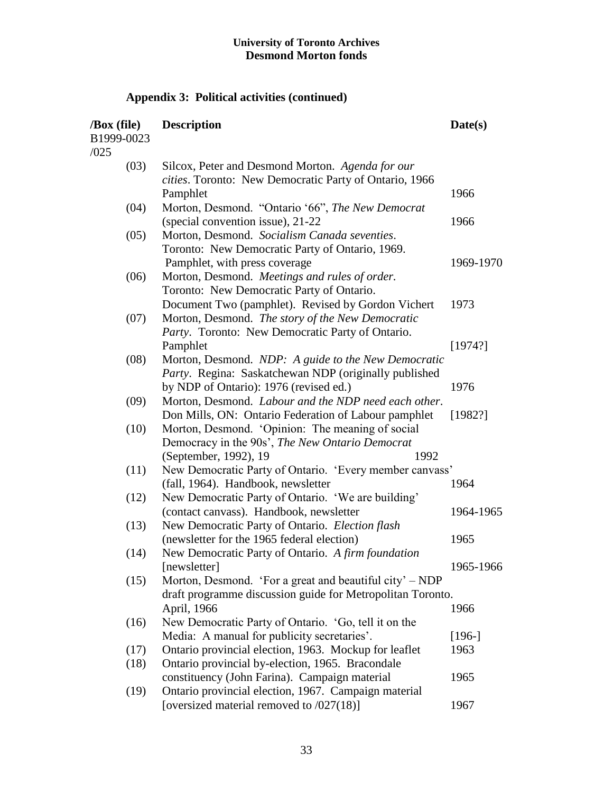# **Appendix 3: Political activities (continued)**

| /Box (file)<br>B1999-0023<br>/025 | <b>Description</b>                                         | Date(s)   |
|-----------------------------------|------------------------------------------------------------|-----------|
| (03)                              | Silcox, Peter and Desmond Morton. Agenda for our           |           |
|                                   | cities. Toronto: New Democratic Party of Ontario, 1966     |           |
|                                   | Pamphlet                                                   | 1966      |
| (04)                              | Morton, Desmond. "Ontario '66", The New Democrat           |           |
|                                   | (special convention issue), 21-22                          | 1966      |
| (05)                              | Morton, Desmond. Socialism Canada seventies.               |           |
|                                   | Toronto: New Democratic Party of Ontario, 1969.            |           |
|                                   | Pamphlet, with press coverage                              | 1969-1970 |
| (06)                              | Morton, Desmond. Meetings and rules of order.              |           |
|                                   | Toronto: New Democratic Party of Ontario.                  |           |
|                                   | Document Two (pamphlet). Revised by Gordon Vichert         | 1973      |
| (07)                              | Morton, Desmond. The story of the New Democratic           |           |
|                                   | Party. Toronto: New Democratic Party of Ontario.           |           |
|                                   | Pamphlet                                                   | [1974?]   |
| (08)                              | Morton, Desmond. NDP: A guide to the New Democratic        |           |
|                                   | Party. Regina: Saskatchewan NDP (originally published      |           |
|                                   | by NDP of Ontario): 1976 (revised ed.)                     | 1976      |
| (09)                              | Morton, Desmond. Labour and the NDP need each other.       |           |
|                                   | Don Mills, ON: Ontario Federation of Labour pamphlet       | [1982?]   |
| (10)                              | Morton, Desmond. 'Opinion: The meaning of social           |           |
|                                   | Democracy in the 90s', The New Ontario Democrat            |           |
|                                   | (September, 1992), 19<br>1992                              |           |
| (11)                              | New Democratic Party of Ontario. 'Every member canvass'    |           |
|                                   | (fall, 1964). Handbook, newsletter                         | 1964      |
| (12)                              | New Democratic Party of Ontario. 'We are building'         |           |
|                                   | (contact canvass). Handbook, newsletter                    | 1964-1965 |
| (13)                              | New Democratic Party of Ontario. Election flash            |           |
|                                   | (newsletter for the 1965 federal election)                 | 1965      |
| (14)                              | New Democratic Party of Ontario. A firm foundation         |           |
|                                   | [newsletter]                                               | 1965-1966 |
| (15)                              | Morton, Desmond. 'For a great and beautiful city' – NDP    |           |
|                                   | draft programme discussion guide for Metropolitan Toronto. |           |
|                                   | April, 1966                                                | 1966      |
| (16)                              | New Democratic Party of Ontario. 'Go, tell it on the       |           |
|                                   | Media: A manual for publicity secretaries'.                | $[196-]$  |
| (17)                              | Ontario provincial election, 1963. Mockup for leaflet      | 1963      |
| (18)                              | Ontario provincial by-election, 1965. Bracondale           |           |
|                                   | constituency (John Farina). Campaign material              | 1965      |
| (19)                              | Ontario provincial election, 1967. Campaign material       |           |
|                                   | [oversized material removed to /027(18)]                   | 1967      |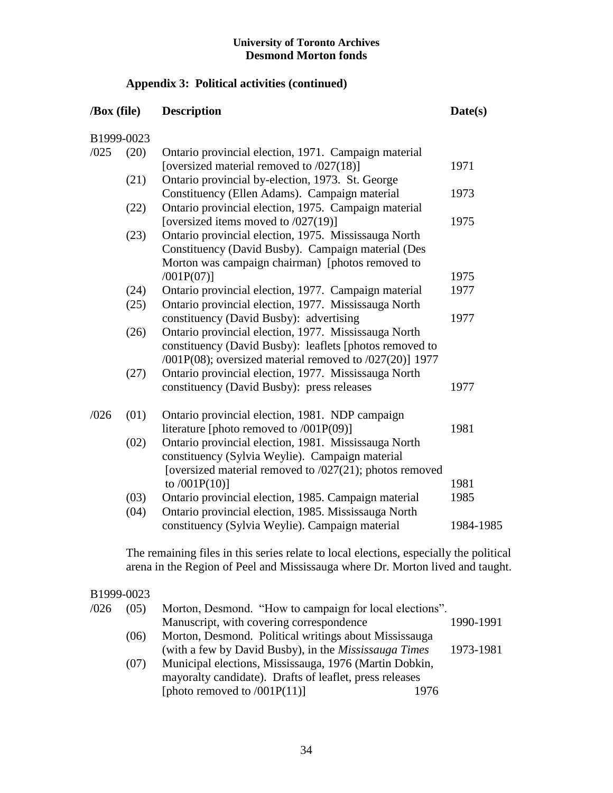## **Appendix 3: Political activities (continued)**

## **/Box (file) Description Date(s)** B1999-0023 /025 (20) Ontario provincial election, 1971. Campaign material [oversized material removed to /027(18)] 1971 (21) Ontario provincial by-election, 1973. St. George Constituency (Ellen Adams). Campaign material 1973 (22) Ontario provincial election, 1975. Campaign material [oversized items moved to  $(027(19))$ ] 1975 (23) Ontario provincial election, 1975. Mississauga North Constituency (David Busby). Campaign material (Des Morton was campaign chairman) [photos removed to /001P(07)] 1975 (24) Ontario provincial election, 1977. Campaign material 1977 (25) Ontario provincial election, 1977. Mississauga North constituency (David Busby): advertising 1977 (26) Ontario provincial election, 1977. Mississauga North constituency (David Busby): leaflets [photos removed to /001P(08); oversized material removed to /027(20)] 1977 (27) Ontario provincial election, 1977. Mississauga North constituency (David Busby): press releases 1977 /026 (01) Ontario provincial election, 1981. NDP campaign literature [photo removed to /001P(09)] 1981 (02) Ontario provincial election, 1981. Mississauga North constituency (Sylvia Weylie). Campaign material [oversized material removed to  $/027(21)$ ; photos removed to  $/001P(10)$ ] 1981 (03) Ontario provincial election, 1985. Campaign material 1985 (04) Ontario provincial election, 1985. Mississauga North constituency (Sylvia Weylie). Campaign material 1984-1985

The remaining files in this series relate to local elections, especially the political arena in the Region of Peel and Mississauga where Dr. Morton lived and taught.

## B1999-0023

| /026 | (05) | Morton, Desmond. "How to campaign for local elections".      |           |
|------|------|--------------------------------------------------------------|-----------|
|      |      | Manuscript, with covering correspondence                     | 1990-1991 |
|      | (06) | Morton, Desmond. Political writings about Mississauga        |           |
|      |      | (with a few by David Busby), in the <i>Mississauga Times</i> | 1973-1981 |
|      | (07) | Municipal elections, Mississauga, 1976 (Martin Dobkin,       |           |
|      |      | mayoralty candidate). Drafts of leaflet, press releases      |           |
|      |      | [photo removed to $/001P(11)$ ]<br>1976                      |           |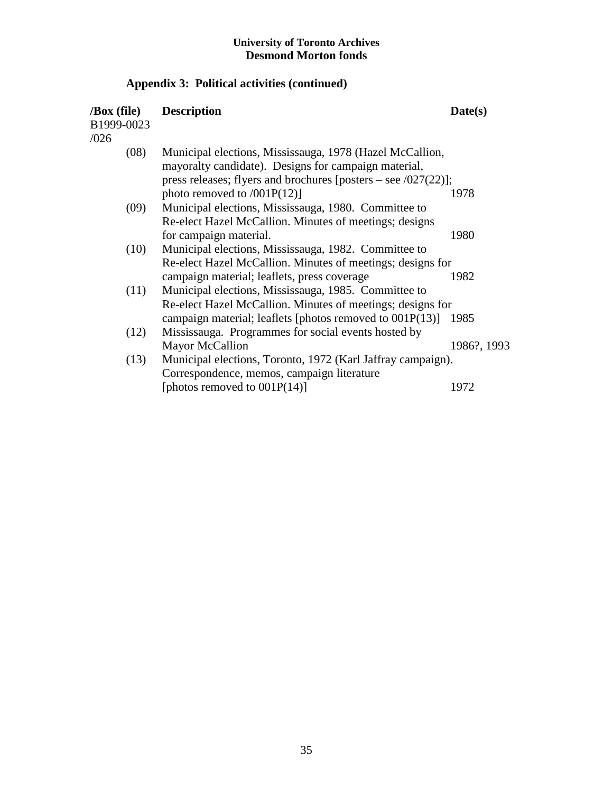# **Appendix 3: Political activities (continued)**

| $\sqrt{Box}$ (file)<br>B1999-0023<br>/026 | <b>Description</b>                                                | Date(s)     |
|-------------------------------------------|-------------------------------------------------------------------|-------------|
| (08)                                      | Municipal elections, Mississauga, 1978 (Hazel McCallion,          |             |
|                                           | mayoralty candidate). Designs for campaign material,              |             |
|                                           | press releases; flyers and brochures [posters – see $/027(22)$ ]; |             |
|                                           | photo removed to $/001P(12)$ ]                                    | 1978        |
| (09)                                      | Municipal elections, Mississauga, 1980. Committee to              |             |
|                                           | Re-elect Hazel McCallion. Minutes of meetings; designs            |             |
|                                           | for campaign material.                                            | 1980        |
| (10)                                      | Municipal elections, Mississauga, 1982. Committee to              |             |
|                                           | Re-elect Hazel McCallion. Minutes of meetings; designs for        |             |
|                                           | campaign material; leaflets, press coverage                       | 1982        |
| (11)                                      | Municipal elections, Mississauga, 1985. Committee to              |             |
|                                           | Re-elect Hazel McCallion. Minutes of meetings; designs for        |             |
|                                           | campaign material; leaflets [photos removed to 001P(13)]          | 1985        |
| (12)                                      | Mississauga. Programmes for social events hosted by               |             |
|                                           | <b>Mayor McCallion</b>                                            | 1986?, 1993 |
| (13)                                      | Municipal elections, Toronto, 1972 (Karl Jaffray campaign).       |             |
|                                           | Correspondence, memos, campaign literature                        |             |
|                                           | [photos removed to $001P(14)$ ]                                   | 1972        |
|                                           |                                                                   |             |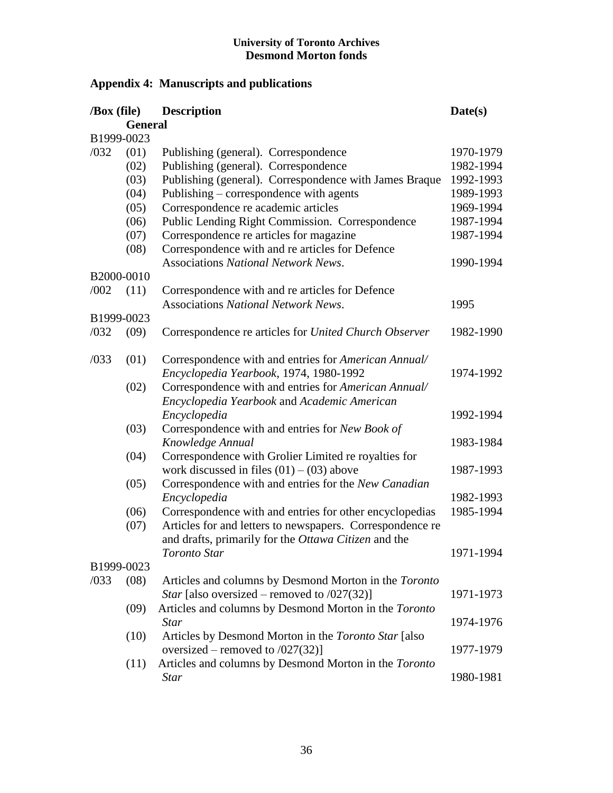# **Appendix 4: Manuscripts and publications**

| /Box (file) |                | <b>Description</b>                                        | Date(s)   |
|-------------|----------------|-----------------------------------------------------------|-----------|
|             | <b>General</b> |                                                           |           |
|             | B1999-0023     |                                                           |           |
| /032        | (01)           | Publishing (general). Correspondence                      | 1970-1979 |
|             | (02)           | Publishing (general). Correspondence                      | 1982-1994 |
|             | (03)           | Publishing (general). Correspondence with James Braque    | 1992-1993 |
|             | (04)           | Publishing – correspondence with agents                   | 1989-1993 |
|             | (05)           | Correspondence re academic articles                       | 1969-1994 |
|             | (06)           | Public Lending Right Commission. Correspondence           | 1987-1994 |
|             | (07)           | Correspondence re articles for magazine                   | 1987-1994 |
|             | (08)           | Correspondence with and re articles for Defence           |           |
|             |                | <b>Associations National Network News.</b>                | 1990-1994 |
|             | B2000-0010     |                                                           |           |
| /002        | (11)           | Correspondence with and re articles for Defence           |           |
|             |                | <b>Associations National Network News.</b>                | 1995      |
|             | B1999-0023     |                                                           |           |
| /032        | (09)           | Correspondence re articles for United Church Observer     | 1982-1990 |
|             |                |                                                           |           |
| /033        | (01)           | Correspondence with and entries for American Annual/      |           |
|             |                | Encyclopedia Yearbook, 1974, 1980-1992                    | 1974-1992 |
|             | (02)           | Correspondence with and entries for American Annual/      |           |
|             |                | Encyclopedia Yearbook and Academic American               |           |
|             |                | Encyclopedia                                              | 1992-1994 |
|             | (03)           | Correspondence with and entries for New Book of           |           |
|             |                | Knowledge Annual                                          | 1983-1984 |
|             | (04)           | Correspondence with Grolier Limited re royalties for      |           |
|             |                | work discussed in files $(01) - (03)$ above               | 1987-1993 |
|             | (05)           | Correspondence with and entries for the New Canadian      |           |
|             |                | Encyclopedia                                              | 1982-1993 |
|             | (06)           | Correspondence with and entries for other encyclopedias   | 1985-1994 |
|             | (07)           | Articles for and letters to newspapers. Correspondence re |           |
|             |                | and drafts, primarily for the Ottawa Citizen and the      |           |
|             |                | Toronto Star                                              | 1971-1994 |
|             | B1999-0023     |                                                           |           |
| /033        | (08)           | Articles and columns by Desmond Morton in the Toronto     |           |
|             |                | <i>Star</i> [also oversized – removed to $/027(32)$ ]     | 1971-1973 |
|             | (09)           | Articles and columns by Desmond Morton in the Toronto     |           |
|             |                | <b>Star</b>                                               | 1974-1976 |
|             | (10)           | Articles by Desmond Morton in the Toronto Star [also      |           |
|             |                | oversized – removed to $/027(32)$ ]                       | 1977-1979 |
|             | (11)           | Articles and columns by Desmond Morton in the Toronto     |           |
|             |                | <b>Star</b>                                               | 1980-1981 |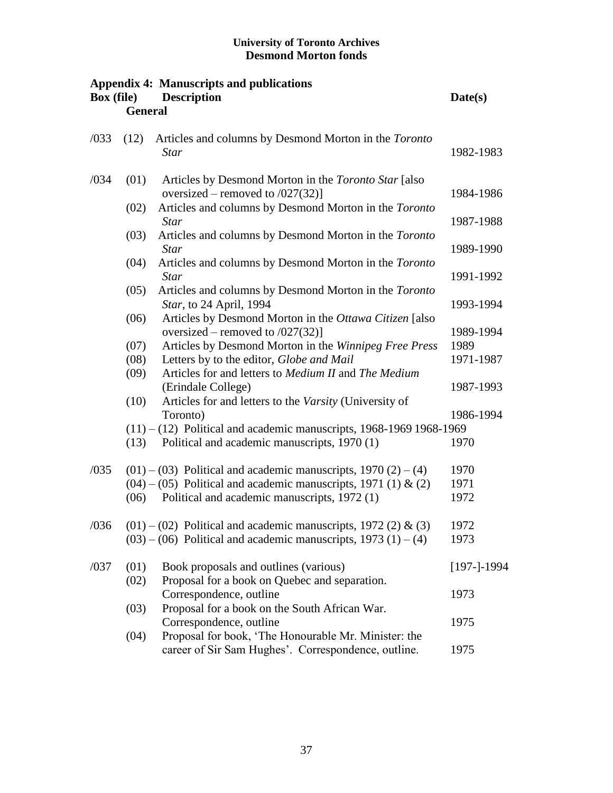| <b>Box</b> (file) | <b>General</b> | <b>Appendix 4: Manuscripts and publications</b><br><b>Description</b>                                                                              | Date(s)           |
|-------------------|----------------|----------------------------------------------------------------------------------------------------------------------------------------------------|-------------------|
| /033              | (12)           | Articles and columns by Desmond Morton in the Toronto<br><b>Star</b>                                                                               | 1982-1983         |
| /034              | (01)           | Articles by Desmond Morton in the Toronto Star [also]<br>oversized – removed to $/027(32)$ ]                                                       | 1984-1986         |
|                   | (02)           | Articles and columns by Desmond Morton in the Toronto<br><b>Star</b>                                                                               | 1987-1988         |
|                   | (03)           | Articles and columns by Desmond Morton in the Toronto<br><b>Star</b>                                                                               | 1989-1990         |
|                   | (04)           | Articles and columns by Desmond Morton in the Toronto<br><b>Star</b>                                                                               | 1991-1992         |
|                   | (05)           | Articles and columns by Desmond Morton in the Toronto<br>Star, to 24 April, 1994                                                                   | 1993-1994         |
|                   | (06)           | Articles by Desmond Morton in the Ottawa Citizen [also<br>oversized – removed to $/027(32)$ ]                                                      | 1989-1994         |
|                   | (07)<br>(08)   | Articles by Desmond Morton in the Winnipeg Free Press<br>Letters by to the editor, Globe and Mail                                                  | 1989<br>1971-1987 |
|                   | (09)<br>(10)   | Articles for and letters to <i>Medium II</i> and <i>The Medium</i><br>(Erindale College)<br>Articles for and letters to the Varsity (University of | 1987-1993         |
|                   |                | Toronto)                                                                                                                                           | 1986-1994         |
|                   | (13)           | $(11) - (12)$ Political and academic manuscripts, 1968-1969 1968-1969<br>Political and academic manuscripts, 1970 (1)                              | 1970              |
| /035              |                | $(01) - (03)$ Political and academic manuscripts, 1970 (2) – (4)                                                                                   | 1970              |
|                   | (06)           | $(04) - (05)$ Political and academic manuscripts, 1971 (1) & (2)<br>Political and academic manuscripts, 1972 (1)                                   | 1971<br>1972      |
| /036              |                | $(01) - (02)$ Political and academic manuscripts, 1972 (2) & (3)<br>$(03) - (06)$ Political and academic manuscripts, 1973 (1) – (4)               | 1972<br>1973      |
| /037              | (01)           | Book proposals and outlines (various)                                                                                                              | $[197-]-1994$     |
|                   | (02)           | Proposal for a book on Quebec and separation.<br>Correspondence, outline                                                                           | 1973              |
|                   | (03)           | Proposal for a book on the South African War.<br>Correspondence, outline                                                                           | 1975              |
|                   | (04)           | Proposal for book, 'The Honourable Mr. Minister: the<br>career of Sir Sam Hughes'. Correspondence, outline.                                        | 1975              |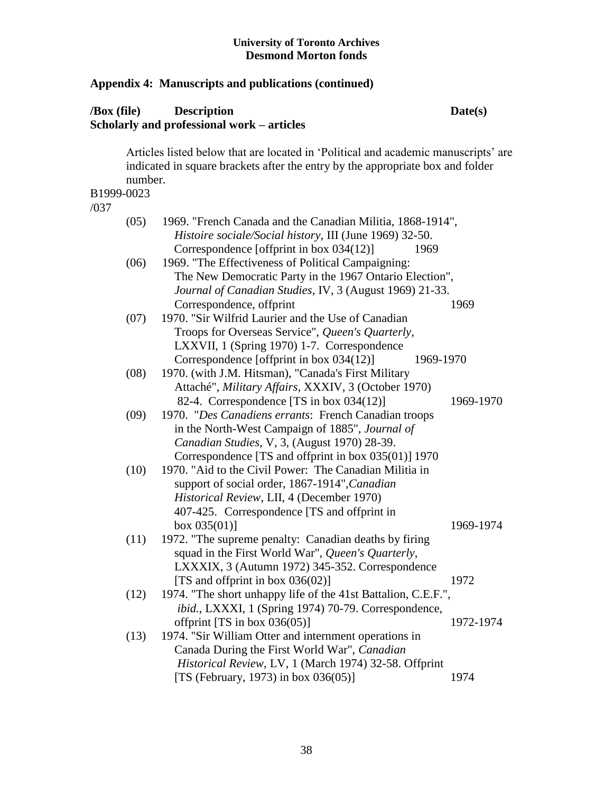## **Appendix 4: Manuscripts and publications (continued)**

## **/Box (file) Description Date(s) Scholarly and professional work – articles**

Articles listed below that are located in 'Political and academic manuscripts' are indicated in square brackets after the entry by the appropriate box and folder number. B1999-0023

#### /037

| (05) | 1969. "French Canada and the Canadian Militia, 1868-1914",<br>Histoire sociale/Social history, III (June 1969) 32-50. |           |
|------|-----------------------------------------------------------------------------------------------------------------------|-----------|
|      | Correspondence [offprint in box 034(12)]<br>1969                                                                      |           |
| (06) | 1969. "The Effectiveness of Political Campaigning:                                                                    |           |
|      | The New Democratic Party in the 1967 Ontario Election",                                                               |           |
|      | Journal of Canadian Studies, IV, 3 (August 1969) 21-33.                                                               |           |
|      | Correspondence, offprint                                                                                              | 1969      |
| (07) | 1970. "Sir Wilfrid Laurier and the Use of Canadian                                                                    |           |
|      | Troops for Overseas Service", Queen's Quarterly,                                                                      |           |
|      | LXXVII, 1 (Spring 1970) 1-7. Correspondence                                                                           |           |
|      | Correspondence [offprint in box 034(12)]<br>1969-1970                                                                 |           |
| (08) | 1970. (with J.M. Hitsman), "Canada's First Military                                                                   |           |
|      | Attaché", Military Affairs, XXXIV, 3 (October 1970)                                                                   |           |
|      | 82-4. Correspondence [TS in box 034(12)]                                                                              | 1969-1970 |
| (09) | 1970. "Des Canadiens errants: French Canadian troops                                                                  |           |
|      | in the North-West Campaign of 1885", Journal of                                                                       |           |
|      | Canadian Studies, V, 3, (August 1970) 28-39.                                                                          |           |
|      | Correspondence [TS and offprint in box 035(01)] 1970                                                                  |           |
| (10) | 1970. "Aid to the Civil Power: The Canadian Militia in                                                                |           |
|      | support of social order, 1867-1914", Canadian                                                                         |           |
|      | Historical Review, LII, 4 (December 1970)                                                                             |           |
|      | 407-425. Correspondence [TS and offprint in                                                                           |           |
|      | box $035(01)$ ]                                                                                                       | 1969-1974 |
| (11) | 1972. "The supreme penalty: Canadian deaths by firing                                                                 |           |
|      | squad in the First World War", Queen's Quarterly,                                                                     |           |
|      | LXXXIX, 3 (Autumn 1972) 345-352. Correspondence                                                                       |           |
|      | [TS and offprint in box $036(02)$ ]                                                                                   | 1972      |
| (12) | 1974. "The short unhappy life of the 41st Battalion, C.E.F.",                                                         |           |
|      | ibid., LXXXI, 1 (Spring 1974) 70-79. Correspondence,                                                                  |           |
|      | offprint [TS in box $036(05)$ ]                                                                                       | 1972-1974 |
| (13) | 1974. "Sir William Otter and internment operations in                                                                 |           |
|      | Canada During the First World War", Canadian                                                                          |           |
|      | Historical Review, LV, 1 (March 1974) 32-58. Offprint                                                                 |           |
|      | [TS (February, 1973) in box 036(05)]                                                                                  | 1974      |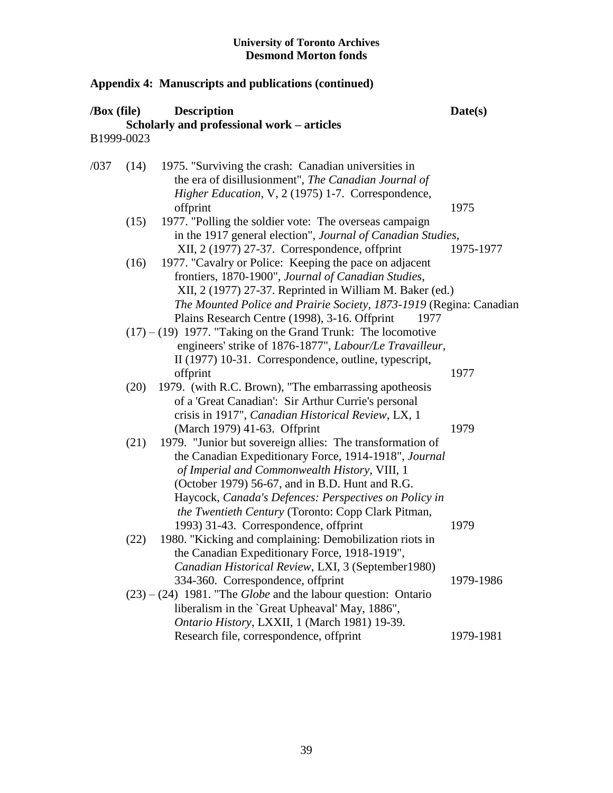| /Box (file) |      | <b>Description</b>                                                                                                                                                                                                                                                                                                                    | Date(s)   |
|-------------|------|---------------------------------------------------------------------------------------------------------------------------------------------------------------------------------------------------------------------------------------------------------------------------------------------------------------------------------------|-----------|
|             |      | Scholarly and professional work - articles                                                                                                                                                                                                                                                                                            |           |
| B1999-0023  |      |                                                                                                                                                                                                                                                                                                                                       |           |
| /037        | (14) | 1975. "Surviving the crash: Canadian universities in<br>the era of disillusionment", The Canadian Journal of<br>Higher Education, V, 2 (1975) 1-7. Correspondence,                                                                                                                                                                    |           |
|             |      | offprint                                                                                                                                                                                                                                                                                                                              | 1975      |
|             | (15) | 1977. "Polling the soldier vote: The overseas campaign<br>in the 1917 general election", Journal of Canadian Studies,<br>XII, 2 (1977) 27-37. Correspondence, offprint                                                                                                                                                                | 1975-1977 |
|             | (16) | 1977. "Cavalry or Police: Keeping the pace on adjacent<br>frontiers, 1870-1900", Journal of Canadian Studies,<br>XII, 2 (1977) 27-37. Reprinted in William M. Baker (ed.)                                                                                                                                                             |           |
|             |      | The Mounted Police and Prairie Society, 1873-1919 (Regina: Canadian<br>Plains Research Centre (1998), 3-16. Offprint<br>1977                                                                                                                                                                                                          |           |
|             |      | $(17) - (19)$ 1977. "Taking on the Grand Trunk: The locomotive<br>engineers' strike of 1876-1877", Labour/Le Travailleur,<br>II (1977) 10-31. Correspondence, outline, typescript,                                                                                                                                                    |           |
|             |      | offprint                                                                                                                                                                                                                                                                                                                              | 1977      |
|             | (20) | 1979. (with R.C. Brown), "The embarrassing apotheosis<br>of a 'Great Canadian': Sir Arthur Currie's personal<br>crisis in 1917", Canadian Historical Review, LX, 1                                                                                                                                                                    |           |
|             |      | (March 1979) 41-63. Offprint                                                                                                                                                                                                                                                                                                          | 1979      |
|             | (21) | 1979. "Junior but sovereign allies: The transformation of<br>the Canadian Expeditionary Force, 1914-1918", Journal<br>of Imperial and Commonwealth History, VIII, 1<br>(October 1979) 56-67, and in B.D. Hunt and R.G.<br>Haycock, Canada's Defences: Perspectives on Policy in<br>the Twentieth Century (Toronto: Copp Clark Pitman, |           |
|             |      | 1993) 31-43. Correspondence, offprint                                                                                                                                                                                                                                                                                                 | 1979      |
|             | (22) | 1980. "Kicking and complaining: Demobilization riots in<br>the Canadian Expeditionary Force, 1918-1919",<br>Canadian Historical Review, LXI, 3 (September1980)                                                                                                                                                                        |           |
|             |      | 334-360. Correspondence, offprint                                                                                                                                                                                                                                                                                                     | 1979-1986 |
|             |      | $(23) - (24)$ 1981. "The <i>Globe</i> and the labour question: Ontario<br>liberalism in the `Great Upheaval' May, 1886",<br>Ontario History, LXXII, 1 (March 1981) 19-39.                                                                                                                                                             |           |
|             |      | Research file, correspondence, offprint                                                                                                                                                                                                                                                                                               | 1979-1981 |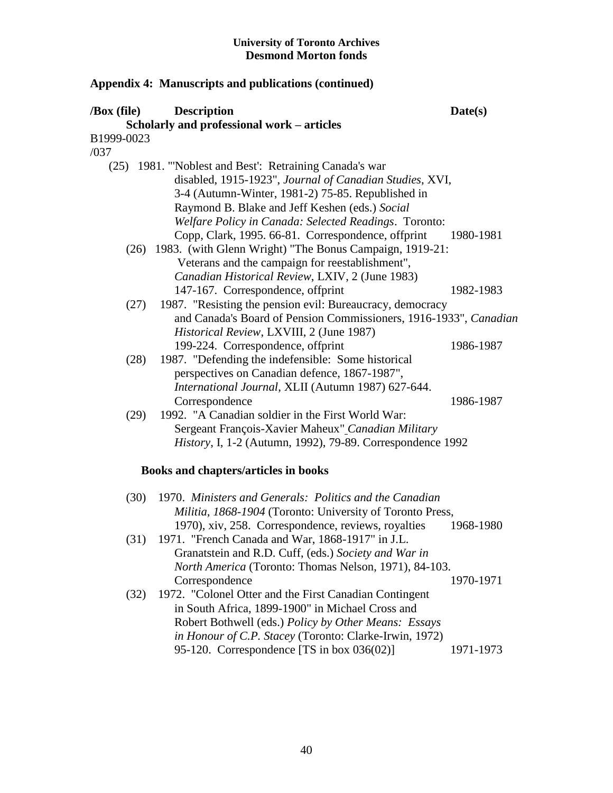| $\sqrt{Box}$ (file)<br>B1999-0023 | <b>Description</b><br>Scholarly and professional work - articles                                                                                                                                                                                                                                                                        | Date(s)                |
|-----------------------------------|-----------------------------------------------------------------------------------------------------------------------------------------------------------------------------------------------------------------------------------------------------------------------------------------------------------------------------------------|------------------------|
| /037                              |                                                                                                                                                                                                                                                                                                                                         |                        |
|                                   | (25) 1981. "Noblest and Best': Retraining Canada's war<br>disabled, 1915-1923", Journal of Canadian Studies, XVI,<br>3-4 (Autumn-Winter, 1981-2) 75-85. Republished in<br>Raymond B. Blake and Jeff Keshen (eds.) Social<br>Welfare Policy in Canada: Selected Readings. Toronto:<br>Copp, Clark, 1995. 66-81. Correspondence, offprint | 1980-1981              |
|                                   | (26) 1983. (with Glenn Wright) "The Bonus Campaign, 1919-21:<br>Veterans and the campaign for reestablishment",<br>Canadian Historical Review, LXIV, 2 (June 1983)                                                                                                                                                                      |                        |
| (27)                              | 147-167. Correspondence, offprint<br>1987. "Resisting the pension evil: Bureaucracy, democracy<br>and Canada's Board of Pension Commissioners, 1916-1933", Canadian<br>Historical Review, LXVIII, 2 (June 1987)                                                                                                                         | 1982-1983              |
| (28)                              | 199-224. Correspondence, offprint<br>1987. "Defending the indefensible: Some historical<br>perspectives on Canadian defence, 1867-1987",                                                                                                                                                                                                | 1986-1987              |
| (29)                              | International Journal, XLII (Autumn 1987) 627-644.<br>Correspondence<br>1992. "A Canadian soldier in the First World War:<br>Sergeant François-Xavier Maheux" Canadian Military<br><i>History</i> , I, 1-2 (Autumn, 1992), 79-89. Correspondence 1992                                                                                   | 1986-1987              |
|                                   | Books and chapters/articles in books                                                                                                                                                                                                                                                                                                    |                        |
| (30)                              | 1970. Ministers and Generals: Politics and the Canadian<br>Militia, 1868-1904 (Toronto: University of Toronto Press,                                                                                                                                                                                                                    |                        |
| (31)                              | 1970), xiv, 258. Correspondence, reviews, royalties<br>1971. "French Canada and War, 1868-1917" in J.L.<br>Granatstein and R.D. Cuff, (eds.) Society and War in<br><i>North America</i> (Toronto: Thomas Nelson, 1971), 84-103.                                                                                                         | 1968-1980              |
| (32)                              | Correspondence<br>1972. "Colonel Otter and the First Canadian Contingent<br>in South Africa, 1899-1900" in Michael Cross and<br>Robert Bothwell (eds.) Policy by Other Means: Essays<br>in Honour of C.P. Stacey (Toronto: Clarke-Irwin, 1972)<br>95-120. Correspondence [TS in box $036(02)$ ]                                         | 1970-1971<br>1971-1973 |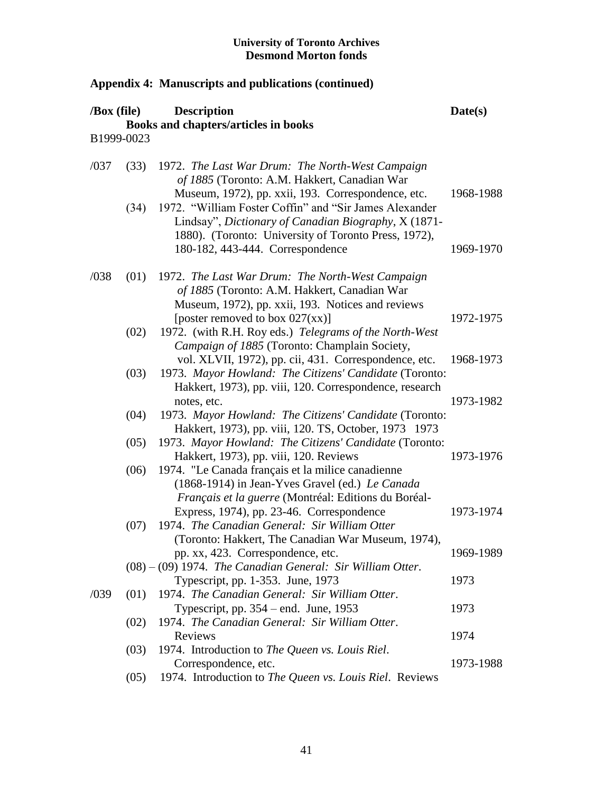| $\sqrt{Box}$ (file) |      | <b>Description</b>                                                                                                                                                                                         | Date(s)   |
|---------------------|------|------------------------------------------------------------------------------------------------------------------------------------------------------------------------------------------------------------|-----------|
|                     |      | Books and chapters/articles in books                                                                                                                                                                       |           |
| B1999-0023          |      |                                                                                                                                                                                                            |           |
| /037                | (33) | 1972. The Last War Drum: The North-West Campaign<br>of 1885 (Toronto: A.M. Hakkert, Canadian War<br>Museum, 1972), pp. xxii, 193. Correspondence, etc.                                                     | 1968-1988 |
|                     | (34) | 1972. "William Foster Coffin" and "Sir James Alexander<br>Lindsay", Dictionary of Canadian Biography, X (1871-<br>1880). (Toronto: University of Toronto Press, 1972),<br>180-182, 443-444. Correspondence | 1969-1970 |
| /038                | (01) | 1972. The Last War Drum: The North-West Campaign<br>of 1885 (Toronto: A.M. Hakkert, Canadian War<br>Museum, 1972), pp. xxii, 193. Notices and reviews                                                      |           |
|                     | (02) | [poster removed to box $027(xx)$ ]<br>1972. (with R.H. Roy eds.) Telegrams of the North-West<br>Campaign of 1885 (Toronto: Champlain Society,                                                              | 1972-1975 |
|                     | (03) | vol. XLVII, 1972), pp. cii, 431. Correspondence, etc.<br>1973. Mayor Howland: The Citizens' Candidate (Toronto:<br>Hakkert, 1973), pp. viii, 120. Correspondence, research                                 | 1968-1973 |
|                     | (04) | notes, etc.<br>1973. Mayor Howland: The Citizens' Candidate (Toronto:<br>Hakkert, 1973), pp. viii, 120. TS, October, 1973 1973                                                                             | 1973-1982 |
|                     | (05) | 1973. Mayor Howland: The Citizens' Candidate (Toronto:<br>Hakkert, 1973), pp. viii, 120. Reviews                                                                                                           | 1973-1976 |
|                     | (06) | 1974. "Le Canada français et la milice canadienne<br>(1868-1914) in Jean-Yves Gravel (ed.) Le Canada<br>Français et la guerre (Montréal: Editions du Boréal-                                               |           |
|                     | (07) | Express, 1974), pp. 23-46. Correspondence<br>1974. The Canadian General: Sir William Otter<br>(Toronto: Hakkert, The Canadian War Museum, 1974),                                                           | 1973-1974 |
|                     |      | pp. xx, 423. Correspondence, etc.<br>$(08) - (09)$ 1974. The Canadian General: Sir William Otter.                                                                                                          | 1969-1989 |
| /039                | (01) | Typescript, pp. 1-353. June, 1973<br>1974. The Canadian General: Sir William Otter.                                                                                                                        | 1973      |
|                     | (02) | Typescript, pp. $354$ – end. June, 1953<br>1974. The Canadian General: Sir William Otter.                                                                                                                  | 1973      |
|                     | (03) | Reviews<br>1974. Introduction to The Queen vs. Louis Riel.                                                                                                                                                 | 1974      |
|                     | (05) | Correspondence, etc.<br>1974. Introduction to The Queen vs. Louis Riel. Reviews                                                                                                                            | 1973-1988 |
|                     |      |                                                                                                                                                                                                            |           |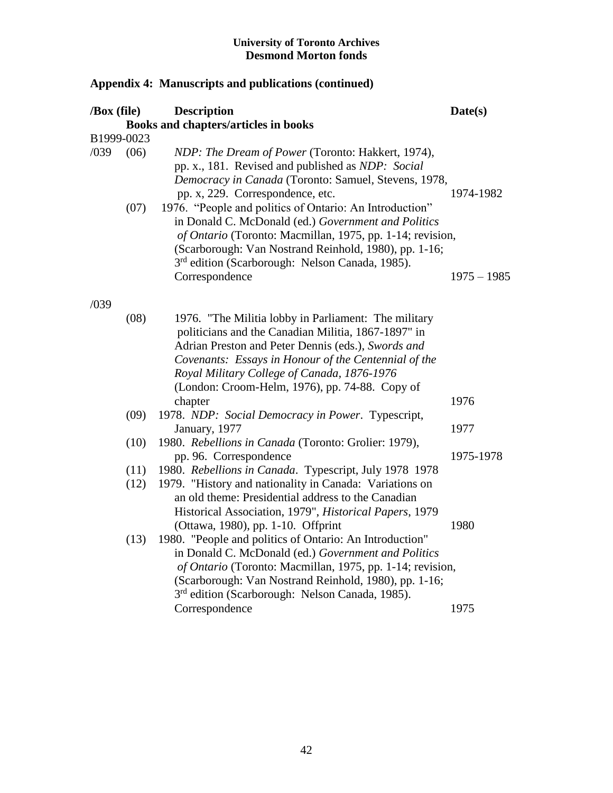| Date(s)       |
|---------------|
|               |
|               |
| 1974-1982     |
| $1975 - 1985$ |
|               |
|               |
|               |
|               |
| 1975-1978     |
|               |
|               |
|               |
|               |
|               |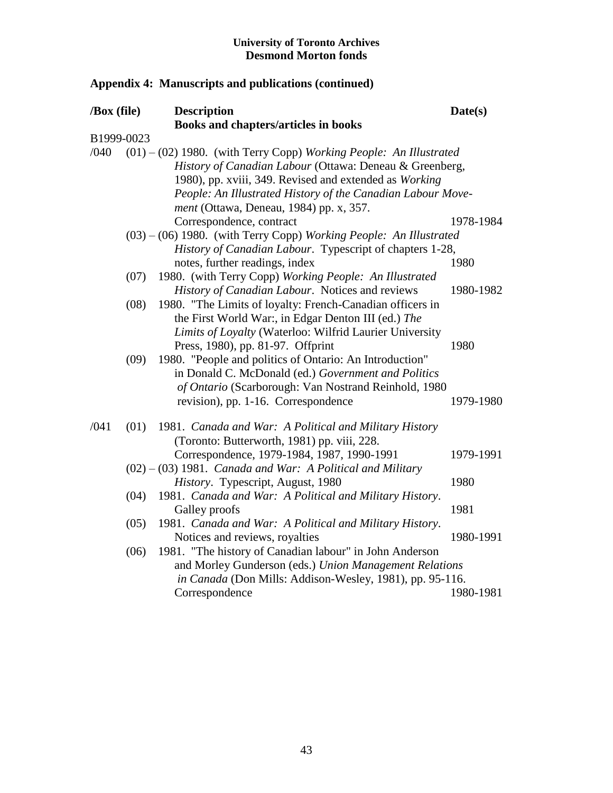| /Box (file) |      | <b>Description</b>                                                   | Date(s)   |  |
|-------------|------|----------------------------------------------------------------------|-----------|--|
|             |      | Books and chapters/articles in books                                 |           |  |
| B1999-0023  |      |                                                                      |           |  |
| /040        |      | $(01) - (02)$ 1980. (with Terry Copp) Working People: An Illustrated |           |  |
|             |      | History of Canadian Labour (Ottawa: Deneau & Greenberg,              |           |  |
|             |      | 1980), pp. xviii, 349. Revised and extended as Working               |           |  |
|             |      | People: An Illustrated History of the Canadian Labour Move-          |           |  |
|             |      | <i>ment</i> (Ottawa, Deneau, 1984) pp. x, 357.                       |           |  |
|             |      | Correspondence, contract                                             | 1978-1984 |  |
|             |      | (03) - (06) 1980. (with Terry Copp) Working People: An Illustrated   |           |  |
|             |      | History of Canadian Labour. Typescript of chapters 1-28,             |           |  |
|             |      | notes, further readings, index                                       | 1980      |  |
|             | (07) | 1980. (with Terry Copp) Working People: An Illustrated               |           |  |
|             |      | History of Canadian Labour. Notices and reviews                      | 1980-1982 |  |
|             | (08) | 1980. "The Limits of loyalty: French-Canadian officers in            |           |  |
|             |      | the First World War:, in Edgar Denton III (ed.) The                  |           |  |
|             |      | Limits of Loyalty (Waterloo: Wilfrid Laurier University              |           |  |
|             |      | Press, 1980), pp. 81-97. Offprint                                    | 1980      |  |
|             | (09) | 1980. "People and politics of Ontario: An Introduction"              |           |  |
|             |      | in Donald C. McDonald (ed.) Government and Politics                  |           |  |
|             |      | of Ontario (Scarborough: Van Nostrand Reinhold, 1980                 |           |  |
|             |      | revision), pp. 1-16. Correspondence                                  | 1979-1980 |  |
|             |      |                                                                      |           |  |
| /041        | (01) | 1981. Canada and War: A Political and Military History               |           |  |
|             |      | (Toronto: Butterworth, 1981) pp. viii, 228.                          |           |  |
|             |      | Correspondence, 1979-1984, 1987, 1990-1991                           | 1979-1991 |  |
|             |      | $(02) - (03)$ 1981. Canada and War: A Political and Military         |           |  |
|             |      | History. Typescript, August, 1980                                    | 1980      |  |
|             | (04) | 1981. Canada and War: A Political and Military History.              |           |  |
|             |      | Galley proofs                                                        | 1981      |  |
|             | (05) | 1981. Canada and War: A Political and Military History.              |           |  |
|             |      | Notices and reviews, royalties                                       | 1980-1991 |  |
|             | (06) | 1981. "The history of Canadian labour" in John Anderson              |           |  |
|             |      | and Morley Gunderson (eds.) Union Management Relations               |           |  |
|             |      | in Canada (Don Mills: Addison-Wesley, 1981), pp. 95-116.             |           |  |
|             |      | Correspondence                                                       | 1980-1981 |  |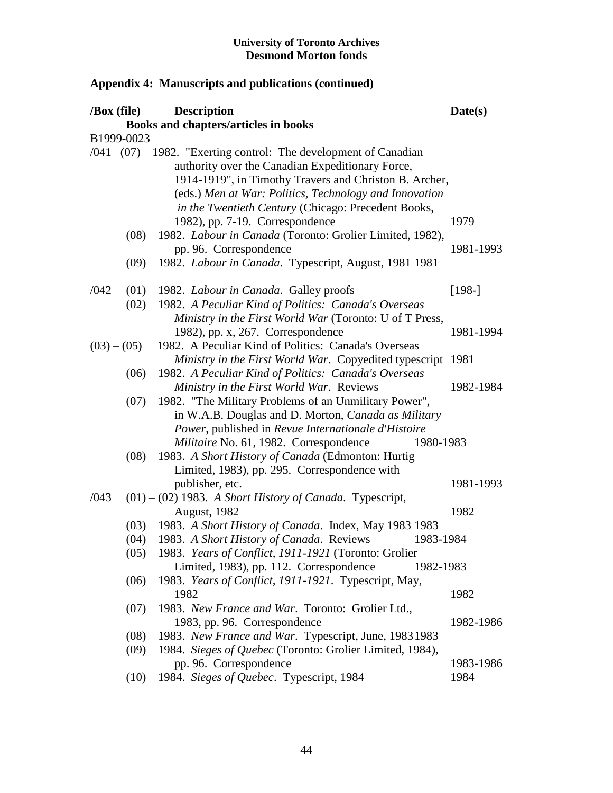|      | /Box (file)           | <b>Description</b>                                                                                                                                                                                                                                                                            | Date(s)   |
|------|-----------------------|-----------------------------------------------------------------------------------------------------------------------------------------------------------------------------------------------------------------------------------------------------------------------------------------------|-----------|
|      |                       | Books and chapters/articles in books                                                                                                                                                                                                                                                          |           |
|      | B1999-0023            |                                                                                                                                                                                                                                                                                               |           |
|      |                       | /041 (07) 1982. "Exerting control: The development of Canadian<br>authority over the Canadian Expeditionary Force,<br>1914-1919", in Timothy Travers and Christon B. Archer,<br>(eds.) Men at War: Politics, Technology and Innovation<br>in the Twentieth Century (Chicago: Precedent Books, |           |
|      |                       | 1982), pp. 7-19. Correspondence                                                                                                                                                                                                                                                               | 1979      |
|      | (08)                  | 1982. Labour in Canada (Toronto: Grolier Limited, 1982),<br>pp. 96. Correspondence                                                                                                                                                                                                            | 1981-1993 |
|      | (09)                  | 1982. Labour in Canada. Typescript, August, 1981 1981                                                                                                                                                                                                                                         |           |
| /042 | (01)                  | 1982. <i>Labour in Canada</i> . Galley proofs                                                                                                                                                                                                                                                 | $[198-]$  |
|      | (02)                  | 1982. A Peculiar Kind of Politics: Canada's Overseas<br>Ministry in the First World War (Toronto: U of T Press,                                                                                                                                                                               |           |
|      |                       | 1982), pp. x, 267. Correspondence                                                                                                                                                                                                                                                             | 1981-1994 |
|      | $(03) - (05)$<br>(06) | 1982. A Peculiar Kind of Politics: Canada's Overseas<br>Ministry in the First World War. Copyedited typescript 1981<br>1982. A Peculiar Kind of Politics: Canada's Overseas                                                                                                                   |           |
|      |                       | Ministry in the First World War. Reviews                                                                                                                                                                                                                                                      | 1982-1984 |
|      | (07)                  | 1982. "The Military Problems of an Unmilitary Power",<br>in W.A.B. Douglas and D. Morton, Canada as Military<br>Power, published in Revue Internationale d'Histoire<br>Militaire No. 61, 1982. Correspondence<br>1980-1983                                                                    |           |
|      | (08)                  | 1983. A Short History of Canada (Edmonton: Hurtig<br>Limited, 1983), pp. 295. Correspondence with                                                                                                                                                                                             |           |
|      |                       | publisher, etc.                                                                                                                                                                                                                                                                               | 1981-1993 |
| /043 |                       | $(01) - (02)$ 1983. A Short History of Canada. Typescript,<br>August, 1982                                                                                                                                                                                                                    | 1982      |
|      | (03)                  | 1983. A Short History of Canada. Index, May 1983 1983                                                                                                                                                                                                                                         |           |
|      | (04)                  | 1983. A Short History of Canada. Reviews<br>1983-1984                                                                                                                                                                                                                                         |           |
|      |                       | (05) 1983. Years of Conflict, 1911-1921 (Toronto: Grolier<br>Limited, 1983), pp. 112. Correspondence<br>1982-1983                                                                                                                                                                             |           |
|      | (06)                  | 1983. Years of Conflict, 1911-1921. Typescript, May,<br>1982                                                                                                                                                                                                                                  | 1982      |
|      | (07)                  | 1983. New France and War. Toronto: Grolier Ltd.,                                                                                                                                                                                                                                              |           |
|      |                       | 1983, pp. 96. Correspondence                                                                                                                                                                                                                                                                  | 1982-1986 |
|      | (08)                  | 1983. New France and War. Typescript, June, 19831983                                                                                                                                                                                                                                          |           |
|      | (09)                  | 1984. Sieges of Quebec (Toronto: Grolier Limited, 1984),                                                                                                                                                                                                                                      |           |
|      |                       | pp. 96. Correspondence                                                                                                                                                                                                                                                                        | 1983-1986 |
|      | (10)                  | 1984. Sieges of Quebec. Typescript, 1984                                                                                                                                                                                                                                                      | 1984      |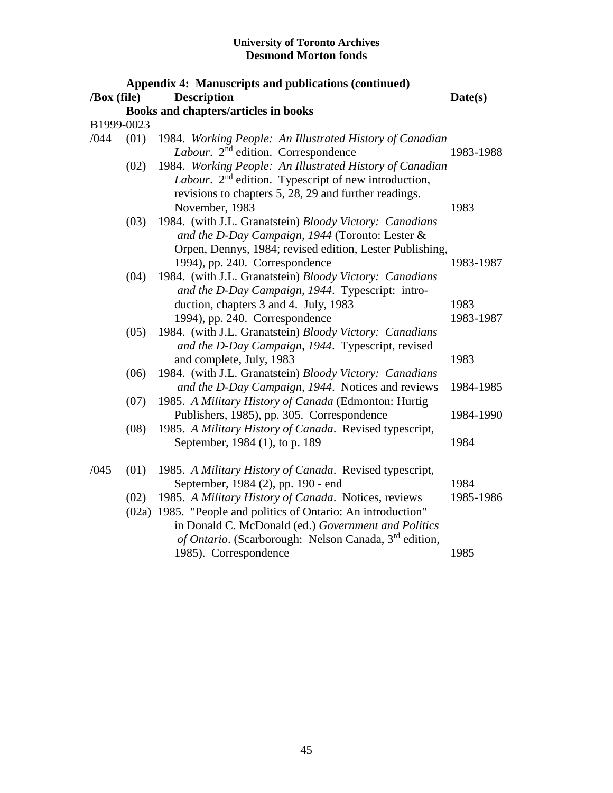|             | <b>Appendix 4: Manuscripts and publications (continued)</b> |                                                                                                                                                                                                          |           |  |  |
|-------------|-------------------------------------------------------------|----------------------------------------------------------------------------------------------------------------------------------------------------------------------------------------------------------|-----------|--|--|
| /Box (file) |                                                             | <b>Description</b>                                                                                                                                                                                       | Date(s)   |  |  |
|             |                                                             | Books and chapters/articles in books                                                                                                                                                                     |           |  |  |
|             | B1999-0023                                                  |                                                                                                                                                                                                          |           |  |  |
| /044        | (01)                                                        | 1984. Working People: An Illustrated History of Canadian<br>Labour. 2 <sup>nd</sup> edition. Correspondence                                                                                              | 1983-1988 |  |  |
|             | (02)                                                        | 1984. Working People: An Illustrated History of Canadian<br>Labour. 2 <sup>nd</sup> edition. Typescript of new introduction,<br>revisions to chapters 5, 28, 29 and further readings.<br>November, 1983  | 1983      |  |  |
|             | (03)                                                        | 1984. (with J.L. Granatstein) Bloody Victory: Canadians<br>and the D-Day Campaign, 1944 (Toronto: Lester &<br>Orpen, Dennys, 1984; revised edition, Lester Publishing,<br>1994), pp. 240. Correspondence | 1983-1987 |  |  |
|             | (04)                                                        | 1984. (with J.L. Granatstein) Bloody Victory: Canadians<br>and the D-Day Campaign, 1944. Typescript: intro-                                                                                              | 1983      |  |  |
|             | (05)                                                        | duction, chapters 3 and 4. July, 1983<br>1994), pp. 240. Correspondence<br>1984. (with J.L. Granatstein) Bloody Victory: Canadians                                                                       | 1983-1987 |  |  |
|             |                                                             | and the D-Day Campaign, 1944. Typescript, revised<br>and complete, July, 1983                                                                                                                            | 1983      |  |  |
|             | (06)                                                        | 1984. (with J.L. Granatstein) Bloody Victory: Canadians<br>and the D-Day Campaign, 1944. Notices and reviews                                                                                             | 1984-1985 |  |  |
|             | (07)                                                        | 1985. A Military History of Canada (Edmonton: Hurtig<br>Publishers, 1985), pp. 305. Correspondence                                                                                                       | 1984-1990 |  |  |
|             | (08)                                                        | 1985. A Military History of Canada. Revised typescript,<br>September, 1984 (1), to p. 189                                                                                                                | 1984      |  |  |
| /045        | (01)                                                        | 1985. A Military History of Canada. Revised typescript,<br>September, 1984 (2), pp. 190 - end                                                                                                            | 1984      |  |  |
|             | (02)                                                        | 1985. A Military History of Canada. Notices, reviews                                                                                                                                                     | 1985-1986 |  |  |
|             |                                                             | (02a) 1985. "People and politics of Ontario: An introduction"<br>in Donald C. McDonald (ed.) Government and Politics<br>of Ontario. (Scarborough: Nelson Canada, 3rd edition,<br>1985). Correspondence   | 1985      |  |  |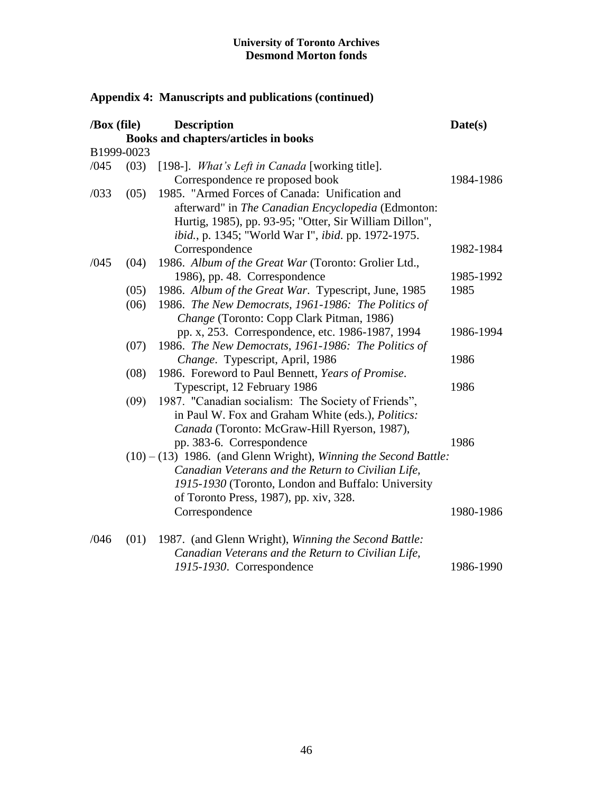| /Box (file) |            | <b>Description</b>                                                 | Date(s)   |
|-------------|------------|--------------------------------------------------------------------|-----------|
|             |            | Books and chapters/articles in books                               |           |
|             | B1999-0023 |                                                                    |           |
| /045        | (03)       | [198-]. What's Left in Canada [working title].                     |           |
|             |            | Correspondence re proposed book                                    | 1984-1986 |
| /033        | (05)       | 1985. "Armed Forces of Canada: Unification and                     |           |
|             |            | afterward" in The Canadian Encyclopedia (Edmonton:                 |           |
|             |            | Hurtig, 1985), pp. 93-95; "Otter, Sir William Dillon",             |           |
|             |            | ibid., p. 1345; "World War I", ibid. pp. 1972-1975.                |           |
|             |            | Correspondence                                                     | 1982-1984 |
| /045        | (04)       | 1986. Album of the Great War (Toronto: Grolier Ltd.,               |           |
|             |            | 1986), pp. 48. Correspondence                                      | 1985-1992 |
|             | (05)       | 1986. Album of the Great War. Typescript, June, 1985               | 1985      |
|             | (06)       | 1986. The New Democrats, 1961-1986: The Politics of                |           |
|             |            | Change (Toronto: Copp Clark Pitman, 1986)                          |           |
|             |            | pp. x, 253. Correspondence, etc. 1986-1987, 1994                   | 1986-1994 |
|             | (07)       | 1986. The New Democrats, 1961-1986: The Politics of                |           |
|             |            | Change. Typescript, April, 1986                                    | 1986      |
|             | (08)       | 1986. Foreword to Paul Bennett, Years of Promise.                  |           |
|             |            | Typescript, 12 February 1986                                       | 1986      |
|             | (09)       | 1987. "Canadian socialism: The Society of Friends",                |           |
|             |            | in Paul W. Fox and Graham White (eds.), Politics:                  |           |
|             |            | Canada (Toronto: McGraw-Hill Ryerson, 1987),                       |           |
|             |            | pp. 383-6. Correspondence                                          | 1986      |
|             |            | $(10) - (13)$ 1986. (and Glenn Wright), Winning the Second Battle: |           |
|             |            | Canadian Veterans and the Return to Civilian Life,                 |           |
|             |            | 1915-1930 (Toronto, London and Buffalo: University                 |           |
|             |            | of Toronto Press, 1987), pp. xiv, 328.                             |           |
|             |            | Correspondence                                                     | 1980-1986 |
| /046        | (01)       | 1987. (and Glenn Wright), Winning the Second Battle:               |           |
|             |            | Canadian Veterans and the Return to Civilian Life,                 |           |
|             |            | 1915-1930. Correspondence                                          | 1986-1990 |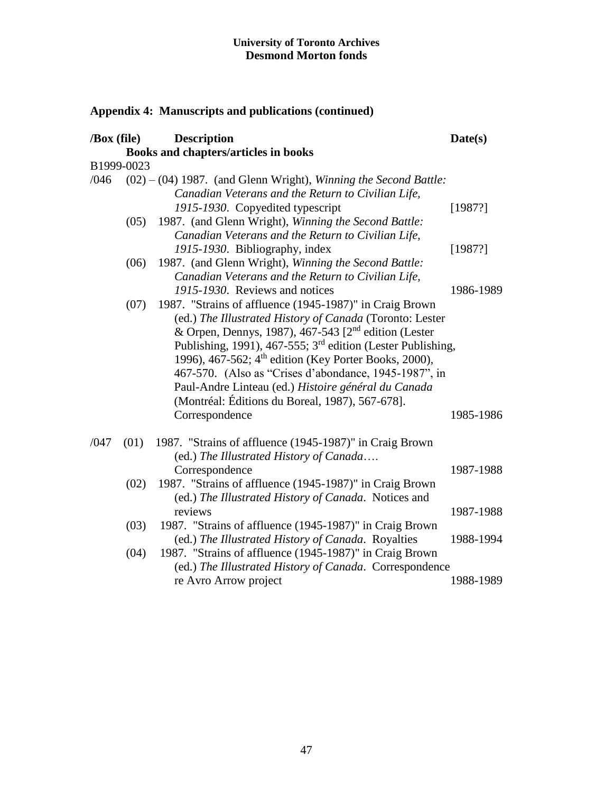| /Box (file) |            | <b>Description</b><br>Books and chapters/articles in books              | Date(s)   |
|-------------|------------|-------------------------------------------------------------------------|-----------|
|             |            |                                                                         |           |
|             | B1999-0023 |                                                                         |           |
| /046        |            | $(02) - (04)$ 1987. (and Glenn Wright), Winning the Second Battle:      |           |
|             |            | Canadian Veterans and the Return to Civilian Life,                      |           |
|             |            | 1915-1930. Copyedited typescript                                        | [1987?]   |
|             | (05)       | 1987. (and Glenn Wright), Winning the Second Battle:                    |           |
|             |            | Canadian Veterans and the Return to Civilian Life,                      |           |
|             |            | 1915-1930. Bibliography, index                                          | [1987?]   |
|             | (06)       | 1987. (and Glenn Wright), Winning the Second Battle:                    |           |
|             |            | Canadian Veterans and the Return to Civilian Life,                      |           |
|             |            | 1915-1930. Reviews and notices                                          | 1986-1989 |
|             | (07)       | 1987. "Strains of affluence (1945-1987)" in Craig Brown                 |           |
|             |            | (ed.) The Illustrated History of Canada (Toronto: Lester                |           |
|             |            | & Orpen, Dennys, 1987), 467-543 [2 <sup>nd</sup> edition (Lester        |           |
|             |            | Publishing, 1991), 467-555; 3 <sup>rd</sup> edition (Lester Publishing, |           |
|             |            |                                                                         |           |
|             |            | 1996), 467-562; 4 <sup>th</sup> edition (Key Porter Books, 2000),       |           |
|             |            | 467-570. (Also as "Crises d'abondance, 1945-1987", in                   |           |
|             |            | Paul-Andre Linteau (ed.) Histoire général du Canada                     |           |
|             |            | (Montréal: Éditions du Boreal, 1987), 567-678].                         |           |
|             |            | Correspondence                                                          | 1985-1986 |
| /047        | (01)       | 1987. "Strains of affluence (1945-1987)" in Craig Brown                 |           |
|             |            | (ed.) The Illustrated History of Canada                                 |           |
|             |            | Correspondence                                                          | 1987-1988 |
|             | (02)       | 1987. "Strains of affluence (1945-1987)" in Craig Brown                 |           |
|             |            | (ed.) The Illustrated History of Canada. Notices and                    |           |
|             |            | reviews                                                                 | 1987-1988 |
|             | (03)       | 1987. "Strains of affluence (1945-1987)" in Craig Brown                 |           |
|             |            | (ed.) The Illustrated History of Canada. Royalties                      | 1988-1994 |
|             | (04)       | 1987. "Strains of affluence (1945-1987)" in Craig Brown                 |           |
|             |            | (ed.) The Illustrated History of Canada. Correspondence                 |           |
|             |            | re Avro Arrow project                                                   | 1988-1989 |
|             |            |                                                                         |           |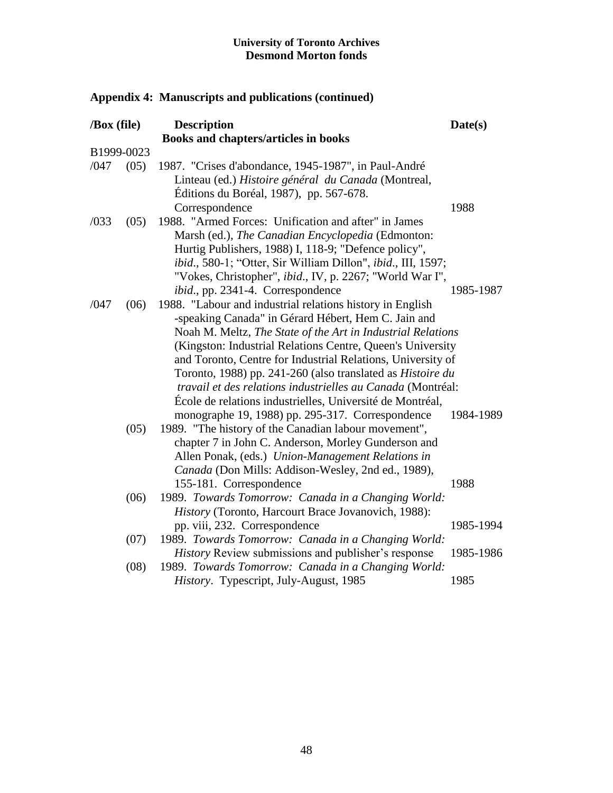| /Box (file) |      | <b>Description</b><br>Books and chapters/articles in books                                                                                                                                                                                                                                                                                                                                                                                                                                                                                                        | Date(s)                |
|-------------|------|-------------------------------------------------------------------------------------------------------------------------------------------------------------------------------------------------------------------------------------------------------------------------------------------------------------------------------------------------------------------------------------------------------------------------------------------------------------------------------------------------------------------------------------------------------------------|------------------------|
| B1999-0023  |      |                                                                                                                                                                                                                                                                                                                                                                                                                                                                                                                                                                   |                        |
| /047        | (05) | 1987. "Crises d'abondance, 1945-1987", in Paul-André<br>Linteau (ed.) Histoire général du Canada (Montreal,<br>Editions du Boréal, 1987), pp. 567-678.<br>Correspondence                                                                                                                                                                                                                                                                                                                                                                                          | 1988                   |
| /033        | (05) | 1988. "Armed Forces: Unification and after" in James<br>Marsh (ed.), The Canadian Encyclopedia (Edmonton:<br>Hurtig Publishers, 1988) I, 118-9; "Defence policy",<br>ibid., 580-1; "Otter, Sir William Dillon", ibid., III, 1597;<br>"Vokes, Christopher", ibid., IV, p. 2267; "World War I",<br>ibid., pp. 2341-4. Correspondence                                                                                                                                                                                                                                | 1985-1987              |
| /047        | (06) | 1988. "Labour and industrial relations history in English<br>-speaking Canada" in Gérard Hébert, Hem C. Jain and<br>Noah M. Meltz, The State of the Art in Industrial Relations<br>(Kingston: Industrial Relations Centre, Queen's University<br>and Toronto, Centre for Industrial Relations, University of<br>Toronto, 1988) pp. 241-260 (also translated as <i>Histoire du</i><br>travail et des relations industrielles au Canada (Montréal:<br>École de relations industrielles, Université de Montréal,<br>monographe 19, 1988) pp. 295-317. Correspondence | 1984-1989              |
|             | (05) | 1989. "The history of the Canadian labour movement",<br>chapter 7 in John C. Anderson, Morley Gunderson and<br>Allen Ponak, (eds.) Union-Management Relations in<br>Canada (Don Mills: Addison-Wesley, 2nd ed., 1989),<br>155-181. Correspondence                                                                                                                                                                                                                                                                                                                 | 1988                   |
|             | (06) | 1989. Towards Tomorrow: Canada in a Changing World:<br>History (Toronto, Harcourt Brace Jovanovich, 1988):                                                                                                                                                                                                                                                                                                                                                                                                                                                        |                        |
|             | (07) | pp. viii, 232. Correspondence<br>1989. Towards Tomorrow: Canada in a Changing World:<br><i>History</i> Review submissions and publisher's response                                                                                                                                                                                                                                                                                                                                                                                                                | 1985-1994<br>1985-1986 |
|             | (08) | 1989. Towards Tomorrow: Canada in a Changing World:<br>History. Typescript, July-August, 1985                                                                                                                                                                                                                                                                                                                                                                                                                                                                     | 1985                   |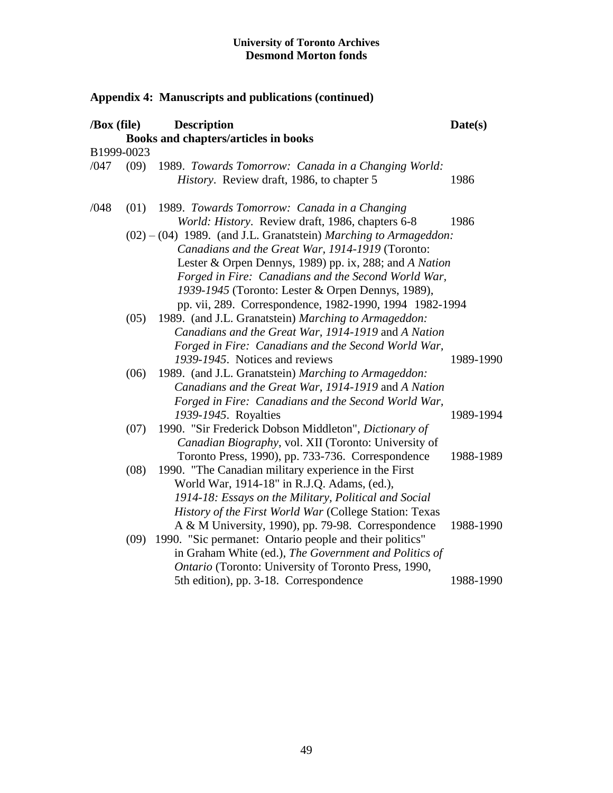|      | /Box (file) | <b>Description</b>                                                                                                                                                                                                                                                                                                                                      | Date(s)   |
|------|-------------|---------------------------------------------------------------------------------------------------------------------------------------------------------------------------------------------------------------------------------------------------------------------------------------------------------------------------------------------------------|-----------|
|      |             | Books and chapters/articles in books                                                                                                                                                                                                                                                                                                                    |           |
|      | B1999-0023  |                                                                                                                                                                                                                                                                                                                                                         |           |
| /047 | (09)        | 1989. Towards Tomorrow: Canada in a Changing World:<br>History. Review draft, 1986, to chapter 5                                                                                                                                                                                                                                                        | 1986      |
| /048 | (01)        | 1989. Towards Tomorrow: Canada in a Changing<br>World: History. Review draft, 1986, chapters 6-8                                                                                                                                                                                                                                                        | 1986      |
|      |             | $(02) - (04)$ 1989. (and J.L. Granatstein) Marching to Armageddon:<br>Canadians and the Great War, 1914-1919 (Toronto:<br>Lester & Orpen Dennys, 1989) pp. ix, 288; and A Nation<br>Forged in Fire: Canadians and the Second World War,<br>1939-1945 (Toronto: Lester & Orpen Dennys, 1989),<br>pp. vii, 289. Correspondence, 1982-1990, 1994 1982-1994 |           |
|      | (05)        | 1989. (and J.L. Granatstein) Marching to Armageddon:<br>Canadians and the Great War, 1914-1919 and A Nation<br>Forged in Fire: Canadians and the Second World War,<br>1939-1945. Notices and reviews                                                                                                                                                    | 1989-1990 |
|      | (06)        | 1989. (and J.L. Granatstein) Marching to Armageddon:<br>Canadians and the Great War, 1914-1919 and A Nation<br>Forged in Fire: Canadians and the Second World War,                                                                                                                                                                                      |           |
|      | (07)        | 1939-1945. Royalties<br>1990. "Sir Frederick Dobson Middleton", Dictionary of<br>Canadian Biography, vol. XII (Toronto: University of                                                                                                                                                                                                                   | 1989-1994 |
|      | (08)        | Toronto Press, 1990), pp. 733-736. Correspondence<br>1990. "The Canadian military experience in the First<br>World War, 1914-18" in R.J.Q. Adams, (ed.),                                                                                                                                                                                                | 1988-1989 |
|      |             | 1914-18: Essays on the Military, Political and Social<br>History of the First World War (College Station: Texas<br>A & M University, 1990), pp. 79-98. Correspondence                                                                                                                                                                                   | 1988-1990 |
|      | (09)        | 1990. "Sic permanet: Ontario people and their politics"<br>in Graham White (ed.), The Government and Politics of<br>Ontario (Toronto: University of Toronto Press, 1990,<br>5th edition), pp. 3-18. Correspondence                                                                                                                                      | 1988-1990 |
|      |             |                                                                                                                                                                                                                                                                                                                                                         |           |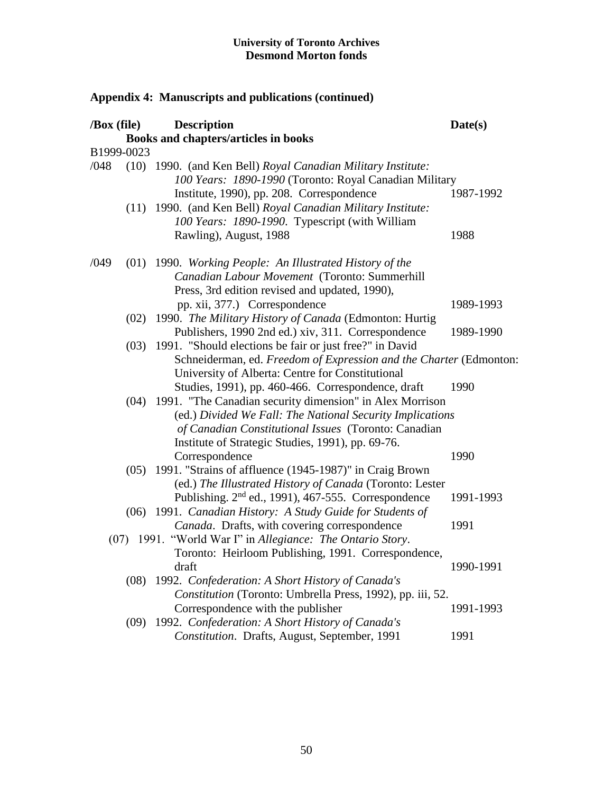**Appendix 4: Manuscripts and publications (continued)**

## **/Box (file) Description Date(s) Books and chapters/articles in books** B1999-0023 /048 (10) 1990. (and Ken Bell) *Royal Canadian Military Institute: 100 Years: 1890-1990* (Toronto: Royal Canadian Military Institute, 1990), pp. 208. Correspondence 1987-1992 (11) 1990. (and Ken Bell) *Royal Canadian Military Institute: 100 Years: 1890-1990*. Typescript (with William Rawling), August, 1988 1988 /049 (01) 1990. *Working People: An Illustrated History of the Canadian Labour Movement* (Toronto: Summerhill Press, 3rd edition revised and updated, 1990), pp. xii, 377.) Correspondence 1989-1993 (02) 1990. *The Military History of Canada* (Edmonton: Hurtig Publishers, 1990 2nd ed.) xiv, 311. Correspondence 1989-1990 (03) 1991. "Should elections be fair or just free?" in David Schneiderman, ed. *Freedom of Expression and the Charter* (Edmonton: University of Alberta: Centre for Constitutional Studies, 1991), pp. 460-466. Correspondence, draft 1990 (04) 1991. "The Canadian security dimension" in Alex Morrison (ed.) *Divided We Fall: The National Security Implications of Canadian Constitutional Issues* (Toronto: Canadian Institute of Strategic Studies, 1991), pp. 69-76. Correspondence 1990 (05) 1991. "Strains of affluence (1945-1987)" in Craig Brown (ed.) *The Illustrated History of Canada* (Toronto: Lester Publishing. 2<sup>nd</sup> ed., 1991), 467-555. Correspondence 1991-1993 (06) 1991. *Canadian History: A Study Guide for Students of Canada*. Drafts, with covering correspondence 1991 (07) 1991. "World War I" in *Allegiance: The Ontario Story*. Toronto: Heirloom Publishing, 1991. Correspondence, draft 1990-1991 (08) 1992. *Confederation: A Short History of Canada's Constitution* (Toronto: Umbrella Press, 1992), pp. iii, 52. Correspondence with the publisher 1991-1993 (09) 1992. *Confederation: A Short History of Canada's Constitution.* Drafts, August, September, 1991 1991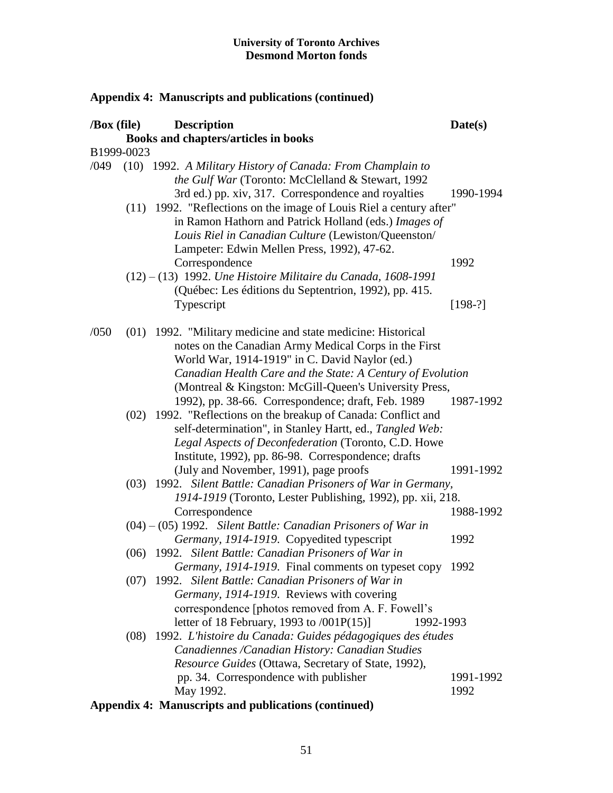| $\sqrt{Box}$ (file) |            | <b>Description</b>                                                                                                                                                                                                                                                                              | Date(s)           |
|---------------------|------------|-------------------------------------------------------------------------------------------------------------------------------------------------------------------------------------------------------------------------------------------------------------------------------------------------|-------------------|
|                     |            | Books and chapters/articles in books                                                                                                                                                                                                                                                            |                   |
|                     | B1999-0023 |                                                                                                                                                                                                                                                                                                 |                   |
| /049                |            | (10) 1992. A Military History of Canada: From Champlain to<br>the Gulf War (Toronto: McClelland & Stewart, 1992<br>3rd ed.) pp. xiv, 317. Correspondence and royalties                                                                                                                          | 1990-1994         |
|                     |            | (11) 1992. "Reflections on the image of Louis Riel a century after"<br>in Ramon Hathorn and Patrick Holland (eds.) Images of<br>Louis Riel in Canadian Culture (Lewiston/Queenston/<br>Lampeter: Edwin Mellen Press, 1992), 47-62.                                                              |                   |
|                     |            | Correspondence<br>$(12) - (13)$ 1992. Une Histoire Militaire du Canada, 1608-1991<br>(Québec: Les éditions du Septentrion, 1992), pp. 415.                                                                                                                                                      | 1992              |
|                     |            | Typescript                                                                                                                                                                                                                                                                                      | $[198-?]$         |
| /050                |            | (01) 1992. "Military medicine and state medicine: Historical<br>notes on the Canadian Army Medical Corps in the First<br>World War, 1914-1919" in C. David Naylor (ed.)<br>Canadian Health Care and the State: A Century of Evolution<br>(Montreal & Kingston: McGill-Queen's University Press, |                   |
|                     |            | 1992), pp. 38-66. Correspondence; draft, Feb. 1989<br>(02) 1992. "Reflections on the breakup of Canada: Conflict and<br>self-determination", in Stanley Hartt, ed., Tangled Web:<br>Legal Aspects of Deconfederation (Toronto, C.D. Howe<br>Institute, 1992), pp. 86-98. Correspondence; drafts | 1987-1992         |
|                     |            | (July and November, 1991), page proofs                                                                                                                                                                                                                                                          | 1991-1992         |
|                     |            | (03) 1992. Silent Battle: Canadian Prisoners of War in Germany,<br>1914-1919 (Toronto, Lester Publishing, 1992), pp. xii, 218.                                                                                                                                                                  |                   |
|                     |            | Correspondence                                                                                                                                                                                                                                                                                  | 1988-1992         |
|                     |            | $(04) - (05)$ 1992. Silent Battle: Canadian Prisoners of War in                                                                                                                                                                                                                                 |                   |
|                     |            | Germany, 1914-1919. Copyedited typescript<br>(06) 1992. Silent Battle: Canadian Prisoners of War in                                                                                                                                                                                             | 1992              |
|                     |            | Germany, 1914-1919. Final comments on typeset copy 1992<br>(07) 1992. Silent Battle: Canadian Prisoners of War in                                                                                                                                                                               |                   |
|                     |            | Germany, 1914-1919. Reviews with covering<br>correspondence [photos removed from A. F. Fowell's<br>letter of 18 February, 1993 to $/001P(15)$<br>1992-1993                                                                                                                                      |                   |
|                     | (08)       | 1992. L'histoire du Canada: Guides pédagogiques des études<br>Canadiennes / Canadian History: Canadian Studies<br>Resource Guides (Ottawa, Secretary of State, 1992),                                                                                                                           |                   |
|                     |            | pp. 34. Correspondence with publisher<br>May 1992.<br>Annondiv 4. Monucowints and publications (continued)                                                                                                                                                                                      | 1991-1992<br>1992 |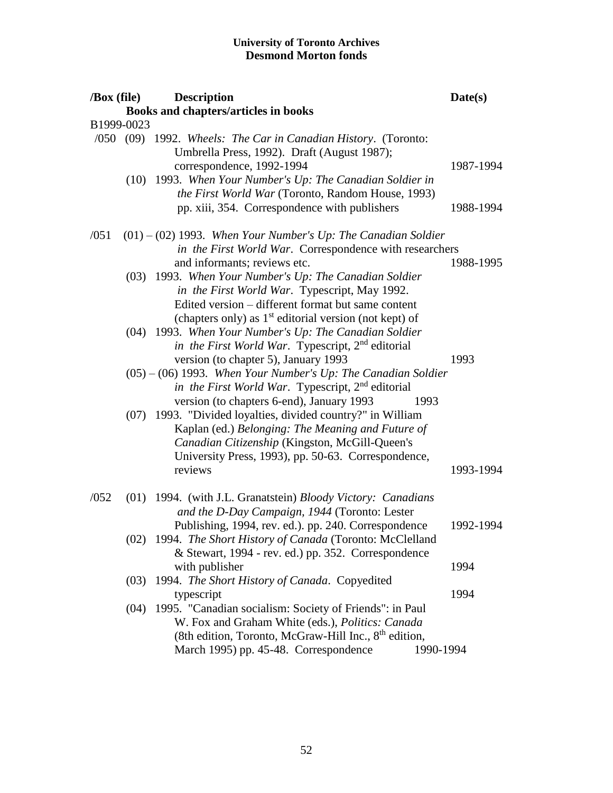| /Box (file) |      | <b>Description</b>                                                                                                                                                                                                                                           | Date(s)   |
|-------------|------|--------------------------------------------------------------------------------------------------------------------------------------------------------------------------------------------------------------------------------------------------------------|-----------|
|             |      | Books and chapters/articles in books                                                                                                                                                                                                                         |           |
| B1999-0023  |      |                                                                                                                                                                                                                                                              |           |
|             |      | /050 (09) 1992. Wheels: The Car in Canadian History. (Toronto:<br>Umbrella Press, 1992). Draft (August 1987);<br>correspondence, 1992-1994<br>(10) 1993. When Your Number's Up: The Canadian Soldier in<br>the First World War (Toronto, Random House, 1993) | 1987-1994 |
|             |      | pp. xiii, 354. Correspondence with publishers                                                                                                                                                                                                                | 1988-1994 |
| /051        |      | $(01) - (02)$ 1993. When Your Number's Up: The Canadian Soldier<br>in the First World War. Correspondence with researchers<br>and informants; reviews etc.                                                                                                   | 1988-1995 |
|             |      | (03) 1993. When Your Number's Up: The Canadian Soldier<br>in the First World War. Typescript, May 1992.<br>Edited version – different format but same content<br>(chapters only) as 1 <sup>st</sup> editorial version (not kept) of                          |           |
|             |      | (04) 1993. When Your Number's Up: The Canadian Soldier<br>in the First World War. Typescript, 2 <sup>nd</sup> editorial<br>version (to chapter 5), January 1993                                                                                              | 1993      |
|             |      | $(05) - (06)$ 1993. When Your Number's Up: The Canadian Soldier<br><i>in the First World War.</i> Typescript, 2 <sup>nd</sup> editorial<br>version (to chapters 6-end), January 1993<br>1993                                                                 |           |
|             |      | (07) 1993. "Divided loyalties, divided country?" in William<br>Kaplan (ed.) Belonging: The Meaning and Future of<br>Canadian Citizenship (Kingston, McGill-Queen's<br>University Press, 1993), pp. 50-63. Correspondence,<br>reviews                         | 1993-1994 |
|             |      |                                                                                                                                                                                                                                                              |           |
| /052        |      | (01) 1994. (with J.L. Granatstein) Bloody Victory: Canadians<br>and the D-Day Campaign, 1944 (Toronto: Lester                                                                                                                                                |           |
|             |      | Publishing, 1994, rev. ed.). pp. 240. Correspondence<br>(02) 1994. The Short History of Canada (Toronto: McClelland<br>& Stewart, 1994 - rev. ed.) pp. 352. Correspondence                                                                                   | 1992-1994 |
|             |      | with publisher                                                                                                                                                                                                                                               | 1994      |
|             | (03) | 1994. The Short History of Canada. Copyedited                                                                                                                                                                                                                | 1994      |
|             | (04) | typescript<br>1995. "Canadian socialism: Society of Friends": in Paul<br>W. Fox and Graham White (eds.), Politics: Canada<br>(8th edition, Toronto, McGraw-Hill Inc., 8 <sup>th</sup> edition,<br>March 1995) pp. 45-48. Correspondence<br>1990-1994         |           |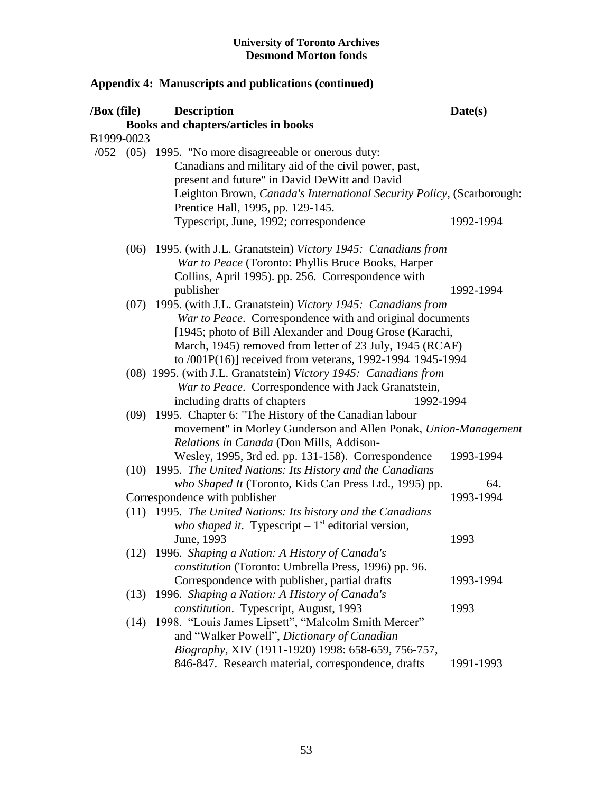| /Box (file) |      | <b>Description</b>                                                    | Date(s)   |
|-------------|------|-----------------------------------------------------------------------|-----------|
|             |      | Books and chapters/articles in books                                  |           |
| B1999-0023  |      |                                                                       |           |
|             |      | $(052 \t(05) \t1995)$ . "No more disagreeable or onerous duty:        |           |
|             |      | Canadians and military aid of the civil power, past,                  |           |
|             |      | present and future" in David DeWitt and David                         |           |
|             |      | Leighton Brown, Canada's International Security Policy, (Scarborough: |           |
|             |      | Prentice Hall, 1995, pp. 129-145.                                     |           |
|             |      | Typescript, June, 1992; correspondence                                | 1992-1994 |
|             |      | (06) 1995. (with J.L. Granatstein) Victory 1945: Canadians from       |           |
|             |      | War to Peace (Toronto: Phyllis Bruce Books, Harper                    |           |
|             |      | Collins, April 1995). pp. 256. Correspondence with                    |           |
|             |      | publisher                                                             | 1992-1994 |
|             |      | (07) 1995. (with J.L. Granatstein) Victory 1945: Canadians from       |           |
|             |      | War to Peace. Correspondence with and original documents              |           |
|             |      | [1945; photo of Bill Alexander and Doug Grose (Karachi,               |           |
|             |      | March, 1945) removed from letter of 23 July, 1945 (RCAF)              |           |
|             |      | to /001P(16)] received from veterans, 1992-1994 1945-1994             |           |
|             |      | (08) 1995. (with J.L. Granatstein) Victory 1945: Canadians from       |           |
|             |      | War to Peace. Correspondence with Jack Granatstein,                   |           |
|             |      | including drafts of chapters<br>1992-1994                             |           |
|             |      | (09) 1995. Chapter 6: "The History of the Canadian labour             |           |
|             |      | movement" in Morley Gunderson and Allen Ponak, Union-Management       |           |
|             |      | Relations in Canada (Don Mills, Addison-                              |           |
|             |      | Wesley, 1995, 3rd ed. pp. 131-158). Correspondence                    | 1993-1994 |
|             |      | (10) 1995. The United Nations: Its History and the Canadians          |           |
|             |      | who Shaped It (Toronto, Kids Can Press Ltd., 1995) pp.                | 64.       |
|             |      | Correspondence with publisher                                         | 1993-1994 |
|             |      | (11) 1995. The United Nations: Its history and the Canadians          |           |
|             |      | who shaped it. Typescript $-1st$ editorial version,                   |           |
|             |      | June, 1993                                                            | 1993      |
|             |      | (12) 1996. Shaping a Nation: A History of Canada's                    |           |
|             |      | constitution (Toronto: Umbrella Press, 1996) pp. 96.                  |           |
|             |      | Correspondence with publisher, partial drafts                         | 1993-1994 |
|             | (13) | 1996. Shaping a Nation: A History of Canada's                         |           |
|             |      | constitution. Typescript, August, 1993                                | 1993      |
|             | (14) | 1998. "Louis James Lipsett", "Malcolm Smith Mercer"                   |           |
|             |      | and "Walker Powell", Dictionary of Canadian                           |           |
|             |      | Biography, XIV (1911-1920) 1998: 658-659, 756-757,                    |           |
|             |      | 846-847. Research material, correspondence, drafts                    | 1991-1993 |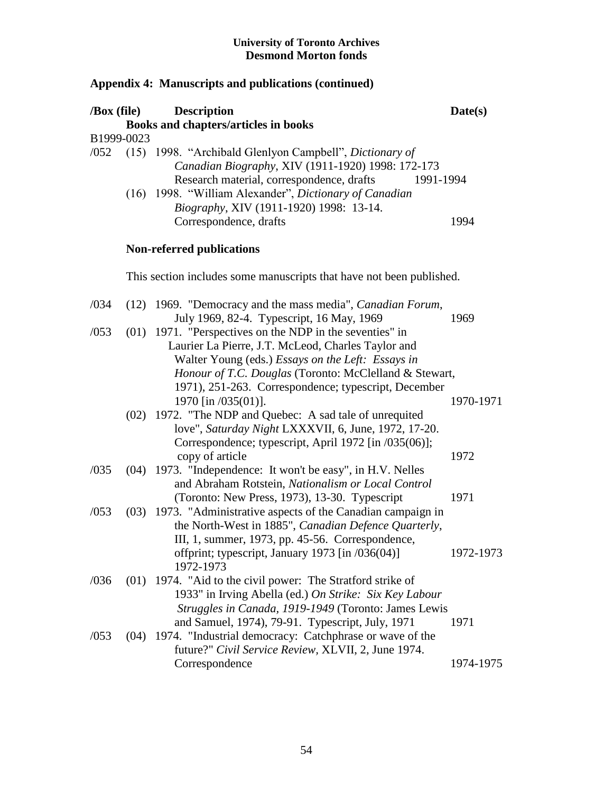| /Box (file) |      | <b>Description</b>                                                                                                                                                                                                                                                                                    | Date(s)      |
|-------------|------|-------------------------------------------------------------------------------------------------------------------------------------------------------------------------------------------------------------------------------------------------------------------------------------------------------|--------------|
|             |      | Books and chapters/articles in books                                                                                                                                                                                                                                                                  |              |
| B1999-0023  |      |                                                                                                                                                                                                                                                                                                       |              |
| /052        |      | (15) 1998. "Archibald Glenlyon Campbell", Dictionary of<br>Canadian Biography, XIV (1911-1920) 1998: 172-173<br>Research material, correspondence, drafts<br>1991-1994<br>(16) 1998. "William Alexander", Dictionary of Canadian<br>Biography, XIV (1911-1920) 1998: 13-14.<br>Correspondence, drafts | 1994         |
|             |      | <b>Non-referred publications</b>                                                                                                                                                                                                                                                                      |              |
|             |      | This section includes some manuscripts that have not been published.                                                                                                                                                                                                                                  |              |
| /034        |      | (12) 1969. "Democracy and the mass media", <i>Canadian Forum</i> ,<br>July 1969, 82-4. Typescript, 16 May, 1969                                                                                                                                                                                       | 1969         |
| /053        |      | $(01)$ 1971. "Perspectives on the NDP in the seventies" in<br>Laurier La Pierre, J.T. McLeod, Charles Taylor and<br>Walter Young (eds.) Essays on the Left: Essays in<br>Honour of T.C. Douglas (Toronto: McClelland & Stewart,<br>1971), 251-263. Correspondence; typescript, December               |              |
|             |      | 1970 [in /035(01)].<br>(02) 1972. "The NDP and Quebec: A sad tale of unrequited<br>love", Saturday Night LXXXVII, 6, June, 1972, 17-20.<br>Correspondence; typescript, April 1972 [in /035(06)];                                                                                                      | 1970-1971    |
| /035        |      | copy of article<br>(04) 1973. "Independence: It won't be easy", in H.V. Nelles<br>and Abraham Rotstein, Nationalism or Local Control                                                                                                                                                                  | 1972<br>1971 |
| /053        |      | (Toronto: New Press, 1973), 13-30. Typescript<br>(03) 1973. "Administrative aspects of the Canadian campaign in<br>the North-West in 1885", Canadian Defence Quarterly,<br>III, 1, summer, 1973, pp. 45-56. Correspondence,                                                                           | 1972-1973    |
|             |      | offprint; typescript, January 1973 [in /036(04)]<br>1972-1973                                                                                                                                                                                                                                         |              |
| /036        | (01) | 1974. "Aid to the civil power: The Stratford strike of<br>1933" in Irving Abella (ed.) On Strike: Six Key Labour<br>Struggles in Canada, 1919-1949 (Toronto: James Lewis<br>and Samuel, 1974), 79-91. Typescript, July, 1971                                                                          | 1971         |
| /053        | (04) | 1974. "Industrial democracy: Catchphrase or wave of the<br>future?" Civil Service Review, XLVII, 2, June 1974.<br>Correspondence                                                                                                                                                                      | 1974-1975    |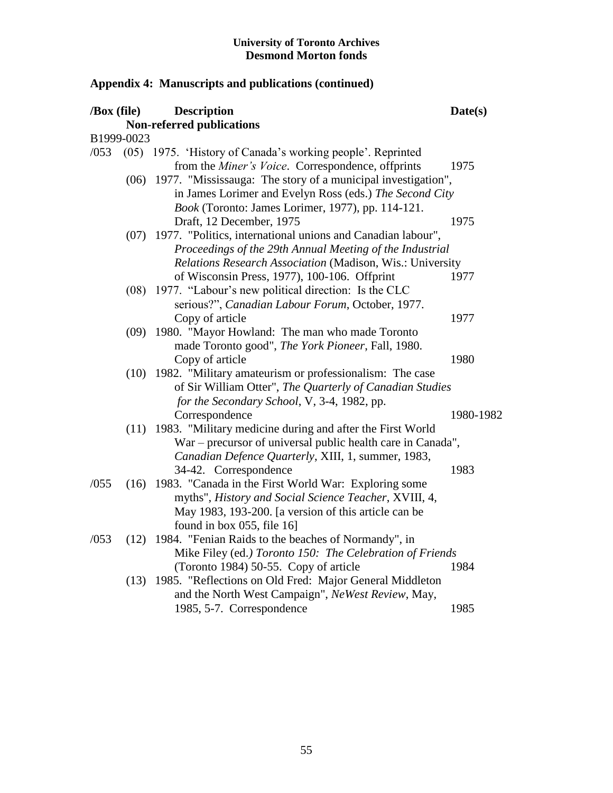| $\sqrt{Box}$ (file) |            | <b>Description</b>                                           | Date(s)   |
|---------------------|------------|--------------------------------------------------------------|-----------|
|                     |            | <b>Non-referred publications</b>                             |           |
|                     | B1999-0023 |                                                              |           |
| /053                |            | (05) 1975. 'History of Canada's working people'. Reprinted   |           |
|                     |            | from the Miner's Voice. Correspondence, offprints            | 1975      |
|                     | (06)       | 1977. "Mississauga: The story of a municipal investigation", |           |
|                     |            | in James Lorimer and Evelyn Ross (eds.) The Second City      |           |
|                     |            | Book (Toronto: James Lorimer, 1977), pp. 114-121.            |           |
|                     |            | Draft, 12 December, 1975                                     | 1975      |
|                     | (07)       | 1977. "Politics, international unions and Canadian labour",  |           |
|                     |            | Proceedings of the 29th Annual Meeting of the Industrial     |           |
|                     |            | Relations Research Association (Madison, Wis.: University    |           |
|                     |            | of Wisconsin Press, 1977), 100-106. Offprint                 | 1977      |
|                     | (08)       | 1977. "Labour's new political direction: Is the CLC          |           |
|                     |            | serious?", Canadian Labour Forum, October, 1977.             |           |
|                     |            | Copy of article                                              | 1977      |
|                     | (09)       | 1980. "Mayor Howland: The man who made Toronto               |           |
|                     |            | made Toronto good", The York Pioneer, Fall, 1980.            |           |
|                     |            | Copy of article                                              | 1980      |
|                     | (10)       | 1982. "Military amateurism or professionalism: The case      |           |
|                     |            | of Sir William Otter", The Quarterly of Canadian Studies     |           |
|                     |            | for the Secondary School, V, 3-4, 1982, pp.                  |           |
|                     |            | Correspondence                                               | 1980-1982 |
|                     | (11)       | 1983. "Military medicine during and after the First World    |           |
|                     |            | War – precursor of universal public health care in Canada",  |           |
|                     |            | Canadian Defence Quarterly, XIII, 1, summer, 1983,           |           |
|                     |            | 34-42. Correspondence                                        | 1983      |
| /055                |            | (16) 1983. "Canada in the First World War: Exploring some    |           |
|                     |            | myths", History and Social Science Teacher, XVIII, 4,        |           |
|                     |            | May 1983, 193-200. [a version of this article can be         |           |
|                     |            | found in box 055, file 16]                                   |           |
| /053                | (12)       | 1984. "Fenian Raids to the beaches of Normandy", in          |           |
|                     |            | Mike Filey (ed.) Toronto 150: The Celebration of Friends     |           |
|                     |            | (Toronto 1984) 50-55. Copy of article                        | 1984      |
|                     |            | (13) 1985. "Reflections on Old Fred: Major General Middleton |           |
|                     |            | and the North West Campaign", NeWest Review, May,            |           |
|                     |            | 1985, 5-7. Correspondence                                    | 1985      |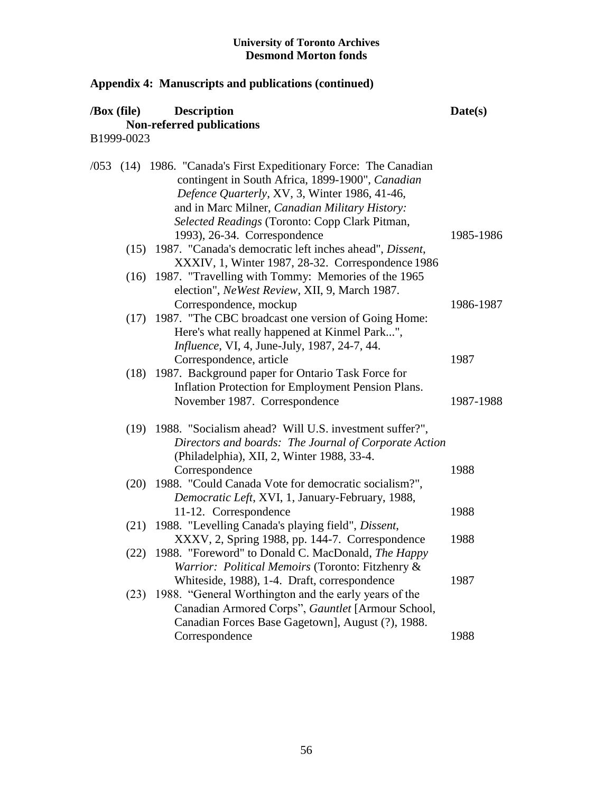| /Box (file) | <b>Description</b><br><b>Non-referred publications</b>                                                                                                                                                                                                                                                     | Date(s)   |
|-------------|------------------------------------------------------------------------------------------------------------------------------------------------------------------------------------------------------------------------------------------------------------------------------------------------------------|-----------|
| B1999-0023  |                                                                                                                                                                                                                                                                                                            |           |
|             | /053 (14) 1986. "Canada's First Expeditionary Force: The Canadian<br>contingent in South Africa, 1899-1900", Canadian<br>Defence Quarterly, XV, 3, Winter 1986, 41-46,<br>and in Marc Milner, Canadian Military History:<br>Selected Readings (Toronto: Copp Clark Pitman,<br>1993), 26-34. Correspondence | 1985-1986 |
|             | (15) 1987. "Canada's democratic left inches ahead", Dissent,<br>XXXIV, 1, Winter 1987, 28-32. Correspondence 1986                                                                                                                                                                                          |           |
|             | (16) 1987. "Travelling with Tommy: Memories of the 1965<br>election", NeWest Review, XII, 9, March 1987.                                                                                                                                                                                                   |           |
|             | Correspondence, mockup<br>(17) 1987. "The CBC broadcast one version of Going Home:<br>Here's what really happened at Kinmel Park",<br><i>Influence</i> , VI, 4, June-July, 1987, 24-7, 44.                                                                                                                 | 1986-1987 |
|             | Correspondence, article                                                                                                                                                                                                                                                                                    | 1987      |
| (18)        | 1987. Background paper for Ontario Task Force for<br>Inflation Protection for Employment Pension Plans.<br>November 1987. Correspondence                                                                                                                                                                   | 1987-1988 |
|             | (19) 1988. "Socialism ahead? Will U.S. investment suffer?",<br>Directors and boards: The Journal of Corporate Action<br>(Philadelphia), XII, 2, Winter 1988, 33-4.<br>Correspondence                                                                                                                       | 1988      |
| (20)        | 1988. "Could Canada Vote for democratic socialism?",<br>Democratic Left, XVI, 1, January-February, 1988,                                                                                                                                                                                                   |           |
|             | 11-12. Correspondence<br>(21) 1988. "Levelling Canada's playing field", Dissent,                                                                                                                                                                                                                           | 1988      |
|             | XXXV, 2, Spring 1988, pp. 144-7. Correspondence                                                                                                                                                                                                                                                            | 1988      |
|             | (22) 1988. "Foreword" to Donald C. MacDonald, The Happy<br>Warrior: Political Memoirs (Toronto: Fitzhenry &                                                                                                                                                                                                |           |
| (23)        | Whiteside, 1988), 1-4. Draft, correspondence<br>1988. "General Worthington and the early years of the<br>Canadian Armored Corps", Gauntlet [Armour School,<br>Canadian Forces Base Gagetown], August (?), 1988.                                                                                            | 1987      |
|             | Correspondence                                                                                                                                                                                                                                                                                             | 1988      |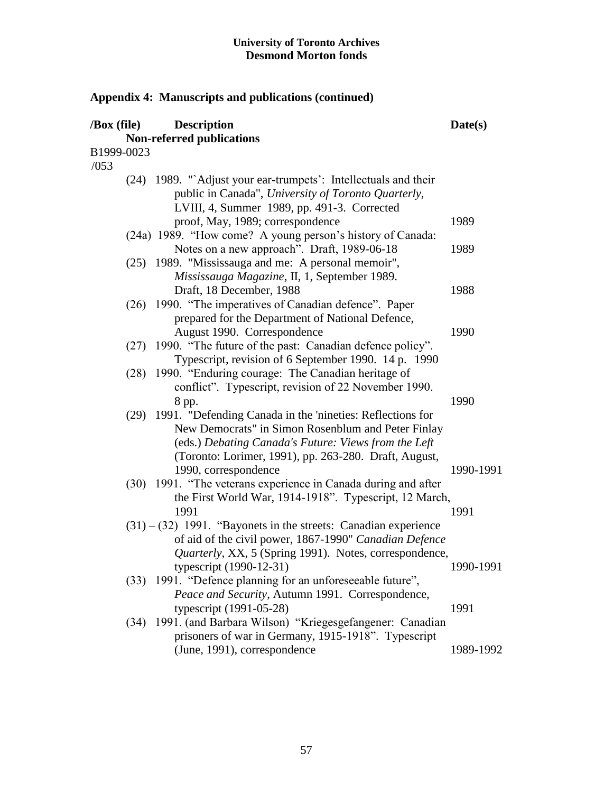| $\sqrt{Box}$ (file) | <b>Description</b><br>Non-referred publications                                                                                                                                                                                       | Date(s)   |
|---------------------|---------------------------------------------------------------------------------------------------------------------------------------------------------------------------------------------------------------------------------------|-----------|
| B1999-0023          |                                                                                                                                                                                                                                       |           |
| /053                |                                                                                                                                                                                                                                       |           |
|                     | (24) 1989. "`Adjust your ear-trumpets': Intellectuals and their<br>public in Canada", University of Toronto Quarterly,<br>LVIII, 4, Summer 1989, pp. 491-3. Corrected                                                                 |           |
|                     | proof, May, 1989; correspondence                                                                                                                                                                                                      | 1989      |
|                     | (24a) 1989. "How come? A young person's history of Canada:<br>Notes on a new approach". Draft, 1989-06-18                                                                                                                             | 1989      |
|                     | (25) 1989. "Mississauga and me: A personal memoir",<br>Mississauga Magazine, II, 1, September 1989.                                                                                                                                   |           |
|                     | Draft, 18 December, 1988                                                                                                                                                                                                              | 1988      |
|                     | (26) 1990. "The imperatives of Canadian defence". Paper<br>prepared for the Department of National Defence,<br>August 1990. Correspondence                                                                                            | 1990      |
|                     | (27) 1990. "The future of the past: Canadian defence policy".<br>Typescript, revision of 6 September 1990. 14 p. 1990                                                                                                                 |           |
| (28)                | 1990. "Enduring courage: The Canadian heritage of<br>conflict". Typescript, revision of 22 November 1990.<br>8 pp.                                                                                                                    | 1990      |
|                     | (29) 1991. "Defending Canada in the 'nineties: Reflections for<br>New Democrats" in Simon Rosenblum and Peter Finlay<br>(eds.) Debating Canada's Future: Views from the Left<br>(Toronto: Lorimer, 1991), pp. 263-280. Draft, August, |           |
|                     | 1990, correspondence<br>(30) 1991. "The veterans experience in Canada during and after                                                                                                                                                | 1990-1991 |
|                     | the First World War, 1914-1918". Typescript, 12 March,                                                                                                                                                                                |           |
|                     | 1991                                                                                                                                                                                                                                  | 1991      |
|                     | $(31) - (32)$ 1991. "Bayonets in the streets: Canadian experience<br>of aid of the civil power, 1867-1990" Canadian Defence<br>Quarterly, XX, 5 (Spring 1991). Notes, correspondence,                                                 |           |
|                     | typescript $(1990-12-31)$                                                                                                                                                                                                             | 1990-1991 |
|                     | (33) 1991. "Defence planning for an unforeseeable future",<br>Peace and Security, Autumn 1991. Correspondence,                                                                                                                        |           |
|                     | typescript (1991-05-28)                                                                                                                                                                                                               | 1991      |
| (34)                | 1991. (and Barbara Wilson) "Kriegesgefangener: Canadian<br>prisoners of war in Germany, 1915-1918". Typescript                                                                                                                        |           |
|                     | (June, 1991), correspondence                                                                                                                                                                                                          | 1989-1992 |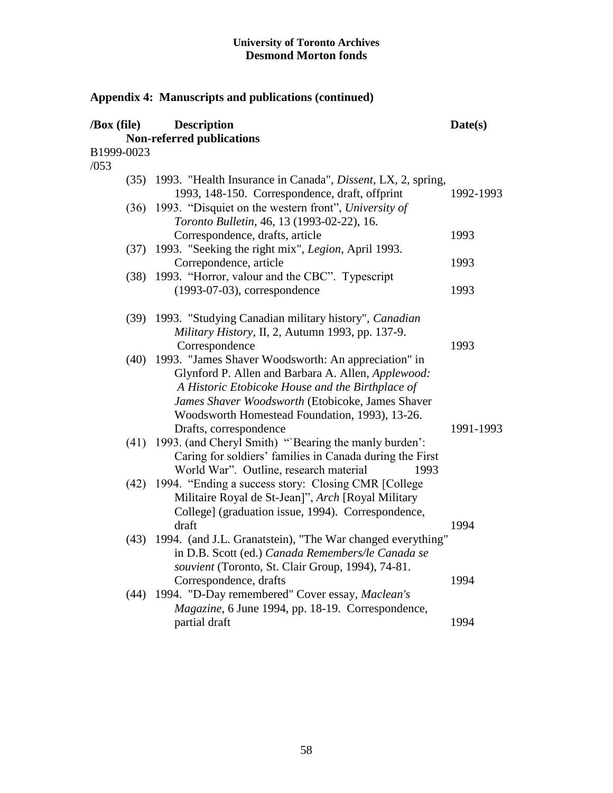| /Box (file)        | <b>Description</b>                                                                                                                                                                                                                                                       | Date(s)   |
|--------------------|--------------------------------------------------------------------------------------------------------------------------------------------------------------------------------------------------------------------------------------------------------------------------|-----------|
|                    | <b>Non-referred publications</b>                                                                                                                                                                                                                                         |           |
| B1999-0023<br>/053 |                                                                                                                                                                                                                                                                          |           |
|                    | (35) 1993. "Health Insurance in Canada", <i>Dissent</i> , LX, 2, spring,<br>1993, 148-150. Correspondence, draft, offprint                                                                                                                                               | 1992-1993 |
|                    | (36) 1993. "Disquiet on the western front", University of<br>Toronto Bulletin, 46, 13 (1993-02-22), 16.<br>Correspondence, drafts, article                                                                                                                               | 1993      |
| (37)               | 1993. "Seeking the right mix", Legion, April 1993.                                                                                                                                                                                                                       |           |
| (38)               | Correpondence, article<br>1993. "Horror, valour and the CBC". Typescript                                                                                                                                                                                                 | 1993      |
|                    | $(1993-07-03)$ , correspondence                                                                                                                                                                                                                                          | 1993      |
|                    | (39) 1993. "Studying Canadian military history", Canadian<br>Military History, II, 2, Autumn 1993, pp. 137-9.<br>Correspondence                                                                                                                                          | 1993      |
|                    | (40) 1993. "James Shaver Woodsworth: An appreciation" in<br>Glynford P. Allen and Barbara A. Allen, Applewood:<br>A Historic Etobicoke House and the Birthplace of<br>James Shaver Woodsworth (Etobicoke, James Shaver<br>Woodsworth Homestead Foundation, 1993), 13-26. |           |
|                    | Drafts, correspondence<br>(41) 1993. (and Cheryl Smith) "Bearing the manly burden':<br>Caring for soldiers' families in Canada during the First<br>World War". Outline, research material<br>1993                                                                        | 1991-1993 |
|                    | (42) 1994. "Ending a success story: Closing CMR [College<br>Militaire Royal de St-Jean]", Arch [Royal Military<br>College] (graduation issue, 1994). Correspondence,<br>draft                                                                                            | 1994      |
|                    | (43) 1994. (and J.L. Granatstein), "The War changed everything"<br>in D.B. Scott (ed.) Canada Remembers/le Canada se<br>souvient (Toronto, St. Clair Group, 1994), 74-81.                                                                                                | 1994      |
|                    | Correspondence, drafts<br>(44) 1994. "D-Day remembered" Cover essay, Maclean's<br>Magazine, 6 June 1994, pp. 18-19. Correspondence,                                                                                                                                      |           |
|                    | partial draft                                                                                                                                                                                                                                                            | 1994      |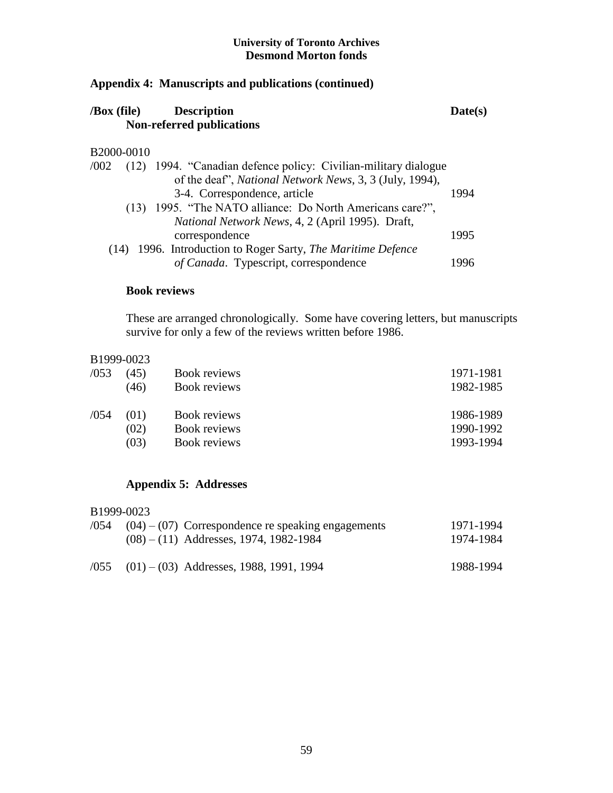## **Appendix 4: Manuscripts and publications (continued)**

| $\sqrt{Box}$ (file) | <b>Description</b>               | Date(s) |
|---------------------|----------------------------------|---------|
|                     | <b>Non-referred publications</b> |         |
|                     |                                  |         |

## B2000-0010

| /002 |      | (12) 1994. "Canadian defence policy: Civilian-military dialogue |      |
|------|------|-----------------------------------------------------------------|------|
|      |      | of the deaf", <i>National Network News</i> , 3, 3 (July, 1994), |      |
|      |      | 3-4. Correspondence, article                                    | 1994 |
|      | (13) | 1995. "The NATO alliance: Do North Americans care?",            |      |
|      |      | National Network News, 4, 2 (April 1995). Draft,                |      |
|      |      | correspondence                                                  | 1995 |
|      |      | (14) 1996. Introduction to Roger Sarty, The Maritime Defence    |      |
|      |      | of Canada. Typescript, correspondence                           | 1996 |

## **Book reviews**

These are arranged chronologically. Some have covering letters, but manuscripts survive for only a few of the reviews written before 1986.

## B1999-0023

| /053 | (45) | Book reviews | 1971-1981 |
|------|------|--------------|-----------|
|      | (46) | Book reviews | 1982-1985 |
| /054 | (01) | Book reviews | 1986-1989 |
|      | (02) | Book reviews | 1990-1992 |
|      | (03) | Book reviews | 1993-1994 |

## **Appendix 5: Addresses**

## B1999-0023

| $(0.054)$ $(0.04)$ $(0.07)$ Correspondence re speaking engagements<br>$(08) - (11)$ Addresses, 1974, 1982-1984 | 1971-1994<br>1974-1984 |
|----------------------------------------------------------------------------------------------------------------|------------------------|
| $(01) - (03)$ Addresses, 1988, 1991, 1994                                                                      | 1988-1994              |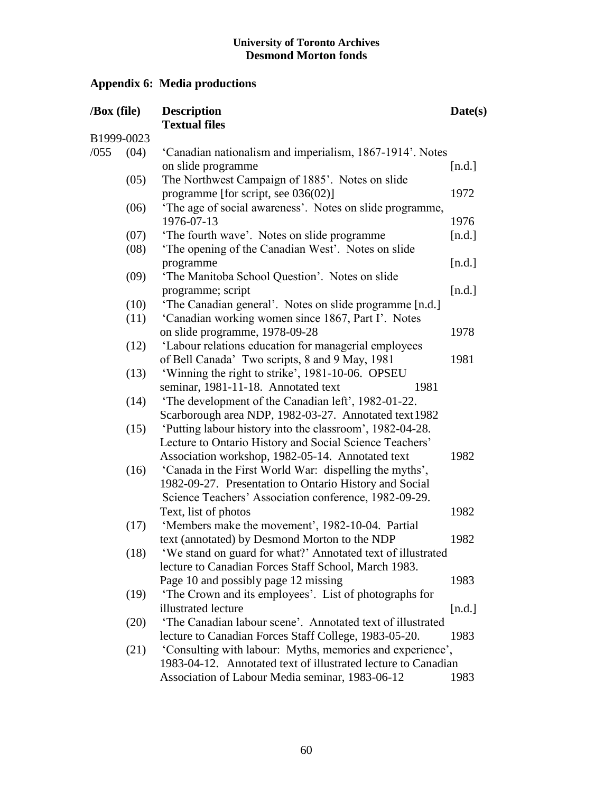# **Appendix 6: Media productions**

| /Box (file)<br>B1999-0023 |      | <b>Description</b>                                                                                                  | Date(s) |
|---------------------------|------|---------------------------------------------------------------------------------------------------------------------|---------|
|                           |      | <b>Textual files</b>                                                                                                |         |
| /055                      | (04) | 'Canadian nationalism and imperialism, 1867-1914'. Notes                                                            |         |
|                           |      | on slide programme                                                                                                  | [n.d.]  |
|                           | (05) | The Northwest Campaign of 1885'. Notes on slide                                                                     |         |
|                           |      | programme [for script, see 036(02)]                                                                                 | 1972    |
|                           | (06) | 'The age of social awareness'. Notes on slide programme,                                                            |         |
|                           |      | 1976-07-13                                                                                                          | 1976    |
|                           | (07) | 'The fourth wave'. Notes on slide programme                                                                         | [n.d.]  |
|                           | (08) | 'The opening of the Canadian West'. Notes on slide                                                                  |         |
|                           |      | programme                                                                                                           | [n.d.]  |
|                           | (09) | 'The Manitoba School Question'. Notes on slide                                                                      |         |
|                           |      | programme; script                                                                                                   | [n.d.]  |
|                           | (10) | 'The Canadian general'. Notes on slide programme [n.d.]                                                             |         |
|                           | (11) | 'Canadian working women since 1867, Part I'. Notes                                                                  |         |
|                           |      | on slide programme, 1978-09-28                                                                                      | 1978    |
|                           | (12) | 'Labour relations education for managerial employees                                                                |         |
|                           |      | of Bell Canada' Two scripts, 8 and 9 May, 1981                                                                      | 1981    |
|                           | (13) | 'Winning the right to strike', 1981-10-06. OPSEU                                                                    |         |
|                           |      | seminar, 1981-11-18. Annotated text<br>1981                                                                         |         |
|                           | (14) | 'The development of the Canadian left', 1982-01-22.                                                                 |         |
|                           |      | Scarborough area NDP, 1982-03-27. Annotated text 1982                                                               |         |
|                           | (15) | 'Putting labour history into the classroom', 1982-04-28.                                                            |         |
|                           |      | Lecture to Ontario History and Social Science Teachers'                                                             |         |
|                           |      | Association workshop, 1982-05-14. Annotated text                                                                    | 1982    |
|                           | (16) | 'Canada in the First World War: dispelling the myths',                                                              |         |
|                           |      | 1982-09-27. Presentation to Ontario History and Social                                                              |         |
|                           |      | Science Teachers' Association conference, 1982-09-29.                                                               |         |
|                           |      | Text, list of photos                                                                                                | 1982    |
|                           | (17) | 'Members make the movement', 1982-10-04. Partial                                                                    | 1982    |
|                           |      | text (annotated) by Desmond Morton to the NDP                                                                       |         |
|                           | (18) | 'We stand on guard for what?' Annotated text of illustrated<br>lecture to Canadian Forces Staff School, March 1983. |         |
|                           |      | Page 10 and possibly page 12 missing                                                                                | 1983    |
|                           | (19) | 'The Crown and its employees'. List of photographs for                                                              |         |
|                           |      | illustrated lecture                                                                                                 | [n.d.]  |
|                           | (20) | 'The Canadian labour scene'. Annotated text of illustrated                                                          |         |
|                           |      | lecture to Canadian Forces Staff College, 1983-05-20.                                                               | 1983    |
|                           | (21) | 'Consulting with labour: Myths, memories and experience',                                                           |         |
|                           |      | 1983-04-12. Annotated text of illustrated lecture to Canadian                                                       |         |
|                           |      | Association of Labour Media seminar, 1983-06-12                                                                     | 1983    |
|                           |      |                                                                                                                     |         |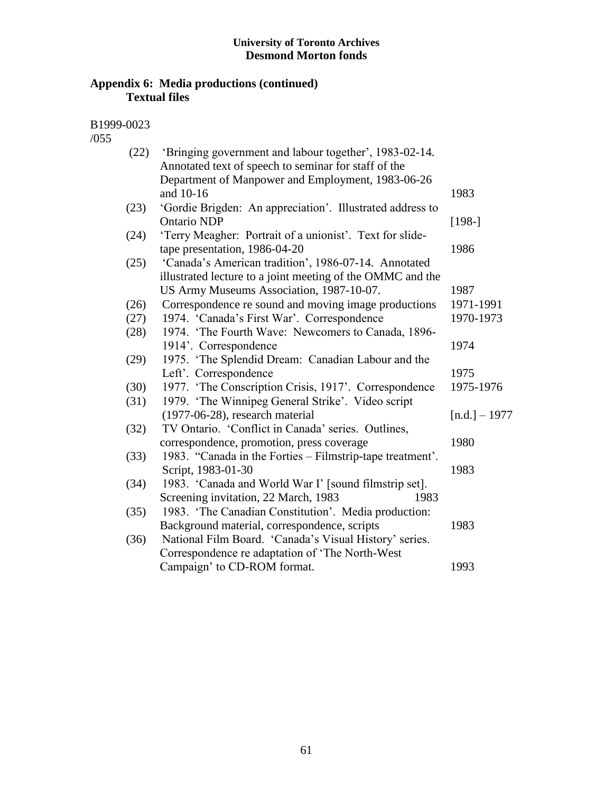## **Appendix 6: Media productions (continued) Textual files**

B1999-0023

/055

| (22) | 'Bringing government and labour together', 1983-02-14.     |                 |
|------|------------------------------------------------------------|-----------------|
|      | Annotated text of speech to seminar for staff of the       |                 |
|      | Department of Manpower and Employment, 1983-06-26          |                 |
|      | and 10-16                                                  | 1983            |
| (23) | 'Gordie Brigden: An appreciation'. Illustrated address to  |                 |
|      | <b>Ontario NDP</b>                                         | $[198-]$        |
| (24) | 'Terry Meagher: Portrait of a unionist'. Text for slide-   |                 |
|      | tape presentation, 1986-04-20                              | 1986            |
| (25) | 'Canada's American tradition', 1986-07-14. Annotated       |                 |
|      | illustrated lecture to a joint meeting of the OMMC and the |                 |
|      | US Army Museums Association, 1987-10-07.                   | 1987            |
| (26) | Correspondence re sound and moving image productions       | 1971-1991       |
| (27) | 1974. 'Canada's First War'. Correspondence                 | 1970-1973       |
| (28) | 1974. 'The Fourth Wave: Newcomers to Canada, 1896-         |                 |
|      | 1914'. Correspondence                                      | 1974            |
| (29) | 1975. 'The Splendid Dream: Canadian Labour and the         |                 |
|      | Left'. Correspondence                                      | 1975            |
| (30) | 1977. 'The Conscription Crisis, 1917'. Correspondence      | 1975-1976       |
| (31) | 1979. 'The Winnipeg General Strike'. Video script          |                 |
|      | $(1977-06-28)$ , research material                         | $[n.d.] - 1977$ |
| (32) | TV Ontario. 'Conflict in Canada' series. Outlines,         |                 |
|      | correspondence, promotion, press coverage                  | 1980            |
| (33) | 1983. "Canada in the Forties – Filmstrip-tape treatment".  |                 |
|      | Script, 1983-01-30                                         | 1983            |
| (34) | 1983. 'Canada and World War I' [sound filmstrip set].      |                 |
|      | Screening invitation, 22 March, 1983<br>1983               |                 |
| (35) | 1983. 'The Canadian Constitution'. Media production:       |                 |
|      | Background material, correspondence, scripts               | 1983            |
| (36) | National Film Board. 'Canada's Visual History' series.     |                 |
|      | Correspondence re adaptation of 'The North-West            |                 |
|      | Campaign' to CD-ROM format.                                | 1993            |